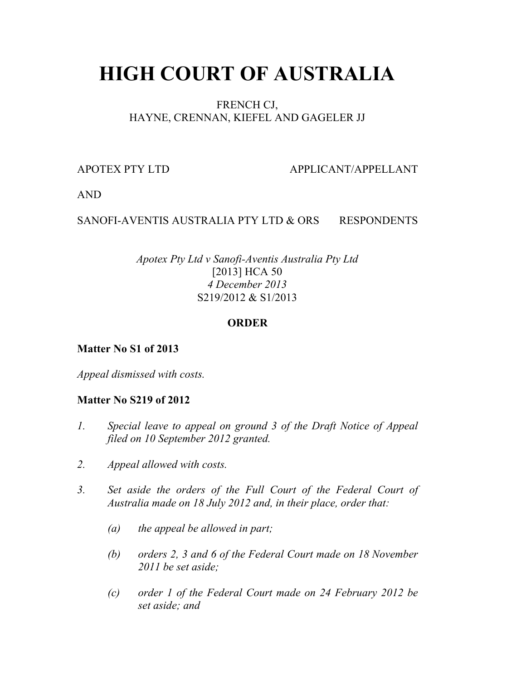# **HIGH COURT OF AUSTRALIA**

# FRENCH CJ, HAYNE, CRENNAN, KIEFEL AND GAGELER JJ

APOTEX PTY LTD APPLICANT/APPELLANT

AND

# SANOFI-AVENTIS AUSTRALIA PTY LTD & ORS RESPONDENTS

# *Apotex Pty Ltd v Sanofi-Aventis Australia Pty Ltd* [2013] HCA 50 *4 December 2013* S219/2012 & S1/2013

### **ORDER**

# **Matter No S1 of 2013**

*Appeal dismissed with costs.*

# **Matter No S219 of 2012**

- *1. Special leave to appeal on ground 3 of the Draft Notice of Appeal filed on 10 September 2012 granted.*
- *2. Appeal allowed with costs.*
- *3. Set aside the orders of the Full Court of the Federal Court of Australia made on 18 July 2012 and, in their place, order that:*
	- *(a) the appeal be allowed in part;*
	- *(b) orders 2, 3 and 6 of the Federal Court made on 18 November 2011 be set aside;*
	- *(c) order 1 of the Federal Court made on 24 February 2012 be set aside; and*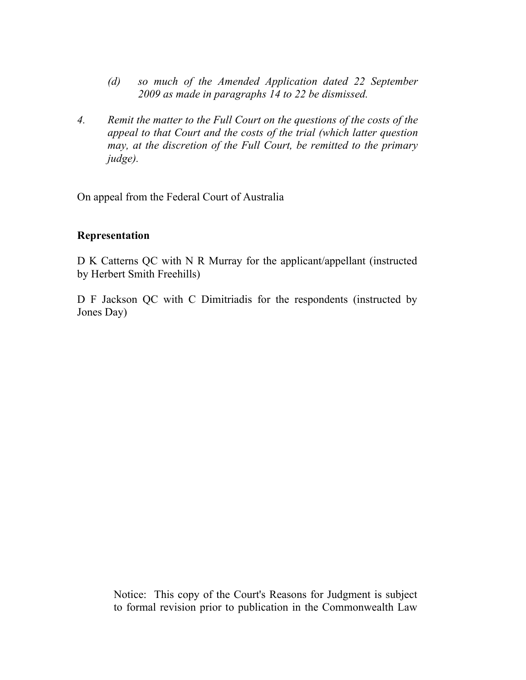- *(d) so much of the Amended Application dated 22 September 2009 as made in paragraphs 14 to 22 be dismissed.*
- *4. Remit the matter to the Full Court on the questions of the costs of the appeal to that Court and the costs of the trial (which latter question may, at the discretion of the Full Court, be remitted to the primary judge).*

On appeal from the Federal Court of Australia

#### **Representation**

D K Catterns QC with N R Murray for the applicant/appellant (instructed by Herbert Smith Freehills)

D F Jackson QC with C Dimitriadis for the respondents (instructed by Jones Day)

> Notice: This copy of the Court's Reasons for Judgment is subject to formal revision prior to publication in the Commonwealth Law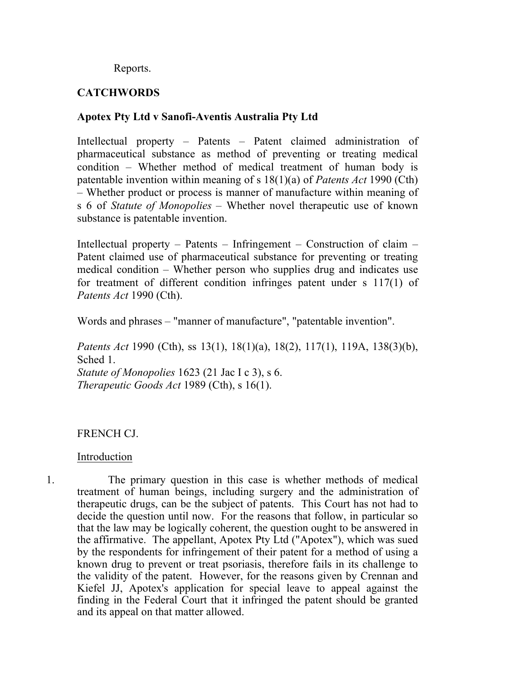Reports.

# **CATCHWORDS**

# **Apotex Pty Ltd v Sanofi-Aventis Australia Pty Ltd**

Intellectual property – Patents – Patent claimed administration of pharmaceutical substance as method of preventing or treating medical condition – Whether method of medical treatment of human body is patentable invention within meaning of s 18(1)(a) of *Patents Act* 1990 (Cth) – Whether product or process is manner of manufacture within meaning of s 6 of *Statute of Monopolies* – Whether novel therapeutic use of known substance is patentable invention.

Intellectual property – Patents – Infringement – Construction of claim – Patent claimed use of pharmaceutical substance for preventing or treating medical condition – Whether person who supplies drug and indicates use for treatment of different condition infringes patent under s 117(1) of *Patents Act* 1990 (Cth).

Words and phrases – "manner of manufacture", "patentable invention".

*Patents Act* 1990 (Cth), ss 13(1), 18(1)(a), 18(2), 117(1), 119A, 138(3)(b), Sched 1. *Statute of Monopolies* 1623 (21 Jac I c 3), s 6. *Therapeutic Goods Act* 1989 (Cth), s 16(1).

# FRENCH CJ.

#### Introduction

1. The primary question in this case is whether methods of medical treatment of human beings, including surgery and the administration of therapeutic drugs, can be the subject of patents. This Court has not had to decide the question until now. For the reasons that follow, in particular so that the law may be logically coherent, the question ought to be answered in the affirmative. The appellant, Apotex Pty Ltd ("Apotex"), which was sued by the respondents for infringement of their patent for a method of using a known drug to prevent or treat psoriasis, therefore fails in its challenge to the validity of the patent.However, for the reasons given by Crennan and Kiefel JJ, Apotex's application for special leave to appeal against the finding in the Federal Court that it infringed the patent should be granted and its appeal on that matter allowed.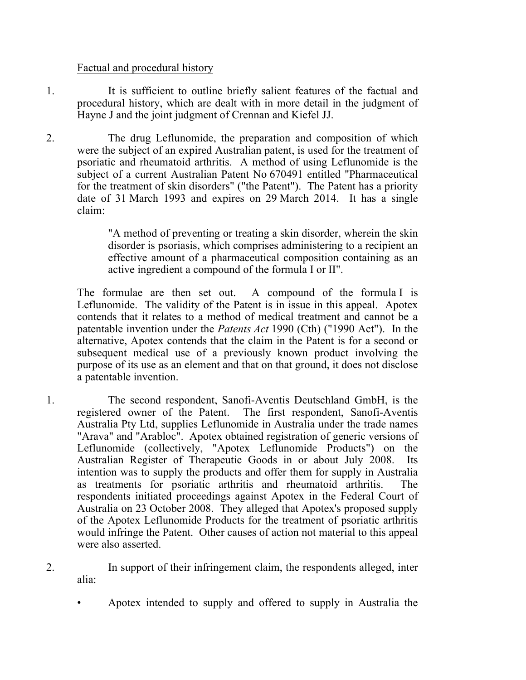#### Factual and procedural history

- 1. It is sufficient to outline briefly salient features of the factual and procedural history, which are dealt with in more detail in the judgment of Hayne J and the joint judgment of Crennan and Kiefel JJ.
- 2. The drug Leflunomide, the preparation and composition of which were the subject of an expired Australian patent, is used for the treatment of psoriatic and rheumatoid arthritis. A method of using Leflunomide is the subject of a current Australian Patent No 670491 entitled "Pharmaceutical for the treatment of skin disorders" ("the Patent"). The Patent has a priority date of 31 March 1993 and expires on 29 March 2014. It has a single claim:

"A method of preventing or treating a skin disorder, wherein the skin disorder is psoriasis, which comprises administering to a recipient an effective amount of a pharmaceutical composition containing as an active ingredient a compound of the formula I or II".

The formulae are then set out. A compound of the formula I is Leflunomide. The validity of the Patent is in issue in this appeal. Apotex contends that it relates to a method of medical treatment and cannot be a patentable invention under the *Patents Act* 1990 (Cth) ("1990 Act"). In the alternative, Apotex contends that the claim in the Patent is for a second or subsequent medical use of a previously known product involving the purpose of its use as an element and that on that ground, it does not disclose a patentable invention.

- 1. The second respondent, Sanofi-Aventis Deutschland GmbH, is the registered owner of the Patent. The first respondent, Sanofi-Aventis Australia Pty Ltd, supplies Leflunomide in Australia under the trade names "Arava" and "Arabloc". Apotex obtained registration of generic versions of Leflunomide (collectively, "Apotex Leflunomide Products") on the Australian Register of Therapeutic Goods in or about July 2008. Its intention was to supply the products and offer them for supply in Australia as treatments for psoriatic arthritis and rheumatoid arthritis. The respondents initiated proceedings against Apotex in the Federal Court of Australia on 23 October 2008. They alleged that Apotex's proposed supply of the Apotex Leflunomide Products for the treatment of psoriatic arthritis would infringe the Patent. Other causes of action not material to this appeal were also asserted.
- 2. In support of their infringement claim, the respondents alleged, inter alia:
	- Apotex intended to supply and offered to supply in Australia the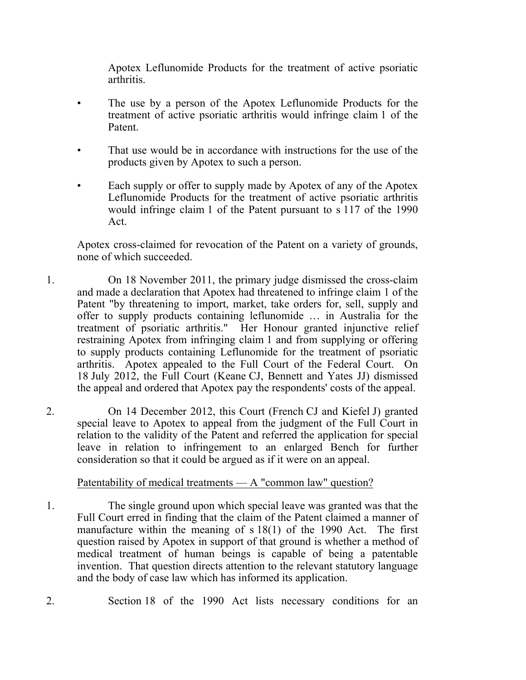Apotex Leflunomide Products for the treatment of active psoriatic arthritis.

- The use by a person of the Apotex Leflunomide Products for the treatment of active psoriatic arthritis would infringe claim 1 of the Patent.
- That use would be in accordance with instructions for the use of the products given by Apotex to such a person.
- Each supply or offer to supply made by Apotex of any of the Apotex Leflunomide Products for the treatment of active psoriatic arthritis would infringe claim 1 of the Patent pursuant to s 117 of the 1990 Act.

Apotex cross-claimed for revocation of the Patent on a variety of grounds, none of which succeeded.

- 1. On 18 November 2011, the primary judge dismissed the cross-claim and made a declaration that Apotex had threatened to infringe claim 1 of the Patent "by threatening to import, market, take orders for, sell, supply and offer to supply products containing leflunomide … in Australia for the treatment of psoriatic arthritis." Her Honour granted injunctive relief restraining Apotex from infringing claim 1 and from supplying or offering to supply products containing Leflunomide for the treatment of psoriatic arthritis. Apotex appealed to the Full Court of the Federal Court. On 18 July 2012, the Full Court (Keane CJ, Bennett and Yates JJ) dismissed the appeal and ordered that Apotex pay the respondents' costs of the appeal.
- 2. On 14 December 2012, this Court (French CJ and Kiefel J) granted special leave to Apotex to appeal from the judgment of the Full Court in relation to the validity of the Patent and referred the application for special leave in relation to infringement to an enlarged Bench for further consideration so that it could be argued as if it were on an appeal.

#### Patentability of medical treatments — A "common law" question?

- 1. The single ground upon which special leave was granted was that the Full Court erred in finding that the claim of the Patent claimed a manner of manufacture within the meaning of s 18(1) of the 1990 Act. The first question raised by Apotex in support of that ground is whether a method of medical treatment of human beings is capable of being a patentable invention. That question directs attention to the relevant statutory language and the body of case law which has informed its application.
- 2. Section 18 of the 1990 Act lists necessary conditions for an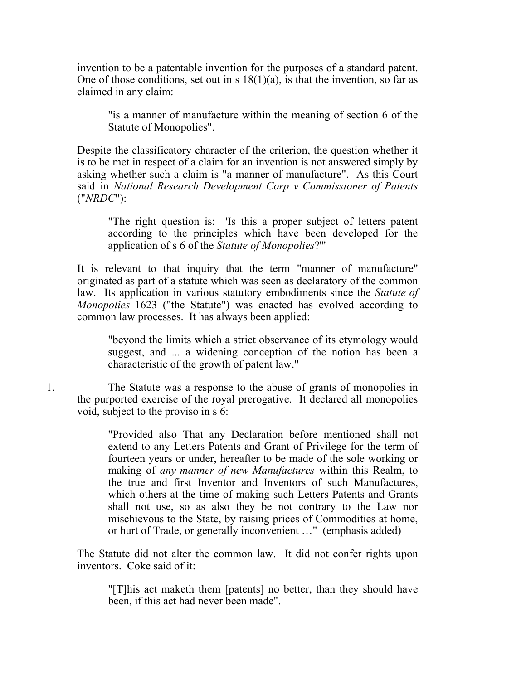invention to be a patentable invention for the purposes of a standard patent. One of those conditions, set out in s  $18(1)(a)$ , is that the invention, so far as claimed in any claim:

"is a manner of manufacture within the meaning of section 6 of the Statute of Monopolies".

Despite the classificatory character of the criterion, the question whether it is to be met in respect of a claim for an invention is not answered simply by asking whether such a claim is "a manner of manufacture". As this Court said in *National Research Development Corp v Commissioner of Patents* ("*NRDC*"):

"The right question is: 'Is this a proper subject of letters patent according to the principles which have been developed for the application of s 6 of the *Statute of Monopolies*?'"

It is relevant to that inquiry that the term "manner of manufacture" originated as part of a statute which was seen as declaratory of the common law. Its application in various statutory embodiments since the *Statute of Monopolies* 1623 ("the Statute") was enacted has evolved according to common law processes. It has always been applied:

"beyond the limits which a strict observance of its etymology would suggest, and ... a widening conception of the notion has been a characteristic of the growth of patent law."

1. The Statute was a response to the abuse of grants of monopolies in the purported exercise of the royal prerogative. It declared all monopolies void, subject to the proviso in s 6:

> "Provided also That any Declaration before mentioned shall not extend to any Letters Patents and Grant of Privilege for the term of fourteen years or under, hereafter to be made of the sole working or making of *any manner of new Manufactures* within this Realm, to the true and first Inventor and Inventors of such Manufactures, which others at the time of making such Letters Patents and Grants shall not use, so as also they be not contrary to the Law nor mischievous to the State, by raising prices of Commodities at home, or hurt of Trade, or generally inconvenient …" (emphasis added)

The Statute did not alter the common law. It did not confer rights upon inventors. Coke said of it:

"[T]his act maketh them [patents] no better, than they should have been, if this act had never been made".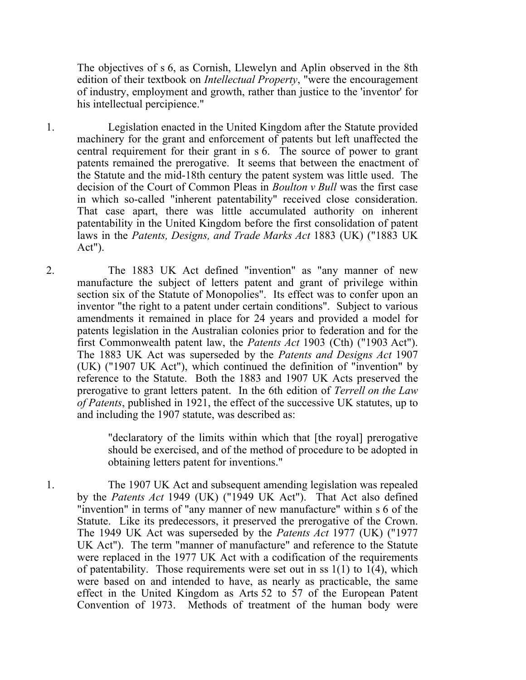The objectives of s 6, as Cornish, Llewelyn and Aplin observed in the 8th edition of their textbook on *Intellectual Property*, "were the encouragement of industry, employment and growth, rather than justice to the 'inventor' for his intellectual percipience."

- 1. Legislation enacted in the United Kingdom after the Statute provided machinery for the grant and enforcement of patents but left unaffected the central requirement for their grant in s 6. The source of power to grant patents remained the prerogative. It seems that between the enactment of the Statute and the mid-18th century the patent system was little used. The decision of the Court of Common Pleas in *Boulton v Bull* was the first case in which so-called "inherent patentability" received close consideration. That case apart, there was little accumulated authority on inherent patentability in the United Kingdom before the first consolidation of patent laws in the *Patents, Designs, and Trade Marks Act* 1883 (UK) ("1883 UK Act").
- 2. The 1883 UK Act defined "invention" as "any manner of new manufacture the subject of letters patent and grant of privilege within section six of the Statute of Monopolies". Its effect was to confer upon an inventor "the right to a patent under certain conditions". Subject to various amendments it remained in place for 24 years and provided a model for patents legislation in the Australian colonies prior to federation and for the first Commonwealth patent law, the *Patents Act* 1903 (Cth) ("1903 Act"). The 1883 UK Act was superseded by the *Patents and Designs Act* 1907 (UK) ("1907 UK Act"), which continued the definition of "invention" by reference to the Statute. Both the 1883 and 1907 UK Acts preserved the prerogative to grant letters patent. In the 6th edition of *Terrell on the Law of Patents*, published in 1921, the effect of the successive UK statutes, up to and including the 1907 statute, was described as:

"declaratory of the limits within which that [the royal] prerogative should be exercised, and of the method of procedure to be adopted in obtaining letters patent for inventions."

1. The 1907 UK Act and subsequent amending legislation was repealed by the *Patents Act* 1949 (UK) ("1949 UK Act"). That Act also defined "invention" in terms of "any manner of new manufacture" within s 6 of the Statute. Like its predecessors, it preserved the prerogative of the Crown. The 1949 UK Act was superseded by the *Patents Act* 1977 (UK) ("1977 UK Act"). The term "manner of manufacture" and reference to the Statute were replaced in the 1977 UK Act with a codification of the requirements of patentability. Those requirements were set out in ss  $1(1)$  to  $1(4)$ , which were based on and intended to have, as nearly as practicable, the same effect in the United Kingdom as Arts 52 to 57 of the European Patent Convention of 1973. Methods of treatment of the human body were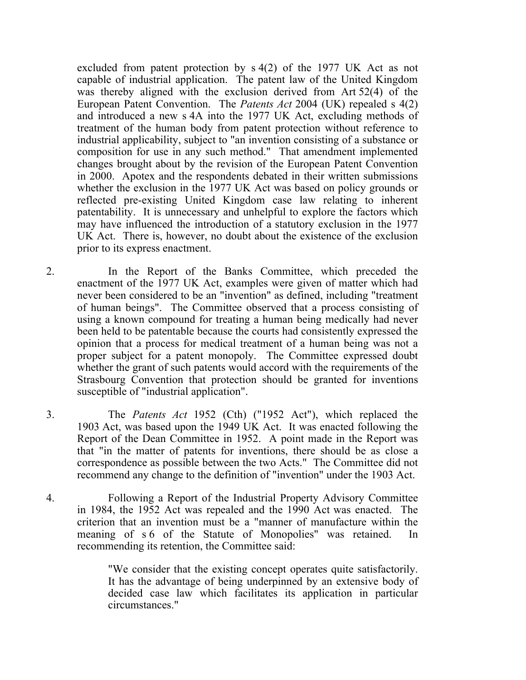excluded from patent protection by s 4(2) of the 1977 UK Act as not capable of industrial application. The patent law of the United Kingdom was thereby aligned with the exclusion derived from Art 52(4) of the European Patent Convention. The *Patents Act* 2004 (UK) repealed s 4(2) and introduced a new s 4A into the 1977 UK Act, excluding methods of treatment of the human body from patent protection without reference to industrial applicability, subject to "an invention consisting of a substance or composition for use in any such method." That amendment implemented changes brought about by the revision of the European Patent Convention in 2000. Apotex and the respondents debated in their written submissions whether the exclusion in the 1977 UK Act was based on policy grounds or reflected pre-existing United Kingdom case law relating to inherent patentability. It is unnecessary and unhelpful to explore the factors which may have influenced the introduction of a statutory exclusion in the 1977 UK Act. There is, however, no doubt about the existence of the exclusion prior to its express enactment.

- 2. In the Report of the Banks Committee, which preceded the enactment of the 1977 UK Act, examples were given of matter which had never been considered to be an "invention" as defined, including "treatment of human beings". The Committee observed that a process consisting of using a known compound for treating a human being medically had never been held to be patentable because the courts had consistently expressed the opinion that a process for medical treatment of a human being was not a proper subject for a patent monopoly. The Committee expressed doubt whether the grant of such patents would accord with the requirements of the Strasbourg Convention that protection should be granted for inventions susceptible of "industrial application".
- 3. The *Patents Act* 1952 (Cth) ("1952 Act"), which replaced the 1903 Act, was based upon the 1949 UK Act. It was enacted following the Report of the Dean Committee in 1952. A point made in the Report was that "in the matter of patents for inventions, there should be as close a correspondence as possible between the two Acts." The Committee did not recommend any change to the definition of "invention" under the 1903 Act.
- 4. Following a Report of the Industrial Property Advisory Committee in 1984, the 1952 Act was repealed and the 1990 Act was enacted. The criterion that an invention must be a "manner of manufacture within the meaning of s 6 of the Statute of Monopolies" was retained. In recommending its retention, the Committee said:

"We consider that the existing concept operates quite satisfactorily. It has the advantage of being underpinned by an extensive body of decided case law which facilitates its application in particular circumstances."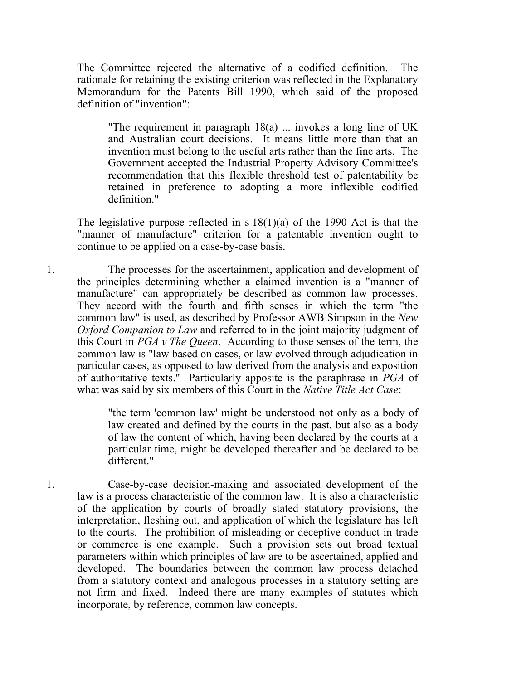The Committee rejected the alternative of a codified definition. The rationale for retaining the existing criterion was reflected in the Explanatory Memorandum for the Patents Bill 1990, which said of the proposed definition of "invention":

"The requirement in paragraph 18(a) ... invokes a long line of UK and Australian court decisions. It means little more than that an invention must belong to the useful arts rather than the fine arts. The Government accepted the Industrial Property Advisory Committee's recommendation that this flexible threshold test of patentability be retained in preference to adopting a more inflexible codified definition."

The legislative purpose reflected in s  $18(1)(a)$  of the 1990 Act is that the "manner of manufacture" criterion for a patentable invention ought to continue to be applied on a case-by-case basis.

1. The processes for the ascertainment, application and development of the principles determining whether a claimed invention is a "manner of manufacture" can appropriately be described as common law processes. They accord with the fourth and fifth senses in which the term "the common law" is used, as described by Professor AWB Simpson in the *New Oxford Companion to Law* and referred to in the joint majority judgment of this Court in *PGA v The Queen*. According to those senses of the term, the common law is "law based on cases, or law evolved through adjudication in particular cases, as opposed to law derived from the analysis and exposition of authoritative texts." Particularly apposite is the paraphrase in *PGA* of what was said by six members of this Court in the *Native Title Act Case*:

> "the term 'common law' might be understood not only as a body of law created and defined by the courts in the past, but also as a body of law the content of which, having been declared by the courts at a particular time, might be developed thereafter and be declared to be different."

1. Case-by-case decision-making and associated development of the law is a process characteristic of the common law. It is also a characteristic of the application by courts of broadly stated statutory provisions, the interpretation, fleshing out, and application of which the legislature has left to the courts. The prohibition of misleading or deceptive conduct in trade or commerce is one example. Such a provision sets out broad textual parameters within which principles of law are to be ascertained, applied and developed. The boundaries between the common law process detached from a statutory context and analogous processes in a statutory setting are not firm and fixed. Indeed there are many examples of statutes which incorporate, by reference, common law concepts.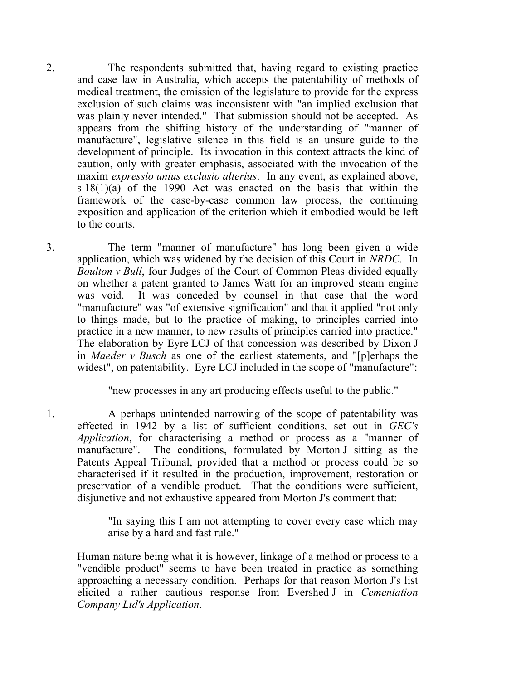2. The respondents submitted that, having regard to existing practice and case law in Australia, which accepts the patentability of methods of medical treatment, the omission of the legislature to provide for the express exclusion of such claims was inconsistent with "an implied exclusion that was plainly never intended." That submission should not be accepted. As appears from the shifting history of the understanding of "manner of manufacture", legislative silence in this field is an unsure guide to the development of principle. Its invocation in this context attracts the kind of caution, only with greater emphasis, associated with the invocation of the maxim *expressio unius exclusio alterius*. In any event, as explained above, s 18(1)(a) of the 1990 Act was enacted on the basis that within the framework of the case-by-case common law process, the continuing exposition and application of the criterion which it embodied would be left to the courts.

3. The term "manner of manufacture" has long been given a wide application, which was widened by the decision of this Court in *NRDC*. In *Boulton v Bull*, four Judges of the Court of Common Pleas divided equally on whether a patent granted to James Watt for an improved steam engine was void. It was conceded by counsel in that case that the word "manufacture" was "of extensive signification" and that it applied "not only to things made, but to the practice of making, to principles carried into practice in a new manner, to new results of principles carried into practice." The elaboration by Eyre LCJ of that concession was described by Dixon J in *Maeder v Busch* as one of the earliest statements, and "[p]erhaps the widest", on patentability. Eyre LCJ included in the scope of "manufacture":

"new processes in any art producing effects useful to the public."

1. A perhaps unintended narrowing of the scope of patentability was effected in 1942 by a list of sufficient conditions, set out in *GEC's Application*, for characterising a method or process as a "manner of manufacture". The conditions, formulated by Morton J sitting as the Patents Appeal Tribunal, provided that a method or process could be so characterised if it resulted in the production, improvement, restoration or preservation of a vendible product. That the conditions were sufficient, disjunctive and not exhaustive appeared from Morton J's comment that:

> "In saying this I am not attempting to cover every case which may arise by a hard and fast rule."

Human nature being what it is however, linkage of a method or process to a "vendible product" seems to have been treated in practice as something approaching a necessary condition. Perhaps for that reason Morton J's list elicited a rather cautious response from Evershed J in *Cementation Company Ltd's Application*.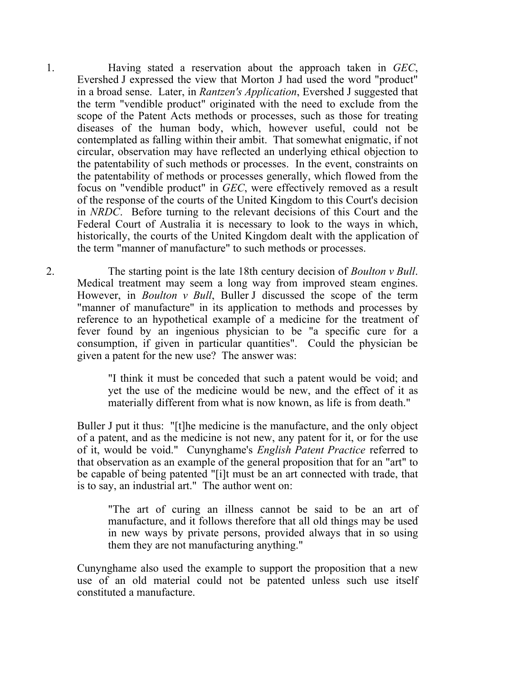1. Having stated a reservation about the approach taken in *GEC*, Evershed J expressed the view that Morton J had used the word "product" in a broad sense. Later, in *Rantzen's Application*, Evershed J suggested that the term "vendible product" originated with the need to exclude from the scope of the Patent Acts methods or processes, such as those for treating diseases of the human body, which, however useful, could not be contemplated as falling within their ambit. That somewhat enigmatic, if not circular, observation may have reflected an underlying ethical objection to the patentability of such methods or processes. In the event, constraints on the patentability of methods or processes generally, which flowed from the focus on "vendible product" in *GEC*, were effectively removed as a result of the response of the courts of the United Kingdom to this Court's decision in *NRDC*. Before turning to the relevant decisions of this Court and the Federal Court of Australia it is necessary to look to the ways in which, historically, the courts of the United Kingdom dealt with the application of the term "manner of manufacture" to such methods or processes.

2. The starting point is the late 18th century decision of *Boulton v Bull*. Medical treatment may seem a long way from improved steam engines. However, in *Boulton v Bull*, Buller J discussed the scope of the term "manner of manufacture" in its application to methods and processes by reference to an hypothetical example of a medicine for the treatment of fever found by an ingenious physician to be "a specific cure for a consumption, if given in particular quantities". Could the physician be given a patent for the new use? The answer was:

> "I think it must be conceded that such a patent would be void; and yet the use of the medicine would be new, and the effect of it as materially different from what is now known, as life is from death."

Buller J put it thus: "[t]he medicine is the manufacture, and the only object of a patent, and as the medicine is not new, any patent for it, or for the use of it, would be void." Cunynghame's *English Patent Practice* referred to that observation as an example of the general proposition that for an "art" to be capable of being patented "[i]t must be an art connected with trade, that is to say, an industrial art." The author went on:

"The art of curing an illness cannot be said to be an art of manufacture, and it follows therefore that all old things may be used in new ways by private persons, provided always that in so using them they are not manufacturing anything."

Cunynghame also used the example to support the proposition that a new use of an old material could not be patented unless such use itself constituted a manufacture.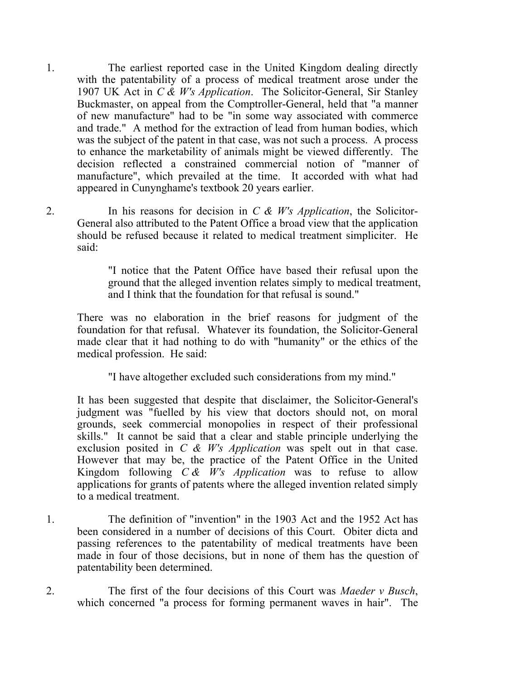- 1. The earliest reported case in the United Kingdom dealing directly with the patentability of a process of medical treatment arose under the 1907 UK Act in *C & W's Application*. The Solicitor-General, Sir Stanley Buckmaster, on appeal from the Comptroller-General, held that "a manner of new manufacture" had to be "in some way associated with commerce and trade." A method for the extraction of lead from human bodies, which was the subject of the patent in that case, was not such a process. A process to enhance the marketability of animals might be viewed differently. The decision reflected a constrained commercial notion of "manner of manufacture", which prevailed at the time. It accorded with what had appeared in Cunynghame's textbook 20 years earlier.
- 

2. In his reasons for decision in *C & W's Application*, the Solicitor-General also attributed to the Patent Office a broad view that the application should be refused because it related to medical treatment simpliciter. He said:

> "I notice that the Patent Office have based their refusal upon the ground that the alleged invention relates simply to medical treatment, and I think that the foundation for that refusal is sound."

There was no elaboration in the brief reasons for judgment of the foundation for that refusal. Whatever its foundation, the Solicitor-General made clear that it had nothing to do with "humanity" or the ethics of the medical profession. He said:

"I have altogether excluded such considerations from my mind."

It has been suggested that despite that disclaimer, the Solicitor-General's judgment was "fuelled by his view that doctors should not, on moral grounds, seek commercial monopolies in respect of their professional skills." It cannot be said that a clear and stable principle underlying the exclusion posited in *C & W's Application* was spelt out in that case. However that may be, the practice of the Patent Office in the United Kingdom following *C & W's Application* was to refuse to allow applications for grants of patents where the alleged invention related simply to a medical treatment.

- 1. The definition of "invention" in the 1903 Act and the 1952 Act has been considered in a number of decisions of this Court. Obiter dicta and passing references to the patentability of medical treatments have been made in four of those decisions, but in none of them has the question of patentability been determined.
- 2. The first of the four decisions of this Court was *Maeder v Busch*, which concerned "a process for forming permanent waves in hair". The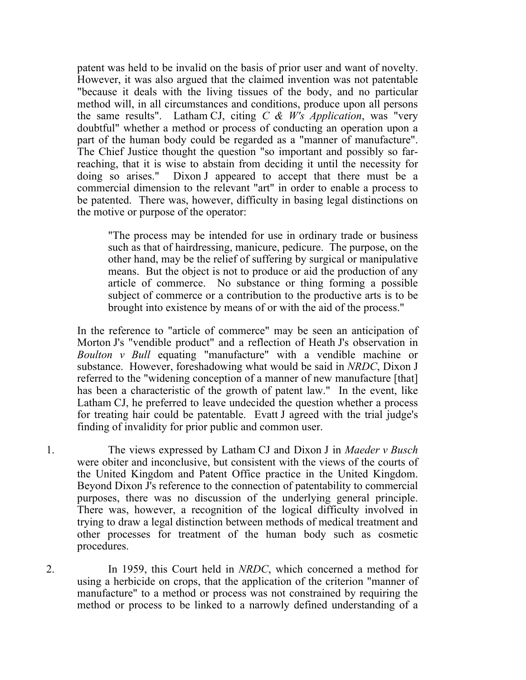patent was held to be invalid on the basis of prior user and want of novelty. However, it was also argued that the claimed invention was not patentable "because it deals with the living tissues of the body, and no particular method will, in all circumstances and conditions, produce upon all persons the same results". Latham CJ, citing *C & W's Application*, was "very doubtful" whether a method or process of conducting an operation upon a part of the human body could be regarded as a "manner of manufacture". The Chief Justice thought the question "so important and possibly so farreaching, that it is wise to abstain from deciding it until the necessity for doing so arises." Dixon J appeared to accept that there must be a commercial dimension to the relevant "art" in order to enable a process to be patented. There was, however, difficulty in basing legal distinctions on the motive or purpose of the operator:

"The process may be intended for use in ordinary trade or business such as that of hairdressing, manicure, pedicure. The purpose, on the other hand, may be the relief of suffering by surgical or manipulative means. But the object is not to produce or aid the production of any article of commerce. No substance or thing forming a possible subject of commerce or a contribution to the productive arts is to be brought into existence by means of or with the aid of the process."

In the reference to "article of commerce" may be seen an anticipation of Morton J's "vendible product" and a reflection of Heath J's observation in *Boulton v Bull* equating "manufacture" with a vendible machine or substance. However, foreshadowing what would be said in *NRDC*, Dixon J referred to the "widening conception of a manner of new manufacture [that] has been a characteristic of the growth of patent law." In the event, like Latham CJ, he preferred to leave undecided the question whether a process for treating hair could be patentable. Evatt J agreed with the trial judge's finding of invalidity for prior public and common user.

1. The views expressed by Latham CJ and Dixon J in *Maeder v Busch* were obiter and inconclusive, but consistent with the views of the courts of the United Kingdom and Patent Office practice in the United Kingdom. Beyond Dixon J's reference to the connection of patentability to commercial purposes, there was no discussion of the underlying general principle. There was, however, a recognition of the logical difficulty involved in trying to draw a legal distinction between methods of medical treatment and other processes for treatment of the human body such as cosmetic procedures.

2. In 1959, this Court held in *NRDC*, which concerned a method for using a herbicide on crops, that the application of the criterion "manner of manufacture" to a method or process was not constrained by requiring the method or process to be linked to a narrowly defined understanding of a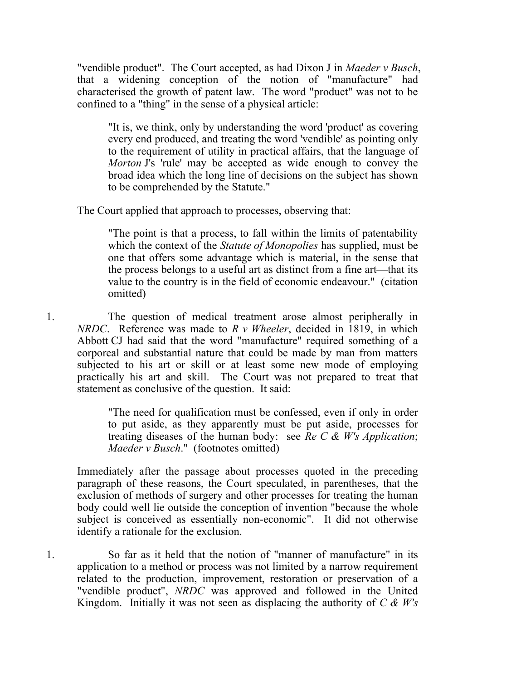"vendible product". The Court accepted, as had Dixon J in *Maeder v Busch*, that a widening conception of the notion of "manufacture" had characterised the growth of patent law. The word "product" was not to be confined to a "thing" in the sense of a physical article:

"It is, we think, only by understanding the word 'product' as covering every end produced, and treating the word 'vendible' as pointing only to the requirement of utility in practical affairs, that the language of *Morton* J's 'rule' may be accepted as wide enough to convey the broad idea which the long line of decisions on the subject has shown to be comprehended by the Statute."

The Court applied that approach to processes, observing that:

"The point is that a process, to fall within the limits of patentability which the context of the *Statute of Monopolies* has supplied, must be one that offers some advantage which is material, in the sense that the process belongs to a useful art as distinct from a fine art—that its value to the country is in the field of economic endeavour." (citation omitted)

1. The question of medical treatment arose almost peripherally in *NRDC*. Reference was made to *R v Wheeler*, decided in 1819, in which Abbott CJ had said that the word "manufacture" required something of a corporeal and substantial nature that could be made by man from matters subjected to his art or skill or at least some new mode of employing practically his art and skill. The Court was not prepared to treat that statement as conclusive of the question. It said:

> "The need for qualification must be confessed, even if only in order to put aside, as they apparently must be put aside, processes for treating diseases of the human body: see *Re C & W's Application*; *Maeder v Busch*." (footnotes omitted)

Immediately after the passage about processes quoted in the preceding paragraph of these reasons, the Court speculated, in parentheses, that the exclusion of methods of surgery and other processes for treating the human body could well lie outside the conception of invention "because the whole subject is conceived as essentially non-economic". It did not otherwise identify a rationale for the exclusion.

1. So far as it held that the notion of "manner of manufacture" in its application to a method or process was not limited by a narrow requirement related to the production, improvement, restoration or preservation of a "vendible product", *NRDC* was approved and followed in the United Kingdom. Initially it was not seen as displacing the authority of *C & W's*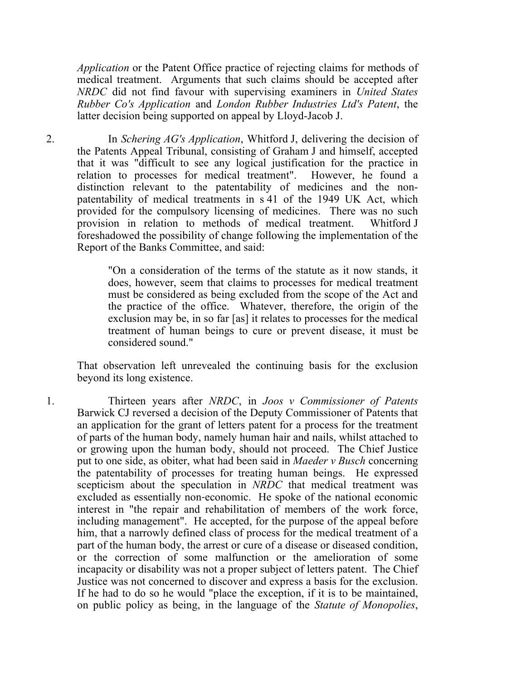*Application* or the Patent Office practice of rejecting claims for methods of medical treatment. Arguments that such claims should be accepted after *NRDC* did not find favour with supervising examiners in *United States Rubber Co's Application* and *London Rubber Industries Ltd's Patent*, the latter decision being supported on appeal by Lloyd-Jacob J.

2. In *Schering AG's Application*, Whitford J, delivering the decision of the Patents Appeal Tribunal, consisting of Graham J and himself, accepted that it was "difficult to see any logical justification for the practice in relation to processes for medical treatment". However, he found a distinction relevant to the patentability of medicines and the nonpatentability of medical treatments in s 41 of the 1949 UK Act, which provided for the compulsory licensing of medicines. There was no such provision in relation to methods of medical treatment. Whitford J foreshadowed the possibility of change following the implementation of the Report of the Banks Committee, and said:

> "On a consideration of the terms of the statute as it now stands, it does, however, seem that claims to processes for medical treatment must be considered as being excluded from the scope of the Act and the practice of the office. Whatever, therefore, the origin of the exclusion may be, in so far [as] it relates to processes for the medical treatment of human beings to cure or prevent disease, it must be considered sound."

That observation left unrevealed the continuing basis for the exclusion beyond its long existence.

1. Thirteen years after *NRDC*, in *Joos v Commissioner of Patents* Barwick CJ reversed a decision of the Deputy Commissioner of Patents that an application for the grant of letters patent for a process for the treatment of parts of the human body, namely human hair and nails, whilst attached to or growing upon the human body, should not proceed. The Chief Justice put to one side, as obiter, what had been said in *Maeder v Busch* concerning the patentability of processes for treating human beings. He expressed scepticism about the speculation in *NRDC* that medical treatment was excluded as essentially non‑economic. He spoke of the national economic interest in "the repair and rehabilitation of members of the work force, including management". He accepted, for the purpose of the appeal before him, that a narrowly defined class of process for the medical treatment of a part of the human body, the arrest or cure of a disease or diseased condition, or the correction of some malfunction or the amelioration of some incapacity or disability was not a proper subject of letters patent. The Chief Justice was not concerned to discover and express a basis for the exclusion. If he had to do so he would "place the exception, if it is to be maintained, on public policy as being, in the language of the *Statute of Monopolies*,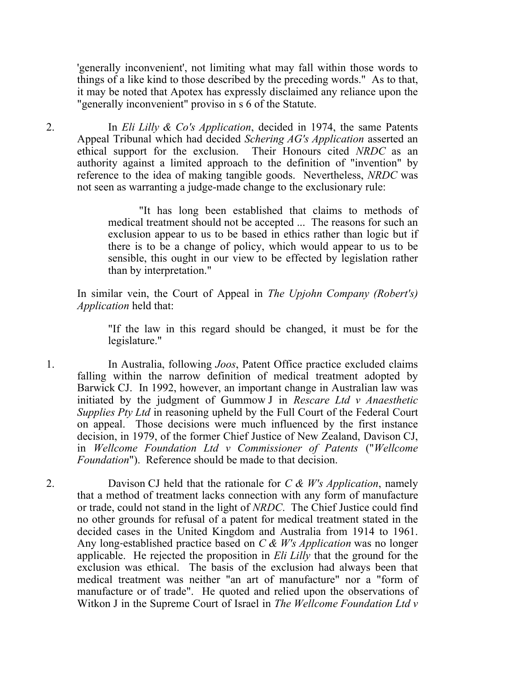'generally inconvenient', not limiting what may fall within those words to things of a like kind to those described by the preceding words." As to that, it may be noted that Apotex has expressly disclaimed any reliance upon the "generally inconvenient" proviso in s 6 of the Statute.

2. In *Eli Lilly & Co's Application*, decided in 1974, the same Patents Appeal Tribunal which had decided *Schering AG's Application* asserted an ethical support for the exclusion. Their Honours cited *NRDC* as an authority against a limited approach to the definition of "invention" by reference to the idea of making tangible goods. Nevertheless, *NRDC* was not seen as warranting a judge-made change to the exclusionary rule:

> "It has long been established that claims to methods of medical treatment should not be accepted ... The reasons for such an exclusion appear to us to be based in ethics rather than logic but if there is to be a change of policy, which would appear to us to be sensible, this ought in our view to be effected by legislation rather than by interpretation."

In similar vein, the Court of Appeal in *The Upjohn Company (Robert's) Application* held that:

"If the law in this regard should be changed, it must be for the legislature."

1. In Australia, following *Joos*, Patent Office practice excluded claims falling within the narrow definition of medical treatment adopted by Barwick CJ. In 1992, however, an important change in Australian law was initiated by the judgment of Gummow J in *Rescare Ltd v Anaesthetic Supplies Pty Ltd* in reasoning upheld by the Full Court of the Federal Court on appeal. Those decisions were much influenced by the first instance decision, in 1979, of the former Chief Justice of New Zealand, Davison CJ, in *Wellcome Foundation Ltd v Commissioner of Patents* ("*Wellcome Foundation*"). Reference should be made to that decision.

2. Davison CJ held that the rationale for *C & W's Application*, namely that a method of treatment lacks connection with any form of manufacture or trade, could not stand in the light of *NRDC*. The Chief Justice could find no other grounds for refusal of a patent for medical treatment stated in the decided cases in the United Kingdom and Australia from 1914 to 1961. Any long‑established practice based on *C & W's Application* was no longer applicable. He rejected the proposition in *Eli Lilly* that the ground for the exclusion was ethical. The basis of the exclusion had always been that medical treatment was neither "an art of manufacture" nor a "form of manufacture or of trade". He quoted and relied upon the observations of Witkon J in the Supreme Court of Israel in *The Wellcome Foundation Ltd v*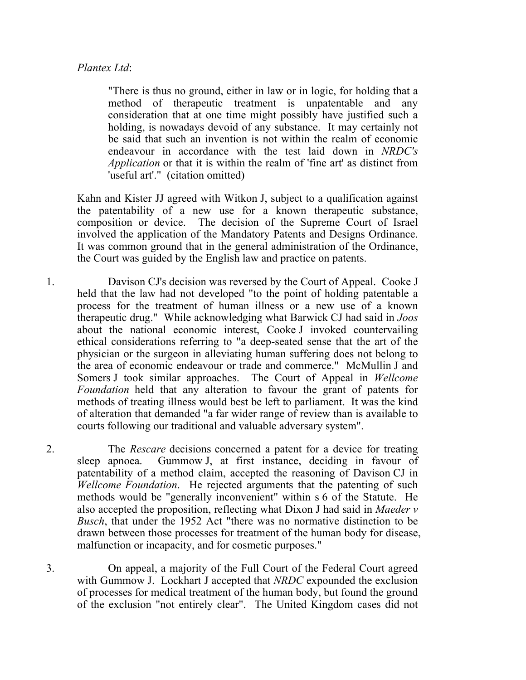#### *Plantex Ltd*:

"There is thus no ground, either in law or in logic, for holding that a method of therapeutic treatment is unpatentable and any consideration that at one time might possibly have justified such a holding, is nowadays devoid of any substance. It may certainly not be said that such an invention is not within the realm of economic endeavour in accordance with the test laid down in *NRDC's Application* or that it is within the realm of 'fine art' as distinct from 'useful art'." (citation omitted)

Kahn and Kister JJ agreed with Witkon J, subject to a qualification against the patentability of a new use for a known therapeutic substance, composition or device. The decision of the Supreme Court of Israel involved the application of the Mandatory Patents and Designs Ordinance. It was common ground that in the general administration of the Ordinance, the Court was guided by the English law and practice on patents.

- 1. Davison CJ's decision was reversed by the Court of Appeal. Cooke J held that the law had not developed "to the point of holding patentable a process for the treatment of human illness or a new use of a known therapeutic drug." While acknowledging what Barwick CJ had said in *Joos* about the national economic interest, Cooke J invoked countervailing ethical considerations referring to "a deep-seated sense that the art of the physician or the surgeon in alleviating human suffering does not belong to the area of economic endeavour or trade and commerce." McMullin J and Somers J took similar approaches. The Court of Appeal in *Wellcome Foundation* held that any alteration to favour the grant of patents for methods of treating illness would best be left to parliament. It was the kind of alteration that demanded "a far wider range of review than is available to courts following our traditional and valuable adversary system".
- 2. The *Rescare* decisions concerned a patent for a device for treating sleep apnoea. Gummow J, at first instance, deciding in favour of patentability of a method claim, accepted the reasoning of Davison CJ in *Wellcome Foundation*. He rejected arguments that the patenting of such methods would be "generally inconvenient" within s 6 of the Statute. He also accepted the proposition, reflecting what Dixon J had said in *Maeder v Busch*, that under the 1952 Act "there was no normative distinction to be drawn between those processes for treatment of the human body for disease, malfunction or incapacity, and for cosmetic purposes."
- 3. On appeal, a majority of the Full Court of the Federal Court agreed with Gummow J. Lockhart J accepted that *NRDC* expounded the exclusion of processes for medical treatment of the human body, but found the ground of the exclusion "not entirely clear". The United Kingdom cases did not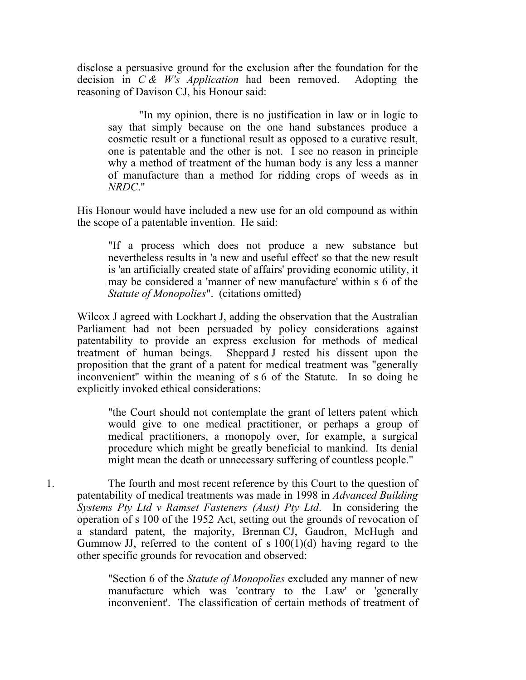disclose a persuasive ground for the exclusion after the foundation for the decision in *C & W's Application* had been removed. Adopting the reasoning of Davison CJ, his Honour said:

"In my opinion, there is no justification in law or in logic to say that simply because on the one hand substances produce a cosmetic result or a functional result as opposed to a curative result, one is patentable and the other is not. I see no reason in principle why a method of treatment of the human body is any less a manner of manufacture than a method for ridding crops of weeds as in *NRDC*."

His Honour would have included a new use for an old compound as within the scope of a patentable invention. He said:

"If a process which does not produce a new substance but nevertheless results in 'a new and useful effect' so that the new result is 'an artificially created state of affairs' providing economic utility, it may be considered a 'manner of new manufacture' within s 6 of the *Statute of Monopolies*". (citations omitted)

Wilcox J agreed with Lockhart J, adding the observation that the Australian Parliament had not been persuaded by policy considerations against patentability to provide an express exclusion for methods of medical treatment of human beings. Sheppard J rested his dissent upon the proposition that the grant of a patent for medical treatment was "generally inconvenient" within the meaning of s 6 of the Statute. In so doing he explicitly invoked ethical considerations:

"the Court should not contemplate the grant of letters patent which would give to one medical practitioner, or perhaps a group of medical practitioners, a monopoly over, for example, a surgical procedure which might be greatly beneficial to mankind. Its denial might mean the death or unnecessary suffering of countless people."

1. The fourth and most recent reference by this Court to the question of patentability of medical treatments was made in 1998 in *Advanced Building Systems Pty Ltd v Ramset Fasteners (Aust) Pty Ltd*. In considering the operation of s 100 of the 1952 Act, setting out the grounds of revocation of a standard patent, the majority, Brennan CJ, Gaudron, McHugh and Gummow JJ, referred to the content of  $s 100(1)(d)$  having regard to the other specific grounds for revocation and observed:

> "Section 6 of the *Statute of Monopolies* excluded any manner of new manufacture which was 'contrary to the Law' or 'generally inconvenient'. The classification of certain methods of treatment of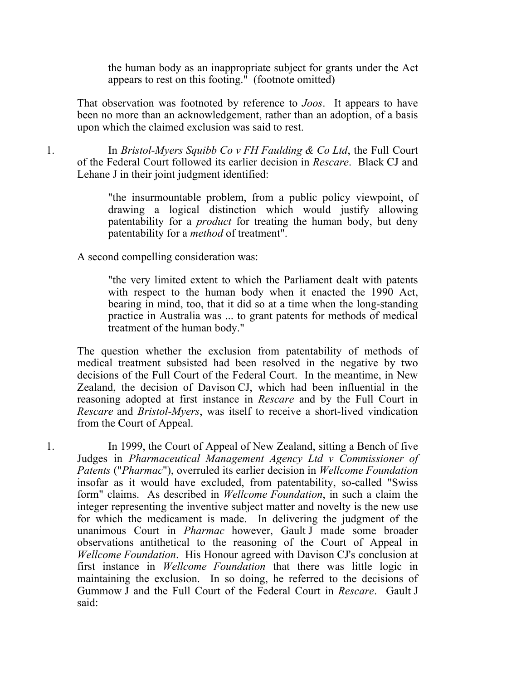the human body as an inappropriate subject for grants under the Act appears to rest on this footing." (footnote omitted)

That observation was footnoted by reference to *Joos*. It appears to have been no more than an acknowledgement, rather than an adoption, of a basis upon which the claimed exclusion was said to rest.

1. In *Bristol-Myers Squibb Co v FH Faulding & Co Ltd*, the Full Court of the Federal Court followed its earlier decision in *Rescare*. Black CJ and Lehane J in their joint judgment identified:

> "the insurmountable problem, from a public policy viewpoint, of drawing a logical distinction which would justify allowing patentability for a *product* for treating the human body, but deny patentability for a *method* of treatment".

A second compelling consideration was:

"the very limited extent to which the Parliament dealt with patents with respect to the human body when it enacted the 1990 Act, bearing in mind, too, that it did so at a time when the long-standing practice in Australia was ... to grant patents for methods of medical treatment of the human body."

The question whether the exclusion from patentability of methods of medical treatment subsisted had been resolved in the negative by two decisions of the Full Court of the Federal Court. In the meantime, in New Zealand, the decision of Davison CJ, which had been influential in the reasoning adopted at first instance in *Rescare* and by the Full Court in *Rescare* and *Bristol-Myers*, was itself to receive a short-lived vindication from the Court of Appeal.

1. In 1999, the Court of Appeal of New Zealand, sitting a Bench of five Judges in *Pharmaceutical Management Agency Ltd v Commissioner of Patents* ("*Pharmac*"), overruled its earlier decision in *Wellcome Foundation*  insofar as it would have excluded, from patentability, so-called "Swiss form" claims. As described in *Wellcome Foundation*, in such a claim the integer representing the inventive subject matter and novelty is the new use for which the medicament is made. In delivering the judgment of the unanimous Court in *Pharmac* however, Gault J made some broader observations antithetical to the reasoning of the Court of Appeal in *Wellcome Foundation*. His Honour agreed with Davison CJ's conclusion at first instance in *Wellcome Foundation* that there was little logic in maintaining the exclusion. In so doing, he referred to the decisions of Gummow J and the Full Court of the Federal Court in *Rescare*. Gault J said: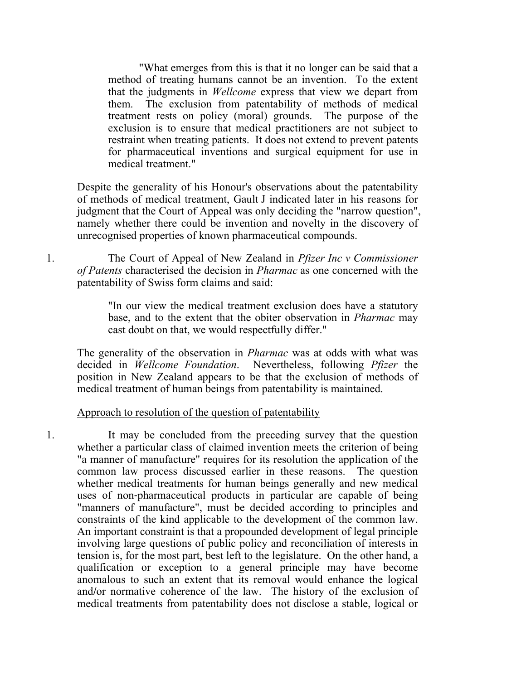"What emerges from this is that it no longer can be said that a method of treating humans cannot be an invention. To the extent that the judgments in *Wellcome* express that view we depart from them. The exclusion from patentability of methods of medical treatment rests on policy (moral) grounds. The purpose of the exclusion is to ensure that medical practitioners are not subject to restraint when treating patients. It does not extend to prevent patents for pharmaceutical inventions and surgical equipment for use in medical treatment."

Despite the generality of his Honour's observations about the patentability of methods of medical treatment, Gault J indicated later in his reasons for judgment that the Court of Appeal was only deciding the "narrow question", namely whether there could be invention and novelty in the discovery of unrecognised properties of known pharmaceutical compounds.

1. The Court of Appeal of New Zealand in *Pfizer Inc v Commissioner of Patents* characterised the decision in *Pharmac* as one concerned with the patentability of Swiss form claims and said:

> "In our view the medical treatment exclusion does have a statutory base, and to the extent that the obiter observation in *Pharmac* may cast doubt on that, we would respectfully differ."

The generality of the observation in *Pharmac* was at odds with what was decided in *Wellcome Foundation*. Nevertheless, following *Pfizer* the position in New Zealand appears to be that the exclusion of methods of medical treatment of human beings from patentability is maintained.

Approach to resolution of the question of patentability

1. It may be concluded from the preceding survey that the question whether a particular class of claimed invention meets the criterion of being "a manner of manufacture" requires for its resolution the application of the common law process discussed earlier in these reasons. The question whether medical treatments for human beings generally and new medical uses of non‑pharmaceutical products in particular are capable of being "manners of manufacture", must be decided according to principles and constraints of the kind applicable to the development of the common law. An important constraint is that a propounded development of legal principle involving large questions of public policy and reconciliation of interests in tension is, for the most part, best left to the legislature. On the other hand, a qualification or exception to a general principle may have become anomalous to such an extent that its removal would enhance the logical and**/**or normative coherence of the law. The history of the exclusion of medical treatments from patentability does not disclose a stable, logical or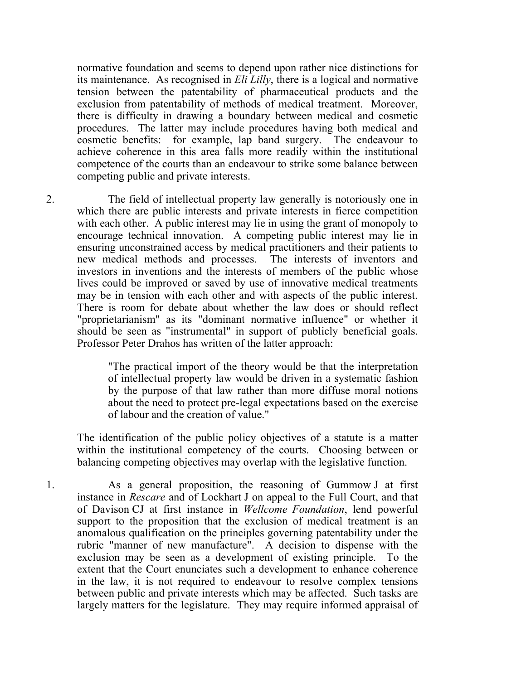normative foundation and seems to depend upon rather nice distinctions for its maintenance. As recognised in *Eli Lilly*, there is a logical and normative tension between the patentability of pharmaceutical products and the exclusion from patentability of methods of medical treatment. Moreover, there is difficulty in drawing a boundary between medical and cosmetic procedures. The latter may include procedures having both medical and cosmetic benefits: for example, lap band surgery. The endeavour to achieve coherence in this area falls more readily within the institutional competence of the courts than an endeavour to strike some balance between competing public and private interests.

2. The field of intellectual property law generally is notoriously one in which there are public interests and private interests in fierce competition with each other. A public interest may lie in using the grant of monopoly to encourage technical innovation. A competing public interest may lie in ensuring unconstrained access by medical practitioners and their patients to new medical methods and processes. The interests of inventors and investors in inventions and the interests of members of the public whose lives could be improved or saved by use of innovative medical treatments may be in tension with each other and with aspects of the public interest. There is room for debate about whether the law does or should reflect "proprietarianism" as its "dominant normative influence" or whether it should be seen as "instrumental" in support of publicly beneficial goals. Professor Peter Drahos has written of the latter approach:

> "The practical import of the theory would be that the interpretation of intellectual property law would be driven in a systematic fashion by the purpose of that law rather than more diffuse moral notions about the need to protect pre-legal expectations based on the exercise of labour and the creation of value."

The identification of the public policy objectives of a statute is a matter within the institutional competency of the courts. Choosing between or balancing competing objectives may overlap with the legislative function.

1. As a general proposition, the reasoning of Gummow J at first instance in *Rescare* and of Lockhart J on appeal to the Full Court, and that of Davison CJ at first instance in *Wellcome Foundation*, lend powerful support to the proposition that the exclusion of medical treatment is an anomalous qualification on the principles governing patentability under the rubric "manner of new manufacture". A decision to dispense with the exclusion may be seen as a development of existing principle. To the extent that the Court enunciates such a development to enhance coherence in the law, it is not required to endeavour to resolve complex tensions between public and private interests which may be affected. Such tasks are largely matters for the legislature. They may require informed appraisal of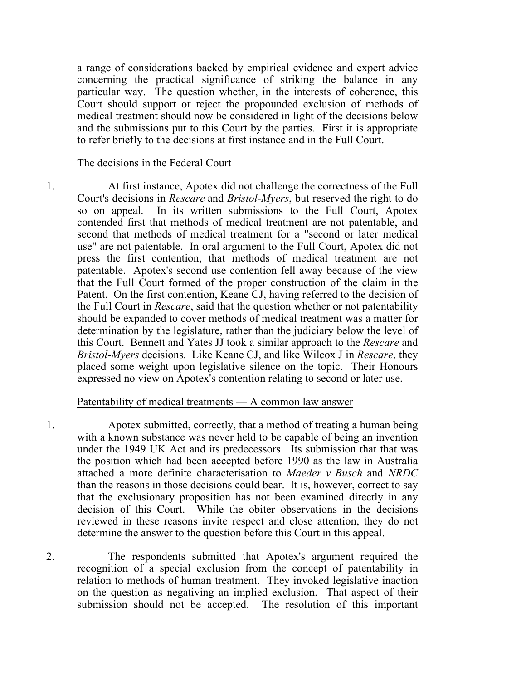a range of considerations backed by empirical evidence and expert advice concerning the practical significance of striking the balance in any particular way. The question whether, in the interests of coherence, this Court should support or reject the propounded exclusion of methods of medical treatment should now be considered in light of the decisions below and the submissions put to this Court by the parties. First it is appropriate to refer briefly to the decisions at first instance and in the Full Court.

#### The decisions in the Federal Court

1. At first instance, Apotex did not challenge the correctness of the Full Court's decisions in *Rescare* and *Bristol-Myers*, but reserved the right to do so on appeal. In its written submissions to the Full Court, Apotex contended first that methods of medical treatment are not patentable, and second that methods of medical treatment for a "second or later medical use" are not patentable. In oral argument to the Full Court, Apotex did not press the first contention, that methods of medical treatment are not patentable. Apotex's second use contention fell away because of the view that the Full Court formed of the proper construction of the claim in the Patent. On the first contention, Keane CJ, having referred to the decision of the Full Court in *Rescare*, said that the question whether or not patentability should be expanded to cover methods of medical treatment was a matter for determination by the legislature, rather than the judiciary below the level of this Court. Bennett and Yates JJ took a similar approach to the *Rescare* and *Bristol-Myers* decisions. Like Keane CJ, and like Wilcox J in *Rescare*, they placed some weight upon legislative silence on the topic. Their Honours expressed no view on Apotex's contention relating to second or later use.

#### Patentability of medical treatments — A common law answer

1. Apotex submitted, correctly, that a method of treating a human being with a known substance was never held to be capable of being an invention under the 1949 UK Act and its predecessors. Its submission that that was the position which had been accepted before 1990 as the law in Australia attached a more definite characterisation to *Maeder v Busch* and *NRDC* than the reasons in those decisions could bear. It is, however, correct to say that the exclusionary proposition has not been examined directly in any decision of this Court. While the obiter observations in the decisions reviewed in these reasons invite respect and close attention, they do not determine the answer to the question before this Court in this appeal.

2. The respondents submitted that Apotex's argument required the recognition of a special exclusion from the concept of patentability in relation to methods of human treatment. They invoked legislative inaction on the question as negativing an implied exclusion. That aspect of their submission should not be accepted. The resolution of this important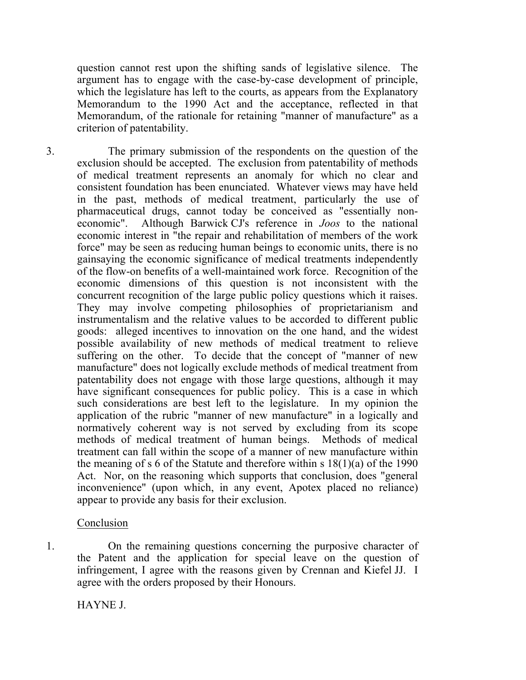question cannot rest upon the shifting sands of legislative silence. The argument has to engage with the case-by-case development of principle, which the legislature has left to the courts, as appears from the Explanatory Memorandum to the 1990 Act and the acceptance, reflected in that Memorandum, of the rationale for retaining "manner of manufacture" as a criterion of patentability.

3. The primary submission of the respondents on the question of the exclusion should be accepted. The exclusion from patentability of methods of medical treatment represents an anomaly for which no clear and consistent foundation has been enunciated. Whatever views may have held in the past, methods of medical treatment, particularly the use of pharmaceutical drugs, cannot today be conceived as "essentially noneconomic". Although Barwick CJ's reference in *Joos* to the national economic interest in "the repair and rehabilitation of members of the work force" may be seen as reducing human beings to economic units, there is no gainsaying the economic significance of medical treatments independently of the flow-on benefits of a well-maintained work force. Recognition of the economic dimensions of this question is not inconsistent with the concurrent recognition of the large public policy questions which it raises. They may involve competing philosophies of proprietarianism and instrumentalism and the relative values to be accorded to different public goods: alleged incentives to innovation on the one hand, and the widest possible availability of new methods of medical treatment to relieve suffering on the other. To decide that the concept of "manner of new manufacture" does not logically exclude methods of medical treatment from patentability does not engage with those large questions, although it may have significant consequences for public policy. This is a case in which such considerations are best left to the legislature. In my opinion the application of the rubric "manner of new manufacture" in a logically and normatively coherent way is not served by excluding from its scope methods of medical treatment of human beings. Methods of medical treatment can fall within the scope of a manner of new manufacture within the meaning of s 6 of the Statute and therefore within s  $18(1)(a)$  of the 1990 Act. Nor, on the reasoning which supports that conclusion, does "general inconvenience" (upon which, in any event, Apotex placed no reliance) appear to provide any basis for their exclusion.

#### Conclusion

1. On the remaining questions concerning the purposive character of the Patent and the application for special leave on the question of infringement, I agree with the reasons given by Crennan and Kiefel JJ. I agree with the orders proposed by their Honours.

HAYNE J.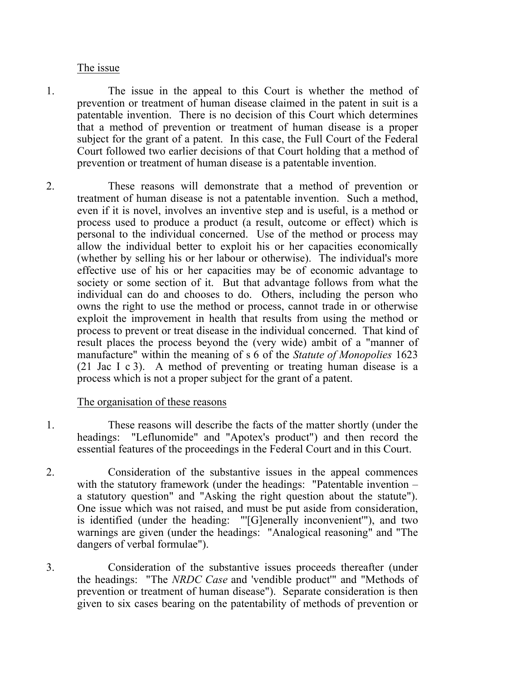#### The issue

- 1. The issue in the appeal to this Court is whether the method of prevention or treatment of human disease claimed in the patent in suit is a patentable invention. There is no decision of this Court which determines that a method of prevention or treatment of human disease is a proper subject for the grant of a patent. In this case, the Full Court of the Federal Court followed two earlier decisions of that Court holding that a method of prevention or treatment of human disease is a patentable invention.
- 2. These reasons will demonstrate that a method of prevention or treatment of human disease is not a patentable invention. Such a method, even if it is novel, involves an inventive step and is useful, is a method or process used to produce a product (a result, outcome or effect) which is personal to the individual concerned. Use of the method or process may allow the individual better to exploit his or her capacities economically (whether by selling his or her labour or otherwise). The individual's more effective use of his or her capacities may be of economic advantage to society or some section of it. But that advantage follows from what the individual can do and chooses to do. Others, including the person who owns the right to use the method or process, cannot trade in or otherwise exploit the improvement in health that results from using the method or process to prevent or treat disease in the individual concerned. That kind of result places the process beyond the (very wide) ambit of a "manner of manufacture" within the meaning of s 6 of the *Statute of Monopolies* 1623 (21 Jac I c 3). A method of preventing or treating human disease is a process which is not a proper subject for the grant of a patent.

#### The organisation of these reasons

- 1. These reasons will describe the facts of the matter shortly (under the headings: "Leflunomide" and "Apotex's product") and then record the essential features of the proceedings in the Federal Court and in this Court.
- 2. Consideration of the substantive issues in the appeal commences with the statutory framework (under the headings: "Patentable invention – a statutory question" and "Asking the right question about the statute"). One issue which was not raised, and must be put aside from consideration, is identified (under the heading: "'[G]enerally inconvenient'"), and two warnings are given (under the headings: "Analogical reasoning" and "The dangers of verbal formulae").
- 3. Consideration of the substantive issues proceeds thereafter (under the headings: "The *NRDC Case* and 'vendible product'" and "Methods of prevention or treatment of human disease"). Separate consideration is then given to six cases bearing on the patentability of methods of prevention or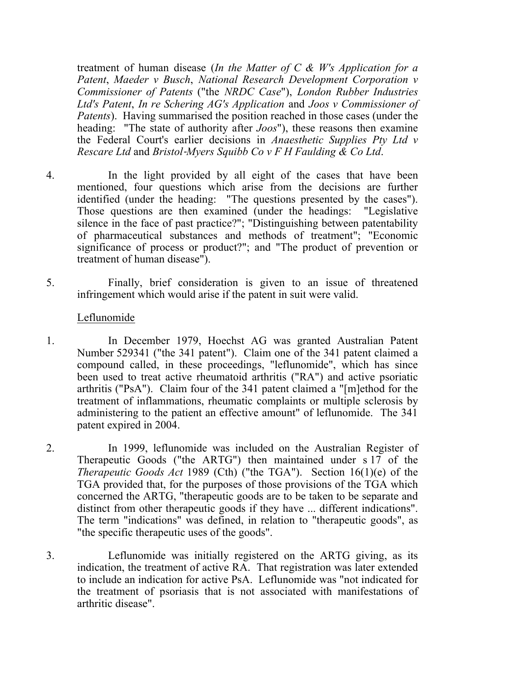treatment of human disease (*In the Matter of C & W's Application for a Patent*, *Maeder v Busch*, *National Research Development Corporation v Commissioner of Patents* ("the *NRDC Case*"), *London Rubber Industries Ltd's Patent*, *In re Schering AG's Application* and *Joos v Commissioner of Patents*). Having summarised the position reached in those cases (under the heading: "The state of authority after *Joos*"), these reasons then examine the Federal Court's earlier decisions in *Anaesthetic Supplies Pty Ltd v Rescare Ltd* and *Bristol*‑*Myers Squibb Co v F H Faulding & Co Ltd*.

- 4. In the light provided by all eight of the cases that have been mentioned, four questions which arise from the decisions are further identified (under the heading: "The questions presented by the cases"). Those questions are then examined (under the headings: "Legislative silence in the face of past practice?"; "Distinguishing between patentability of pharmaceutical substances and methods of treatment"; "Economic significance of process or product?"; and "The product of prevention or treatment of human disease").
- 5. Finally, brief consideration is given to an issue of threatened infringement which would arise if the patent in suit were valid.

### Leflunomide

- 1. In December 1979, Hoechst AG was granted Australian Patent Number 529341 ("the 341 patent"). Claim one of the 341 patent claimed a compound called, in these proceedings, "leflunomide", which has since been used to treat active rheumatoid arthritis ("RA") and active psoriatic arthritis ("PsA"). Claim four of the 341 patent claimed a "[m]ethod for the treatment of inflammations, rheumatic complaints or multiple sclerosis by administering to the patient an effective amount" of leflunomide. The 341 patent expired in 2004.
- 2. In 1999, leflunomide was included on the Australian Register of Therapeutic Goods ("the ARTG") then maintained under s 17 of the *Therapeutic Goods Act* 1989 (Cth) ("the TGA"). Section 16(1)(e) of the TGA provided that, for the purposes of those provisions of the TGA which concerned the ARTG, "therapeutic goods are to be taken to be separate and distinct from other therapeutic goods if they have ... different indications". The term "indications" was defined, in relation to "therapeutic goods", as "the specific therapeutic uses of the goods".
- 3. Leflunomide was initially registered on the ARTG giving, as its indication, the treatment of active RA. That registration was later extended to include an indication for active PsA. Leflunomide was "not indicated for the treatment of psoriasis that is not associated with manifestations of arthritic disease".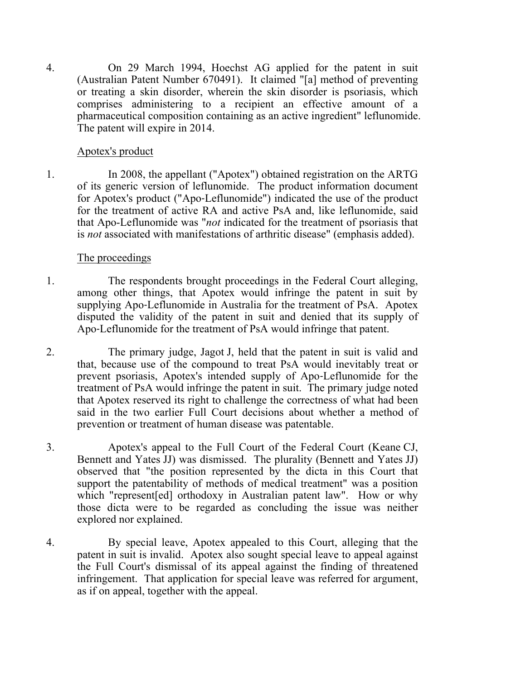4. On 29 March 1994, Hoechst AG applied for the patent in suit (Australian Patent Number 670491). It claimed "[a] method of preventing or treating a skin disorder, wherein the skin disorder is psoriasis, which comprises administering to a recipient an effective amount of a pharmaceutical composition containing as an active ingredient" leflunomide. The patent will expire in 2014.

## Apotex's product

1. In 2008, the appellant ("Apotex") obtained registration on the ARTG of its generic version of leflunomide. The product information document for Apotex's product ("Apo‑Leflunomide") indicated the use of the product for the treatment of active RA and active PsA and, like leflunomide, said that Apo-Leflunomide was "*not* indicated for the treatment of psoriasis that is *not* associated with manifestations of arthritic disease" (emphasis added).

### The proceedings

- 1. The respondents brought proceedings in the Federal Court alleging, among other things, that Apotex would infringe the patent in suit by supplying Apo‑Leflunomide in Australia for the treatment of PsA. Apotex disputed the validity of the patent in suit and denied that its supply of Apo‑Leflunomide for the treatment of PsA would infringe that patent.
- 2. The primary judge, Jagot J, held that the patent in suit is valid and that, because use of the compound to treat PsA would inevitably treat or prevent psoriasis, Apotex's intended supply of Apo‑Leflunomide for the treatment of PsA would infringe the patent in suit. The primary judge noted that Apotex reserved its right to challenge the correctness of what had been said in the two earlier Full Court decisions about whether a method of prevention or treatment of human disease was patentable.
- 3. Apotex's appeal to the Full Court of the Federal Court (Keane CJ, Bennett and Yates JJ) was dismissed. The plurality (Bennett and Yates JJ) observed that "the position represented by the dicta in this Court that support the patentability of methods of medical treatment" was a position which "represent[ed] orthodoxy in Australian patent law". How or why those dicta were to be regarded as concluding the issue was neither explored nor explained.
- 4. By special leave, Apotex appealed to this Court, alleging that the patent in suit is invalid. Apotex also sought special leave to appeal against the Full Court's dismissal of its appeal against the finding of threatened infringement. That application for special leave was referred for argument, as if on appeal, together with the appeal.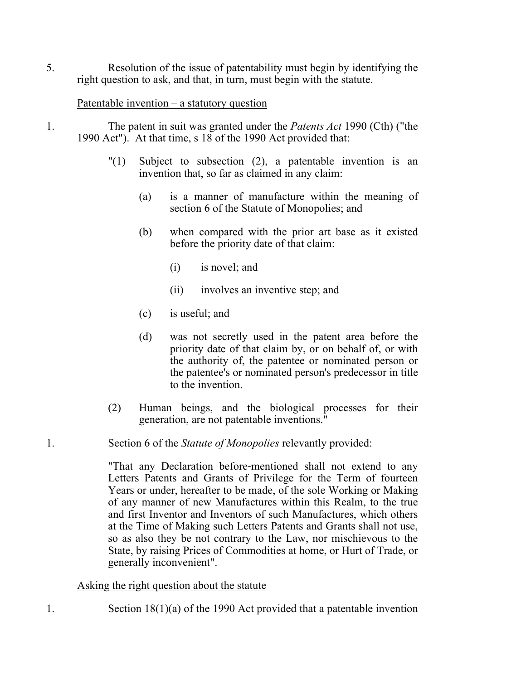5. Resolution of the issue of patentability must begin by identifying the right question to ask, and that, in turn, must begin with the statute.

### Patentable invention – a statutory question

- 1. The patent in suit was granted under the *Patents Act* 1990 (Cth) ("the 1990 Act"). At that time, s 18 of the 1990 Act provided that:
	- "(1) Subject to subsection (2), a patentable invention is an invention that, so far as claimed in any claim:
		- (a) is a manner of manufacture within the meaning of section 6 of the Statute of Monopolies; and
		- (b) when compared with the prior art base as it existed before the priority date of that claim:
			- (i) is novel; and
			- (ii) involves an inventive step; and
		- (c) is useful; and
		- (d) was not secretly used in the patent area before the priority date of that claim by, or on behalf of, or with the authority of, the patentee or nominated person or the patentee's or nominated person's predecessor in title to the invention.
	- (2) Human beings, and the biological processes for their generation, are not patentable inventions."
- 1. Section 6 of the *Statute of Monopolies* relevantly provided:

"That any Declaration before‑mentioned shall not extend to any Letters Patents and Grants of Privilege for the Term of fourteen Years or under, hereafter to be made, of the sole Working or Making of any manner of new Manufactures within this Realm, to the true and first Inventor and Inventors of such Manufactures, which others at the Time of Making such Letters Patents and Grants shall not use, so as also they be not contrary to the Law, nor mischievous to the State, by raising Prices of Commodities at home, or Hurt of Trade, or generally inconvenient".

# Asking the right question about the statute

1. Section 18(1)(a) of the 1990 Act provided that a patentable invention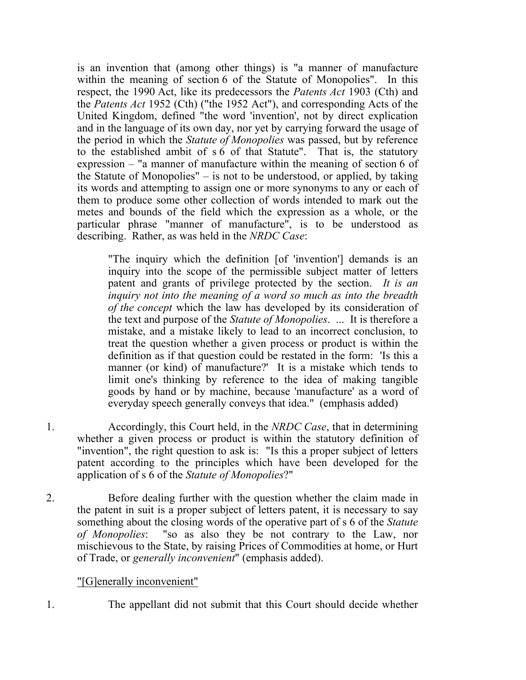is an invention that (among other things) is "a manner of manufacture within the meaning of section 6 of the Statute of Monopolies". In this respect, the 1990 Act, like its predecessors the *Patents Act* 1903 (Cth) and the *Patents Act* 1952 (Cth) ("the 1952 Act"), and corresponding Acts of the United Kingdom, defined "the word 'invention', not by direct explication and in the language of its own day, nor yet by carrying forward the usage of the period in which the *Statute of Monopolies* was passed, but by reference to the established ambit of  $s \circ \circ f$  that Statute". That is, the statutory expression – "a manner of manufacture within the meaning of section 6 of the Statute of Monopolies" – is not to be understood, or applied, by taking its words and attempting to assign one or more synonyms to any or each of them to produce some other collection of words intended to mark out the metes and bounds of the field which the expression as a whole, or the particular phrase "manner of manufacture", is to be understood as describing. Rather, as was held in the *NRDC Case*:

"The inquiry which the definition [of 'invention'] demands is an inquiry into the scope of the permissible subject matter of letters patent and grants of privilege protected by the section. *It is an inquiry not into the meaning of a word so much as into the breadth of the concept* which the law has developed by its consideration of the text and purpose of the *Statute of Monopolies*. ... It is therefore a mistake, and a mistake likely to lead to an incorrect conclusion, to treat the question whether a given process or product is within the definition as if that question could be restated in the form: 'Is this a manner (or kind) of manufacture?' It is a mistake which tends to limit one's thinking by reference to the idea of making tangible goods by hand or by machine, because 'manufacture' as a word of everyday speech generally conveys that idea." (emphasis added)

1. Accordingly, this Court held, in the *NRDC Case*, that in determining whether a given process or product is within the statutory definition of "invention", the right question to ask is: "Is this a proper subject of letters patent according to the principles which have been developed for the application of s 6 of the *Statute of Monopolies*?"

2. Before dealing further with the question whether the claim made in the patent in suit is a proper subject of letters patent, it is necessary to say something about the closing words of the operative part of s 6 of the *Statute of Monopolies*: "so as also they be not contrary to the Law, nor mischievous to the State, by raising Prices of Commodities at home, or Hurt of Trade, or *generally inconvenient*" (emphasis added).

#### "[G]enerally inconvenient"

1. The appellant did not submit that this Court should decide whether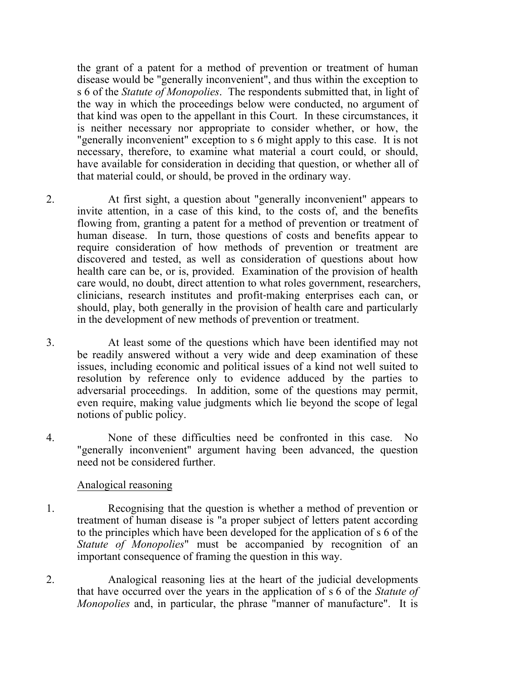the grant of a patent for a method of prevention or treatment of human disease would be "generally inconvenient", and thus within the exception to s 6 of the *Statute of Monopolies*. The respondents submitted that, in light of the way in which the proceedings below were conducted, no argument of that kind was open to the appellant in this Court. In these circumstances, it is neither necessary nor appropriate to consider whether, or how, the "generally inconvenient" exception to s 6 might apply to this case. It is not necessary, therefore, to examine what material a court could, or should, have available for consideration in deciding that question, or whether all of that material could, or should, be proved in the ordinary way.

- 2. At first sight, a question about "generally inconvenient" appears to invite attention, in a case of this kind, to the costs of, and the benefits flowing from, granting a patent for a method of prevention or treatment of human disease. In turn, those questions of costs and benefits appear to require consideration of how methods of prevention or treatment are discovered and tested, as well as consideration of questions about how health care can be, or is, provided. Examination of the provision of health care would, no doubt, direct attention to what roles government, researchers, clinicians, research institutes and profit‑making enterprises each can, or should, play, both generally in the provision of health care and particularly in the development of new methods of prevention or treatment.
- 3. At least some of the questions which have been identified may not be readily answered without a very wide and deep examination of these issues, including economic and political issues of a kind not well suited to resolution by reference only to evidence adduced by the parties to adversarial proceedings. In addition, some of the questions may permit, even require, making value judgments which lie beyond the scope of legal notions of public policy.
- 4. None of these difficulties need be confronted in this case. No "generally inconvenient" argument having been advanced, the question need not be considered further.

#### Analogical reasoning

- 1. Recognising that the question is whether a method of prevention or treatment of human disease is "a proper subject of letters patent according to the principles which have been developed for the application of s 6 of the *Statute of Monopolies*" must be accompanied by recognition of an important consequence of framing the question in this way.
- 2. Analogical reasoning lies at the heart of the judicial developments that have occurred over the years in the application of s 6 of the *Statute of Monopolies* and, in particular, the phrase "manner of manufacture". It is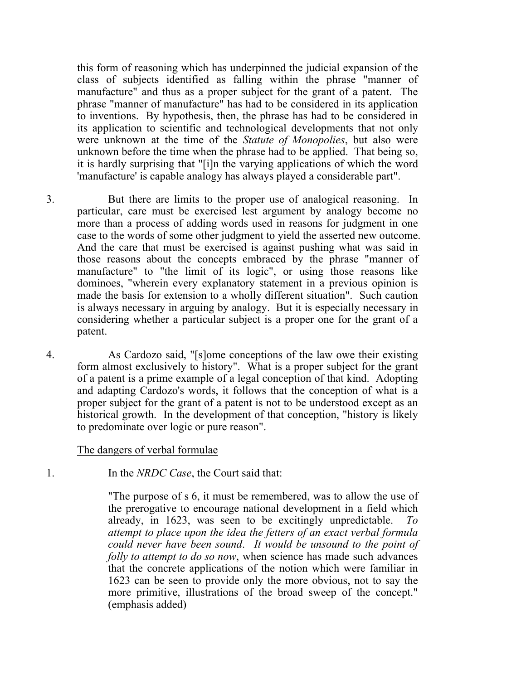this form of reasoning which has underpinned the judicial expansion of the class of subjects identified as falling within the phrase "manner of manufacture" and thus as a proper subject for the grant of a patent. The phrase "manner of manufacture" has had to be considered in its application to inventions. By hypothesis, then, the phrase has had to be considered in its application to scientific and technological developments that not only were unknown at the time of the *Statute of Monopolies*, but also were unknown before the time when the phrase had to be applied. That being so, it is hardly surprising that "[i]n the varying applications of which the word 'manufacture' is capable analogy has always played a considerable part".

3. But there are limits to the proper use of analogical reasoning. In particular, care must be exercised lest argument by analogy become no more than a process of adding words used in reasons for judgment in one case to the words of some other judgment to yield the asserted new outcome. And the care that must be exercised is against pushing what was said in those reasons about the concepts embraced by the phrase "manner of manufacture" to "the limit of its logic", or using those reasons like dominoes, "wherein every explanatory statement in a previous opinion is made the basis for extension to a wholly different situation". Such caution is always necessary in arguing by analogy. But it is especially necessary in considering whether a particular subject is a proper one for the grant of a patent.

4. As Cardozo said, "[s]ome conceptions of the law owe their existing form almost exclusively to history". What is a proper subject for the grant of a patent is a prime example of a legal conception of that kind. Adopting and adapting Cardozo's words, it follows that the conception of what is a proper subject for the grant of a patent is not to be understood except as an historical growth. In the development of that conception, "history is likely to predominate over logic or pure reason".

#### The dangers of verbal formulae

1. In the *NRDC Case*, the Court said that:

"The purpose of s 6, it must be remembered, was to allow the use of the prerogative to encourage national development in a field which already, in 1623, was seen to be excitingly unpredictable. *To attempt to place upon the idea the fetters of an exact verbal formula could never have been sound*. *It would be unsound to the point of folly to attempt to do so now*, when science has made such advances that the concrete applications of the notion which were familiar in 1623 can be seen to provide only the more obvious, not to say the more primitive, illustrations of the broad sweep of the concept." (emphasis added)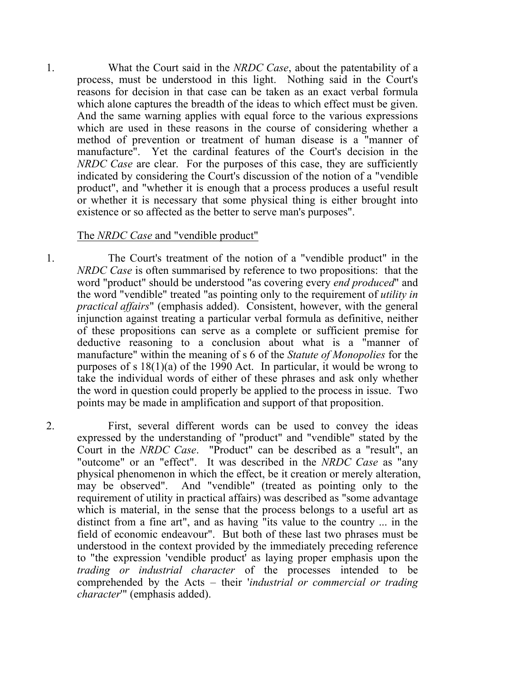1. What the Court said in the *NRDC Case*, about the patentability of a process, must be understood in this light. Nothing said in the Court's reasons for decision in that case can be taken as an exact verbal formula which alone captures the breadth of the ideas to which effect must be given. And the same warning applies with equal force to the various expressions which are used in these reasons in the course of considering whether a method of prevention or treatment of human disease is a "manner of manufacture". Yet the cardinal features of the Court's decision in the *NRDC Case* are clear. For the purposes of this case, they are sufficiently indicated by considering the Court's discussion of the notion of a "vendible product", and "whether it is enough that a process produces a useful result or whether it is necessary that some physical thing is either brought into existence or so affected as the better to serve man's purposes".

#### The *NRDC Case* and "vendible product"

1. The Court's treatment of the notion of a "vendible product" in the *NRDC Case* is often summarised by reference to two propositions: that the word "product" should be understood "as covering every *end produced*" and the word "vendible" treated "as pointing only to the requirement of *utility in practical affairs*" (emphasis added). Consistent, however, with the general injunction against treating a particular verbal formula as definitive, neither of these propositions can serve as a complete or sufficient premise for deductive reasoning to a conclusion about what is a "manner of manufacture" within the meaning of s 6 of the *Statute of Monopolies* for the purposes of s 18(1)(a) of the 1990 Act. In particular, it would be wrong to take the individual words of either of these phrases and ask only whether the word in question could properly be applied to the process in issue. Two points may be made in amplification and support of that proposition.

2. First, several different words can be used to convey the ideas expressed by the understanding of "product" and "vendible" stated by the Court in the *NRDC Case*. "Product" can be described as a "result", an "outcome" or an "effect". It was described in the *NRDC Case* as "any physical phenomenon in which the effect, be it creation or merely alteration, may be observed". And "vendible" (treated as pointing only to the requirement of utility in practical affairs) was described as "some advantage which is material, in the sense that the process belongs to a useful art as distinct from a fine art", and as having "its value to the country ... in the field of economic endeavour". But both of these last two phrases must be understood in the context provided by the immediately preceding reference to "the expression 'vendible product' as laying proper emphasis upon the *trading or industrial character* of the processes intended to be comprehended by the Acts – their '*industrial or commercial or trading character*'" (emphasis added).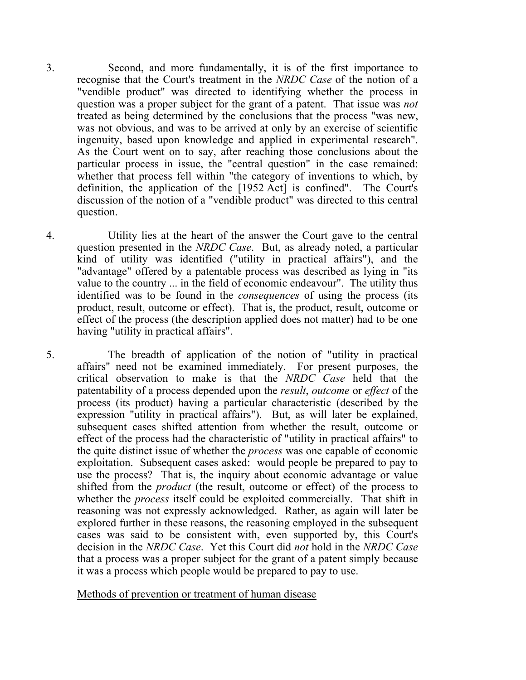3. Second, and more fundamentally, it is of the first importance to recognise that the Court's treatment in the *NRDC Case* of the notion of a "vendible product" was directed to identifying whether the process in question was a proper subject for the grant of a patent. That issue was *not* treated as being determined by the conclusions that the process "was new, was not obvious, and was to be arrived at only by an exercise of scientific ingenuity, based upon knowledge and applied in experimental research". As the Court went on to say, after reaching those conclusions about the particular process in issue, the "central question" in the case remained: whether that process fell within "the category of inventions to which, by definition, the application of the [1952 Act] is confined". The Court's discussion of the notion of a "vendible product" was directed to this central question.

4. Utility lies at the heart of the answer the Court gave to the central question presented in the *NRDC Case*. But, as already noted, a particular kind of utility was identified ("utility in practical affairs"), and the "advantage" offered by a patentable process was described as lying in "its value to the country ... in the field of economic endeavour". The utility thus identified was to be found in the *consequences* of using the process (its product, result, outcome or effect). That is, the product, result, outcome or effect of the process (the description applied does not matter) had to be one having "utility in practical affairs".

5. The breadth of application of the notion of "utility in practical affairs" need not be examined immediately. For present purposes, the critical observation to make is that the *NRDC Case* held that the patentability of a process depended upon the *result*, *outcome* or *effect* of the process (its product) having a particular characteristic (described by the expression "utility in practical affairs"). But, as will later be explained, subsequent cases shifted attention from whether the result, outcome or effect of the process had the characteristic of "utility in practical affairs" to the quite distinct issue of whether the *process* was one capable of economic exploitation. Subsequent cases asked: would people be prepared to pay to use the process? That is, the inquiry about economic advantage or value shifted from the *product* (the result, outcome or effect) of the process to whether the *process* itself could be exploited commercially. That shift in reasoning was not expressly acknowledged. Rather, as again will later be explored further in these reasons, the reasoning employed in the subsequent cases was said to be consistent with, even supported by, this Court's decision in the *NRDC Case*. Yet this Court did *not* hold in the *NRDC Case* that a process was a proper subject for the grant of a patent simply because it was a process which people would be prepared to pay to use.

Methods of prevention or treatment of human disease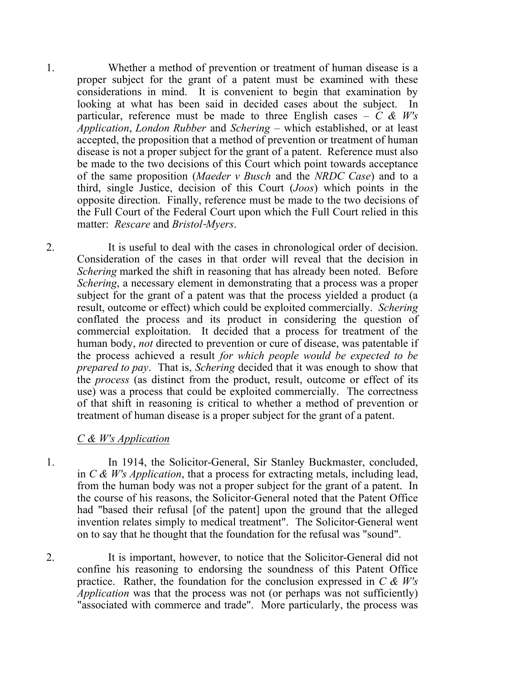1. Whether a method of prevention or treatment of human disease is a proper subject for the grant of a patent must be examined with these considerations in mind. It is convenient to begin that examination by looking at what has been said in decided cases about the subject. In particular, reference must be made to three English cases  $- C \& W's$ *Application*, *London Rubber* and *Schering* – which established, or at least accepted, the proposition that a method of prevention or treatment of human disease is not a proper subject for the grant of a patent. Reference must also be made to the two decisions of this Court which point towards acceptance of the same proposition (*Maeder v Busch* and the *NRDC Case*) and to a third, single Justice, decision of this Court (*Joos*) which points in the opposite direction. Finally, reference must be made to the two decisions of the Full Court of the Federal Court upon which the Full Court relied in this matter: *Rescare* and *Bristol*‑*Myers*.

2. It is useful to deal with the cases in chronological order of decision. Consideration of the cases in that order will reveal that the decision in *Schering* marked the shift in reasoning that has already been noted. Before *Schering*, a necessary element in demonstrating that a process was a proper subject for the grant of a patent was that the process yielded a product (a result, outcome or effect) which could be exploited commercially. *Schering* conflated the process and its product in considering the question of commercial exploitation. It decided that a process for treatment of the human body, *not* directed to prevention or cure of disease, was patentable if the process achieved a result *for which people would be expected to be prepared to pay*. That is, *Schering* decided that it was enough to show that the *process* (as distinct from the product, result, outcome or effect of its use) was a process that could be exploited commercially. The correctness of that shift in reasoning is critical to whether a method of prevention or treatment of human disease is a proper subject for the grant of a patent.

#### *C & W's Application*

1. In 1914, the Solicitor-General, Sir Stanley Buckmaster, concluded, in *C & W's Application*, that a process for extracting metals, including lead, from the human body was not a proper subject for the grant of a patent. In the course of his reasons, the Solicitor‑General noted that the Patent Office had "based their refusal [of the patent] upon the ground that the alleged invention relates simply to medical treatment". The Solicitor-General went on to say that he thought that the foundation for the refusal was "sound".

2. It is important, however, to notice that the Solicitor-General did not confine his reasoning to endorsing the soundness of this Patent Office practice. Rather, the foundation for the conclusion expressed in *C & W's Application* was that the process was not (or perhaps was not sufficiently) "associated with commerce and trade". More particularly, the process was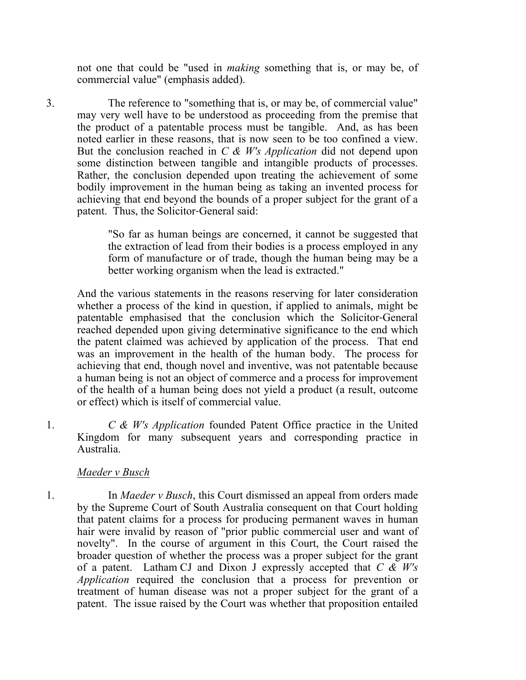not one that could be "used in *making* something that is, or may be, of commercial value" (emphasis added).

3. The reference to "something that is, or may be, of commercial value" may very well have to be understood as proceeding from the premise that the product of a patentable process must be tangible. And, as has been noted earlier in these reasons, that is now seen to be too confined a view. But the conclusion reached in *C & W's Application* did not depend upon some distinction between tangible and intangible products of processes. Rather, the conclusion depended upon treating the achievement of some bodily improvement in the human being as taking an invented process for achieving that end beyond the bounds of a proper subject for the grant of a patent. Thus, the Solicitor-General said:

> "So far as human beings are concerned, it cannot be suggested that the extraction of lead from their bodies is a process employed in any form of manufacture or of trade, though the human being may be a better working organism when the lead is extracted."

And the various statements in the reasons reserving for later consideration whether a process of the kind in question, if applied to animals, might be patentable emphasised that the conclusion which the Solicitor‑General reached depended upon giving determinative significance to the end which the patent claimed was achieved by application of the process. That end was an improvement in the health of the human body. The process for achieving that end, though novel and inventive, was not patentable because a human being is not an object of commerce and a process for improvement of the health of a human being does not yield a product (a result, outcome or effect) which is itself of commercial value.

1. *C & W's Application* founded Patent Office practice in the United Kingdom for many subsequent years and corresponding practice in Australia.

#### *Maeder v Busch*

1. In *Maeder v Busch*, this Court dismissed an appeal from orders made by the Supreme Court of South Australia consequent on that Court holding that patent claims for a process for producing permanent waves in human hair were invalid by reason of "prior public commercial user and want of novelty". In the course of argument in this Court, the Court raised the broader question of whether the process was a proper subject for the grant of a patent. Latham CJ and Dixon J expressly accepted that *C & W's Application* required the conclusion that a process for prevention or treatment of human disease was not a proper subject for the grant of a patent. The issue raised by the Court was whether that proposition entailed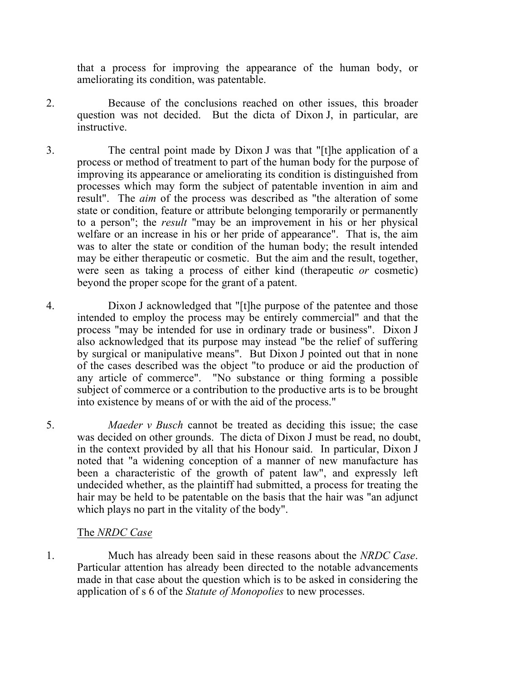that a process for improving the appearance of the human body, or ameliorating its condition, was patentable.

- 2. Because of the conclusions reached on other issues, this broader question was not decided. But the dicta of Dixon J, in particular, are instructive.
- 3. The central point made by Dixon J was that "[t]he application of a process or method of treatment to part of the human body for the purpose of improving its appearance or ameliorating its condition is distinguished from processes which may form the subject of patentable invention in aim and result". The *aim* of the process was described as "the alteration of some state or condition, feature or attribute belonging temporarily or permanently to a person"; the *result* "may be an improvement in his or her physical welfare or an increase in his or her pride of appearance". That is, the aim was to alter the state or condition of the human body; the result intended may be either therapeutic or cosmetic. But the aim and the result, together, were seen as taking a process of either kind (therapeutic *or* cosmetic) beyond the proper scope for the grant of a patent.
- 4. Dixon J acknowledged that "[t]he purpose of the patentee and those intended to employ the process may be entirely commercial" and that the process "may be intended for use in ordinary trade or business". Dixon J also acknowledged that its purpose may instead "be the relief of suffering by surgical or manipulative means". But Dixon J pointed out that in none of the cases described was the object "to produce or aid the production of any article of commerce". "No substance or thing forming a possible subject of commerce or a contribution to the productive arts is to be brought into existence by means of or with the aid of the process."
- 5. *Maeder v Busch* cannot be treated as deciding this issue; the case was decided on other grounds. The dicta of Dixon J must be read, no doubt, in the context provided by all that his Honour said. In particular, Dixon J noted that "a widening conception of a manner of new manufacture has been a characteristic of the growth of patent law", and expressly left undecided whether, as the plaintiff had submitted, a process for treating the hair may be held to be patentable on the basis that the hair was "an adjunct which plays no part in the vitality of the body".

#### The *NRDC Case*

1. Much has already been said in these reasons about the *NRDC Case*. Particular attention has already been directed to the notable advancements made in that case about the question which is to be asked in considering the application of s 6 of the *Statute of Monopolies* to new processes.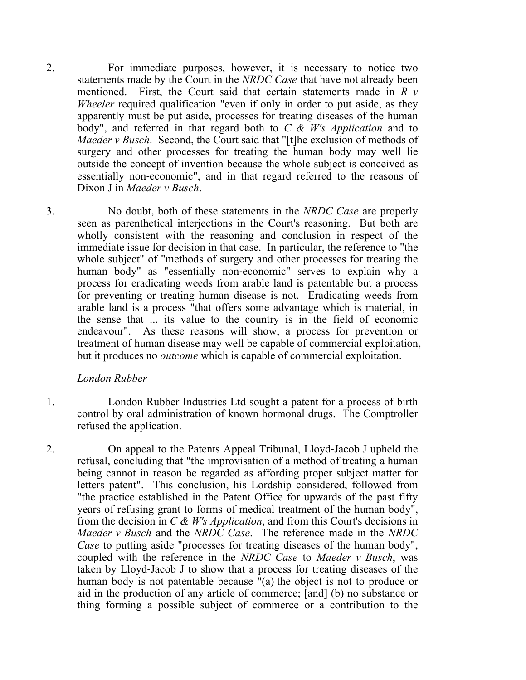- 2. For immediate purposes, however, it is necessary to notice two statements made by the Court in the *NRDC Case* that have not already been mentioned. First, the Court said that certain statements made in *R v Wheeler* required qualification "even if only in order to put aside, as they apparently must be put aside, processes for treating diseases of the human body", and referred in that regard both to *C & W's Application* and to *Maeder v Busch*. Second, the Court said that "[t]he exclusion of methods of surgery and other processes for treating the human body may well lie outside the concept of invention because the whole subject is conceived as essentially non-economic", and in that regard referred to the reasons of Dixon J in *Maeder v Busch*.
- 3. No doubt, both of these statements in the *NRDC Case* are properly seen as parenthetical interjections in the Court's reasoning. But both are wholly consistent with the reasoning and conclusion in respect of the immediate issue for decision in that case. In particular, the reference to "the whole subject" of "methods of surgery and other processes for treating the human body" as "essentially non-economic" serves to explain why a process for eradicating weeds from arable land is patentable but a process for preventing or treating human disease is not. Eradicating weeds from arable land is a process "that offers some advantage which is material, in the sense that ... its value to the country is in the field of economic endeavour". As these reasons will show, a process for prevention or treatment of human disease may well be capable of commercial exploitation, but it produces no *outcome* which is capable of commercial exploitation.

#### *London Rubber*

- 1. London Rubber Industries Ltd sought a patent for a process of birth control by oral administration of known hormonal drugs. The Comptroller refused the application.
- 2. On appeal to the Patents Appeal Tribunal, Lloyd‑Jacob J upheld the refusal, concluding that "the improvisation of a method of treating a human being cannot in reason be regarded as affording proper subject matter for letters patent". This conclusion, his Lordship considered, followed from "the practice established in the Patent Office for upwards of the past fifty years of refusing grant to forms of medical treatment of the human body", from the decision in *C & W's Application*, and from this Court's decisions in *Maeder v Busch* and the *NRDC Case*. The reference made in the *NRDC Case* to putting aside "processes for treating diseases of the human body", coupled with the reference in the *NRDC Case* to *Maeder v Busch*, was taken by Lloyd‑Jacob J to show that a process for treating diseases of the human body is not patentable because "(a) the object is not to produce or aid in the production of any article of commerce; [and] (b) no substance or thing forming a possible subject of commerce or a contribution to the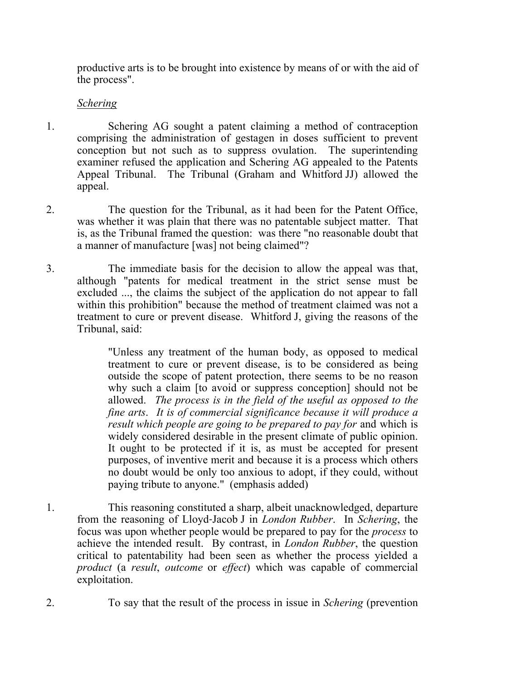productive arts is to be brought into existence by means of or with the aid of the process".

## *Schering*

- 1. Schering AG sought a patent claiming a method of contraception comprising the administration of gestagen in doses sufficient to prevent conception but not such as to suppress ovulation. The superintending examiner refused the application and Schering AG appealed to the Patents Appeal Tribunal. The Tribunal (Graham and Whitford JJ) allowed the appeal.
- 2. The question for the Tribunal, as it had been for the Patent Office, was whether it was plain that there was no patentable subject matter. That is, as the Tribunal framed the question: was there "no reasonable doubt that a manner of manufacture [was] not being claimed"?
- 3. The immediate basis for the decision to allow the appeal was that, although "patents for medical treatment in the strict sense must be excluded ..., the claims the subject of the application do not appear to fall within this prohibition" because the method of treatment claimed was not a treatment to cure or prevent disease. Whitford J, giving the reasons of the Tribunal, said:

"Unless any treatment of the human body, as opposed to medical treatment to cure or prevent disease, is to be considered as being outside the scope of patent protection, there seems to be no reason why such a claim [to avoid or suppress conception] should not be allowed. *The process is in the field of the useful as opposed to the fine arts*. *It is of commercial significance because it will produce a result which people are going to be prepared to pay for* and which is widely considered desirable in the present climate of public opinion. It ought to be protected if it is, as must be accepted for present purposes, of inventive merit and because it is a process which others no doubt would be only too anxious to adopt, if they could, without paying tribute to anyone." (emphasis added)

- 1. This reasoning constituted a sharp, albeit unacknowledged, departure from the reasoning of Lloyd‑Jacob J in *London Rubber*. In *Schering*, the focus was upon whether people would be prepared to pay for the *process* to achieve the intended result. By contrast, in *London Rubber*, the question critical to patentability had been seen as whether the process yielded a *product* (a *result*, *outcome* or *effect*) which was capable of commercial exploitation.
- 2. To say that the result of the process in issue in *Schering* (prevention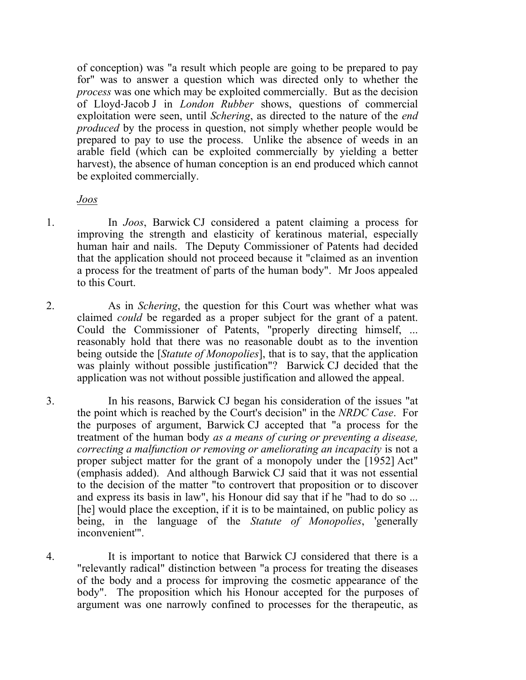of conception) was "a result which people are going to be prepared to pay for" was to answer a question which was directed only to whether the *process* was one which may be exploited commercially. But as the decision of Lloyd‑Jacob J in *London Rubber* shows, questions of commercial exploitation were seen, until *Schering*, as directed to the nature of the *end produced* by the process in question, not simply whether people would be prepared to pay to use the process. Unlike the absence of weeds in an arable field (which can be exploited commercially by yielding a better harvest), the absence of human conception is an end produced which cannot be exploited commercially.

#### *Joos*

- 1. In *Joos*, Barwick CJ considered a patent claiming a process for improving the strength and elasticity of keratinous material, especially human hair and nails. The Deputy Commissioner of Patents had decided that the application should not proceed because it "claimed as an invention a process for the treatment of parts of the human body". Mr Joos appealed to this Court.
- 2. As in *Schering*, the question for this Court was whether what was claimed *could* be regarded as a proper subject for the grant of a patent. Could the Commissioner of Patents, "properly directing himself, ... reasonably hold that there was no reasonable doubt as to the invention being outside the [*Statute of Monopolies*], that is to say, that the application was plainly without possible justification"? Barwick CJ decided that the application was not without possible justification and allowed the appeal.
- 3. In his reasons, Barwick CJ began his consideration of the issues "at the point which is reached by the Court's decision" in the *NRDC Case*. For the purposes of argument, Barwick CJ accepted that "a process for the treatment of the human body *as a means of curing or preventing a disease, correcting a malfunction or removing or ameliorating an incapacity* is not a proper subject matter for the grant of a monopoly under the [1952] Act" (emphasis added). And although Barwick CJ said that it was not essential to the decision of the matter "to controvert that proposition or to discover and express its basis in law", his Honour did say that if he "had to do so ... [he] would place the exception, if it is to be maintained, on public policy as being, in the language of the *Statute of Monopolies*, 'generally inconvenient'".
- 4. It is important to notice that Barwick CJ considered that there is a "relevantly radical" distinction between "a process for treating the diseases of the body and a process for improving the cosmetic appearance of the body". The proposition which his Honour accepted for the purposes of argument was one narrowly confined to processes for the therapeutic, as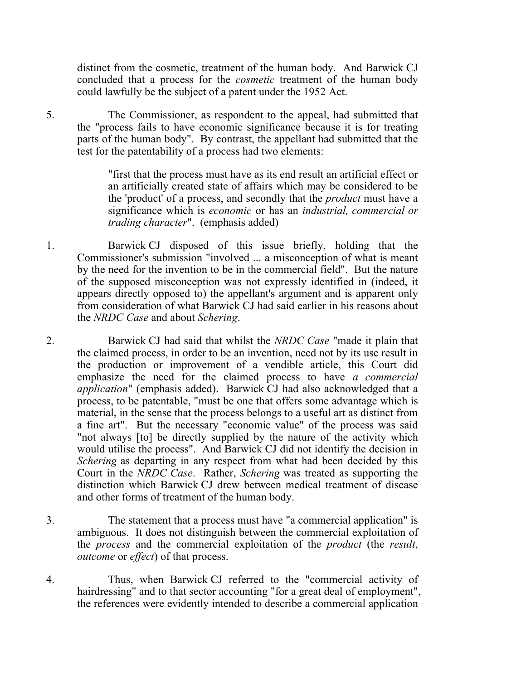distinct from the cosmetic, treatment of the human body. And Barwick CJ concluded that a process for the *cosmetic* treatment of the human body could lawfully be the subject of a patent under the 1952 Act.

5. The Commissioner, as respondent to the appeal, had submitted that the "process fails to have economic significance because it is for treating parts of the human body". By contrast, the appellant had submitted that the test for the patentability of a process had two elements:

> "first that the process must have as its end result an artificial effect or an artificially created state of affairs which may be considered to be the 'product' of a process, and secondly that the *product* must have a significance which is *economic* or has an *industrial, commercial or trading character*". (emphasis added)

- 1. Barwick CJ disposed of this issue briefly, holding that the Commissioner's submission "involved ... a misconception of what is meant by the need for the invention to be in the commercial field". But the nature of the supposed misconception was not expressly identified in (indeed, it appears directly opposed to) the appellant's argument and is apparent only from consideration of what Barwick CJ had said earlier in his reasons about the *NRDC Case* and about *Schering*.
- 2. Barwick CJ had said that whilst the *NRDC Case* "made it plain that the claimed process, in order to be an invention, need not by its use result in the production or improvement of a vendible article, this Court did emphasize the need for the claimed process to have *a commercial application*" (emphasis added). Barwick CJ had also acknowledged that a process, to be patentable, "must be one that offers some advantage which is material, in the sense that the process belongs to a useful art as distinct from a fine art". But the necessary "economic value" of the process was said "not always [to] be directly supplied by the nature of the activity which would utilise the process". And Barwick CJ did not identify the decision in *Schering* as departing in any respect from what had been decided by this Court in the *NRDC Case*. Rather, *Schering* was treated as supporting the distinction which Barwick CJ drew between medical treatment of disease and other forms of treatment of the human body.
- 3. The statement that a process must have "a commercial application" is ambiguous. It does not distinguish between the commercial exploitation of the *process* and the commercial exploitation of the *product* (the *result*, *outcome* or *effect*) of that process.
- 4. Thus, when Barwick CJ referred to the "commercial activity of hairdressing" and to that sector accounting "for a great deal of employment", the references were evidently intended to describe a commercial application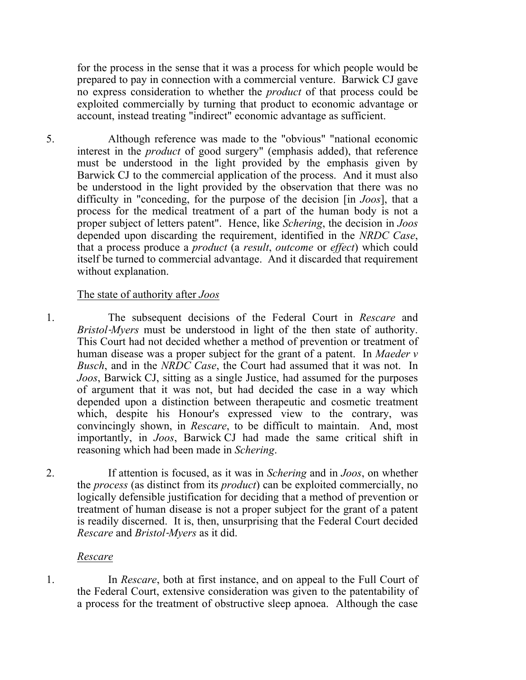for the process in the sense that it was a process for which people would be prepared to pay in connection with a commercial venture. Barwick CJ gave no express consideration to whether the *product* of that process could be exploited commercially by turning that product to economic advantage or account, instead treating "indirect" economic advantage as sufficient.

5. Although reference was made to the "obvious" "national economic interest in the *product* of good surgery" (emphasis added), that reference must be understood in the light provided by the emphasis given by Barwick CJ to the commercial application of the process. And it must also be understood in the light provided by the observation that there was no difficulty in "conceding, for the purpose of the decision [in *Joos*], that a process for the medical treatment of a part of the human body is not a proper subject of letters patent". Hence, like *Schering*, the decision in *Joos*  depended upon discarding the requirement, identified in the *NRDC Case*, that a process produce a *product* (a *result*, *outcome* or *effect*) which could itself be turned to commercial advantage. And it discarded that requirement without explanation.

### The state of authority after *Joos*

1. The subsequent decisions of the Federal Court in *Rescare* and *Bristol*‑*Myers* must be understood in light of the then state of authority. This Court had not decided whether a method of prevention or treatment of human disease was a proper subject for the grant of a patent. In *Maeder v Busch*, and in the *NRDC Case*, the Court had assumed that it was not. In *Joos*, Barwick CJ, sitting as a single Justice, had assumed for the purposes of argument that it was not, but had decided the case in a way which depended upon a distinction between therapeutic and cosmetic treatment which, despite his Honour's expressed view to the contrary, was convincingly shown, in *Rescare*, to be difficult to maintain. And, most importantly, in *Joos*, Barwick CJ had made the same critical shift in reasoning which had been made in *Schering*.

2. If attention is focused, as it was in *Schering* and in *Joos*, on whether the *process* (as distinct from its *product*) can be exploited commercially, no logically defensible justification for deciding that a method of prevention or treatment of human disease is not a proper subject for the grant of a patent is readily discerned. It is, then, unsurprising that the Federal Court decided *Rescare* and *Bristol*‑*Myers* as it did.

#### *Rescare*

1. In *Rescare*, both at first instance, and on appeal to the Full Court of the Federal Court, extensive consideration was given to the patentability of a process for the treatment of obstructive sleep apnoea. Although the case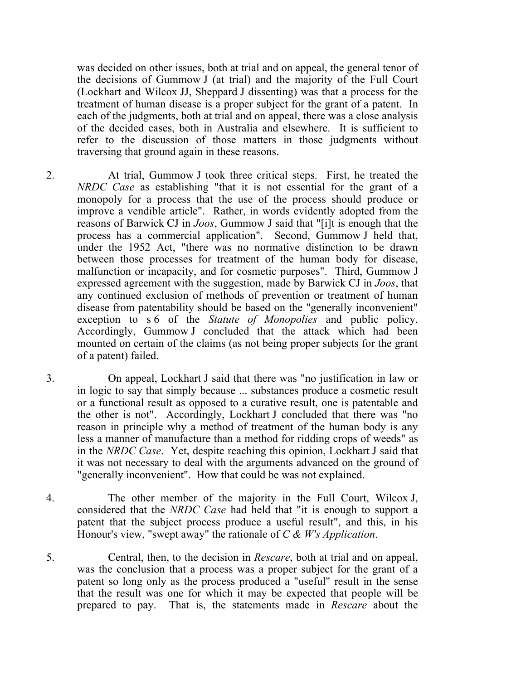was decided on other issues, both at trial and on appeal, the general tenor of the decisions of Gummow J (at trial) and the majority of the Full Court (Lockhart and Wilcox JJ, Sheppard J dissenting) was that a process for the treatment of human disease is a proper subject for the grant of a patent. In each of the judgments, both at trial and on appeal, there was a close analysis of the decided cases, both in Australia and elsewhere. It is sufficient to refer to the discussion of those matters in those judgments without traversing that ground again in these reasons.

- 2. At trial, Gummow J took three critical steps. First, he treated the *NRDC Case* as establishing "that it is not essential for the grant of a monopoly for a process that the use of the process should produce or improve a vendible article". Rather, in words evidently adopted from the reasons of Barwick CJ in *Joos*, Gummow J said that "[i]t is enough that the process has a commercial application". Second, Gummow J held that, under the 1952 Act, "there was no normative distinction to be drawn between those processes for treatment of the human body for disease, malfunction or incapacity, and for cosmetic purposes". Third, Gummow J expressed agreement with the suggestion, made by Barwick CJ in *Joos*, that any continued exclusion of methods of prevention or treatment of human disease from patentability should be based on the "generally inconvenient" exception to s 6 of the *Statute of Monopolies* and public policy. Accordingly, Gummow J concluded that the attack which had been mounted on certain of the claims (as not being proper subjects for the grant of a patent) failed.
- 3. On appeal, Lockhart J said that there was "no justification in law or in logic to say that simply because ... substances produce a cosmetic result or a functional result as opposed to a curative result, one is patentable and the other is not". Accordingly, Lockhart J concluded that there was "no reason in principle why a method of treatment of the human body is any less a manner of manufacture than a method for ridding crops of weeds" as in the *NRDC Case*. Yet, despite reaching this opinion, Lockhart J said that it was not necessary to deal with the arguments advanced on the ground of "generally inconvenient". How that could be was not explained.
- 4. The other member of the majority in the Full Court, Wilcox J, considered that the *NRDC Case* had held that "it is enough to support a patent that the subject process produce a useful result", and this, in his Honour's view, "swept away" the rationale of *C & W's Application*.
- 5. Central, then, to the decision in *Rescare*, both at trial and on appeal, was the conclusion that a process was a proper subject for the grant of a patent so long only as the process produced a "useful" result in the sense that the result was one for which it may be expected that people will be prepared to pay. That is, the statements made in *Rescare* about the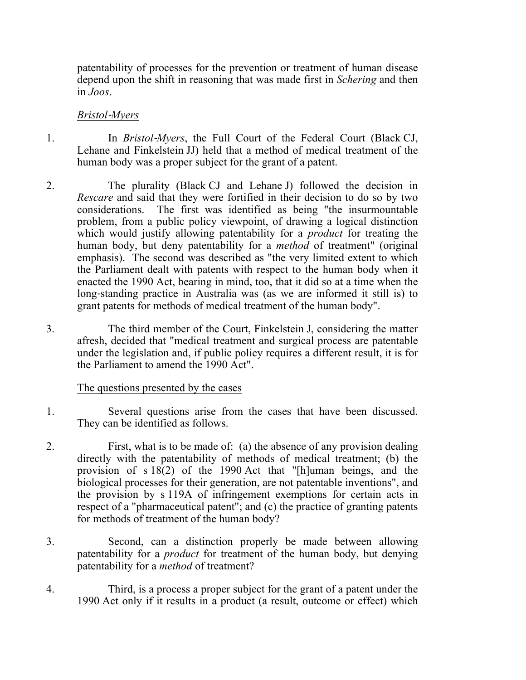patentability of processes for the prevention or treatment of human disease depend upon the shift in reasoning that was made first in *Schering* and then in *Joos*.

#### *Bristol*‑*Myers*

- 1. In *Bristol*‑*Myers*, the Full Court of the Federal Court (Black CJ, Lehane and Finkelstein JJ) held that a method of medical treatment of the human body was a proper subject for the grant of a patent.
- 2. The plurality (Black CJ and Lehane J) followed the decision in *Rescare* and said that they were fortified in their decision to do so by two considerations. The first was identified as being "the insurmountable problem, from a public policy viewpoint, of drawing a logical distinction which would justify allowing patentability for a *product* for treating the human body, but deny patentability for a *method* of treatment" (original emphasis). The second was described as "the very limited extent to which the Parliament dealt with patents with respect to the human body when it enacted the 1990 Act, bearing in mind, too, that it did so at a time when the long‑standing practice in Australia was (as we are informed it still is) to grant patents for methods of medical treatment of the human body".
- 3. The third member of the Court, Finkelstein J, considering the matter afresh, decided that "medical treatment and surgical process are patentable under the legislation and, if public policy requires a different result, it is for the Parliament to amend the 1990 Act".

## The questions presented by the cases

- 1. Several questions arise from the cases that have been discussed. They can be identified as follows.
- 2. First, what is to be made of: (a) the absence of any provision dealing directly with the patentability of methods of medical treatment; (b) the provision of s 18(2) of the 1990 Act that "[h]uman beings, and the biological processes for their generation, are not patentable inventions", and the provision by s 119A of infringement exemptions for certain acts in respect of a "pharmaceutical patent"; and (c) the practice of granting patents for methods of treatment of the human body?
- 3. Second, can a distinction properly be made between allowing patentability for a *product* for treatment of the human body, but denying patentability for a *method* of treatment?
- 4. Third, is a process a proper subject for the grant of a patent under the 1990 Act only if it results in a product (a result, outcome or effect) which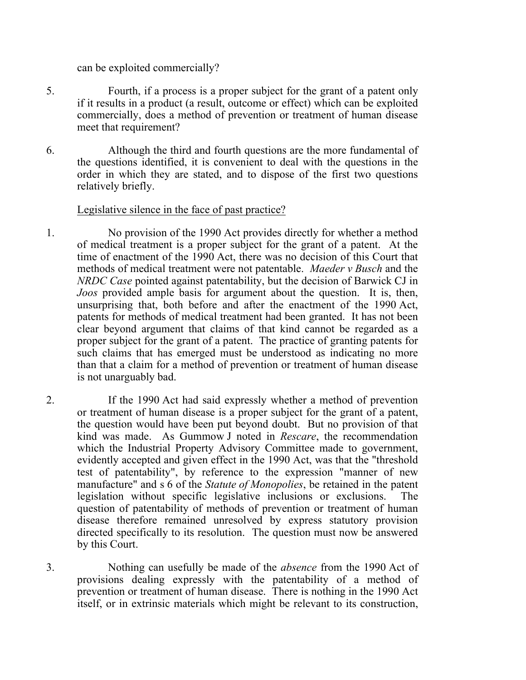can be exploited commercially?

- 5. Fourth, if a process is a proper subject for the grant of a patent only if it results in a product (a result, outcome or effect) which can be exploited commercially, does a method of prevention or treatment of human disease meet that requirement?
- 6. Although the third and fourth questions are the more fundamental of the questions identified, it is convenient to deal with the questions in the order in which they are stated, and to dispose of the first two questions relatively briefly.

#### Legislative silence in the face of past practice?

- 1. No provision of the 1990 Act provides directly for whether a method of medical treatment is a proper subject for the grant of a patent. At the time of enactment of the 1990 Act, there was no decision of this Court that methods of medical treatment were not patentable. *Maeder v Busch* and the *NRDC Case* pointed against patentability, but the decision of Barwick CJ in *Joos* provided ample basis for argument about the question. It is, then, unsurprising that, both before and after the enactment of the 1990 Act, patents for methods of medical treatment had been granted. It has not been clear beyond argument that claims of that kind cannot be regarded as a proper subject for the grant of a patent. The practice of granting patents for such claims that has emerged must be understood as indicating no more than that a claim for a method of prevention or treatment of human disease is not unarguably bad.
- 2. If the 1990 Act had said expressly whether a method of prevention or treatment of human disease is a proper subject for the grant of a patent, the question would have been put beyond doubt. But no provision of that kind was made. As Gummow J noted in *Rescare*, the recommendation which the Industrial Property Advisory Committee made to government, evidently accepted and given effect in the 1990 Act, was that the "threshold test of patentability", by reference to the expression "manner of new manufacture" and s 6 of the *Statute of Monopolies*, be retained in the patent legislation without specific legislative inclusions or exclusions. The question of patentability of methods of prevention or treatment of human disease therefore remained unresolved by express statutory provision directed specifically to its resolution. The question must now be answered by this Court.
- 3. Nothing can usefully be made of the *absence* from the 1990 Act of provisions dealing expressly with the patentability of a method of prevention or treatment of human disease. There is nothing in the 1990 Act itself, or in extrinsic materials which might be relevant to its construction,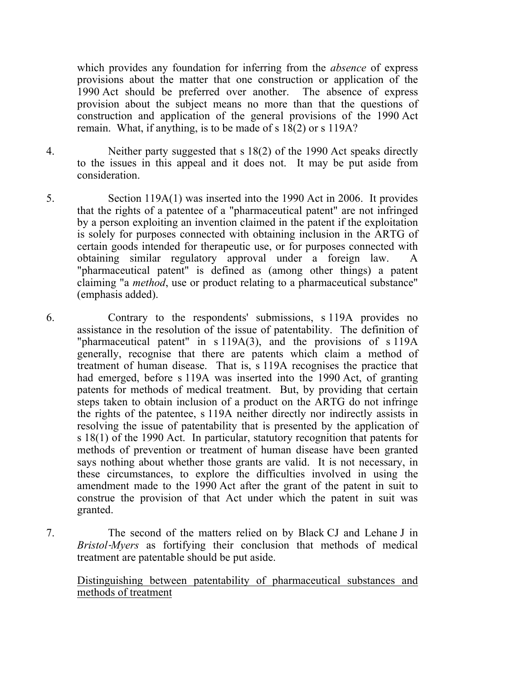which provides any foundation for inferring from the *absence* of express provisions about the matter that one construction or application of the 1990 Act should be preferred over another. The absence of express provision about the subject means no more than that the questions of construction and application of the general provisions of the 1990 Act remain. What, if anything, is to be made of s 18(2) or s 119A?

- 4. Neither party suggested that s 18(2) of the 1990 Act speaks directly to the issues in this appeal and it does not. It may be put aside from consideration.
- 5. Section 119A(1) was inserted into the 1990 Act in 2006. It provides that the rights of a patentee of a "pharmaceutical patent" are not infringed by a person exploiting an invention claimed in the patent if the exploitation is solely for purposes connected with obtaining inclusion in the ARTG of certain goods intended for therapeutic use, or for purposes connected with obtaining similar regulatory approval under a foreign law. A "pharmaceutical patent" is defined as (among other things) a patent claiming "a *method*, use or product relating to a pharmaceutical substance" (emphasis added).
- 6. Contrary to the respondents' submissions, s 119A provides no assistance in the resolution of the issue of patentability. The definition of "pharmaceutical patent" in s 119A(3), and the provisions of s 119A generally, recognise that there are patents which claim a method of treatment of human disease. That is, s 119A recognises the practice that had emerged, before s 119A was inserted into the 1990 Act, of granting patents for methods of medical treatment. But, by providing that certain steps taken to obtain inclusion of a product on the ARTG do not infringe the rights of the patentee, s 119A neither directly nor indirectly assists in resolving the issue of patentability that is presented by the application of s 18(1) of the 1990 Act. In particular, statutory recognition that patents for methods of prevention or treatment of human disease have been granted says nothing about whether those grants are valid. It is not necessary, in these circumstances, to explore the difficulties involved in using the amendment made to the 1990 Act after the grant of the patent in suit to construe the provision of that Act under which the patent in suit was granted.
- 7. The second of the matters relied on by Black CJ and Lehane J in *Bristol*‑*Myers* as fortifying their conclusion that methods of medical treatment are patentable should be put aside.

### Distinguishing between patentability of pharmaceutical substances and methods of treatment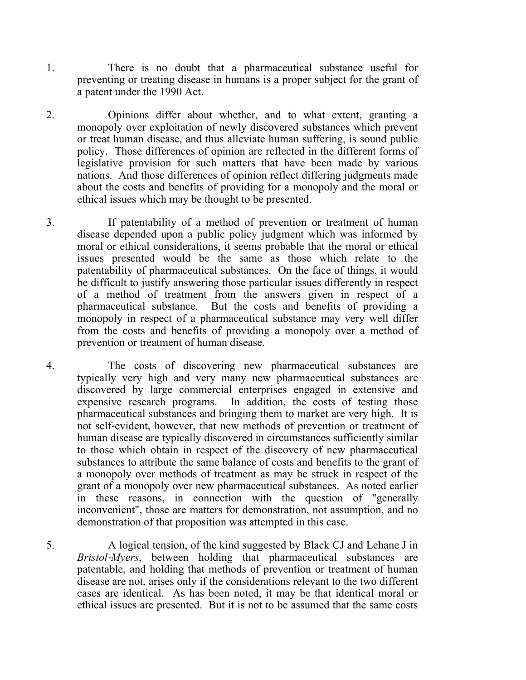- 1. There is no doubt that a pharmaceutical substance useful for preventing or treating disease in humans is a proper subject for the grant of a patent under the 1990 Act.
- 2. Opinions differ about whether, and to what extent, granting a monopoly over exploitation of newly discovered substances which prevent or treat human disease, and thus alleviate human suffering, is sound public policy. Those differences of opinion are reflected in the different forms of legislative provision for such matters that have been made by various nations. And those differences of opinion reflect differing judgments made about the costs and benefits of providing for a monopoly and the moral or ethical issues which may be thought to be presented.
- 3. If patentability of a method of prevention or treatment of human disease depended upon a public policy judgment which was informed by moral or ethical considerations, it seems probable that the moral or ethical issues presented would be the same as those which relate to the patentability of pharmaceutical substances. On the face of things, it would be difficult to justify answering those particular issues differently in respect of a method of treatment from the answers given in respect of a pharmaceutical substance. But the costs and benefits of providing a monopoly in respect of a pharmaceutical substance may very well differ from the costs and benefits of providing a monopoly over a method of prevention or treatment of human disease.
- 4. The costs of discovering new pharmaceutical substances are typically very high and very many new pharmaceutical substances are discovered by large commercial enterprises engaged in extensive and expensive research programs. In addition, the costs of testing those pharmaceutical substances and bringing them to market are very high. It is not self‑evident, however, that new methods of prevention or treatment of human disease are typically discovered in circumstances sufficiently similar to those which obtain in respect of the discovery of new pharmaceutical substances to attribute the same balance of costs and benefits to the grant of a monopoly over methods of treatment as may be struck in respect of the grant of a monopoly over new pharmaceutical substances. As noted earlier in these reasons, in connection with the question of "generally inconvenient", those are matters for demonstration, not assumption, and no demonstration of that proposition was attempted in this case.
- 5. A logical tension, of the kind suggested by Black CJ and Lehane J in *Bristol*‑*Myers*, between holding that pharmaceutical substances are patentable, and holding that methods of prevention or treatment of human disease are not, arises only if the considerations relevant to the two different cases are identical. As has been noted, it may be that identical moral or ethical issues are presented. But it is not to be assumed that the same costs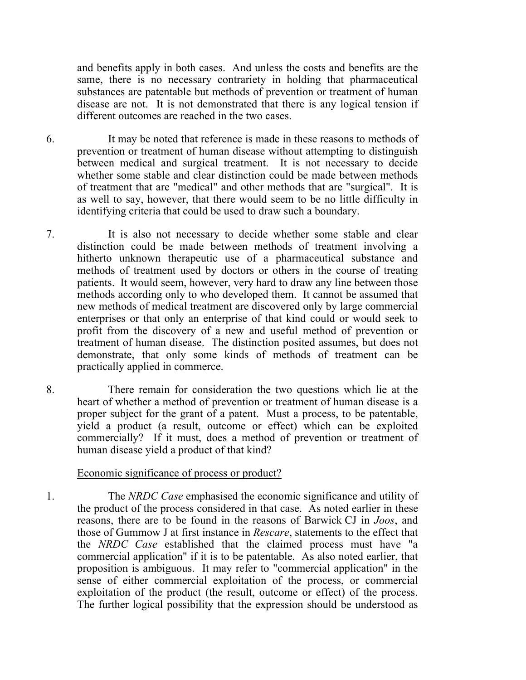and benefits apply in both cases. And unless the costs and benefits are the same, there is no necessary contrariety in holding that pharmaceutical substances are patentable but methods of prevention or treatment of human disease are not. It is not demonstrated that there is any logical tension if different outcomes are reached in the two cases.

6. It may be noted that reference is made in these reasons to methods of prevention or treatment of human disease without attempting to distinguish between medical and surgical treatment. It is not necessary to decide whether some stable and clear distinction could be made between methods of treatment that are "medical" and other methods that are "surgical". It is as well to say, however, that there would seem to be no little difficulty in identifying criteria that could be used to draw such a boundary.

- 7. It is also not necessary to decide whether some stable and clear distinction could be made between methods of treatment involving a hitherto unknown therapeutic use of a pharmaceutical substance and methods of treatment used by doctors or others in the course of treating patients. It would seem, however, very hard to draw any line between those methods according only to who developed them. It cannot be assumed that new methods of medical treatment are discovered only by large commercial enterprises or that only an enterprise of that kind could or would seek to profit from the discovery of a new and useful method of prevention or treatment of human disease. The distinction posited assumes, but does not demonstrate, that only some kinds of methods of treatment can be practically applied in commerce.
- 8. There remain for consideration the two questions which lie at the heart of whether a method of prevention or treatment of human disease is a proper subject for the grant of a patent. Must a process, to be patentable, yield a product (a result, outcome or effect) which can be exploited commercially? If it must, does a method of prevention or treatment of human disease yield a product of that kind?

#### Economic significance of process or product?

1. The *NRDC Case* emphasised the economic significance and utility of the product of the process considered in that case. As noted earlier in these reasons, there are to be found in the reasons of Barwick CJ in *Joos*, and those of Gummow J at first instance in *Rescare*, statements to the effect that the *NRDC Case* established that the claimed process must have "a commercial application" if it is to be patentable. As also noted earlier, that proposition is ambiguous. It may refer to "commercial application" in the sense of either commercial exploitation of the process, or commercial exploitation of the product (the result, outcome or effect) of the process. The further logical possibility that the expression should be understood as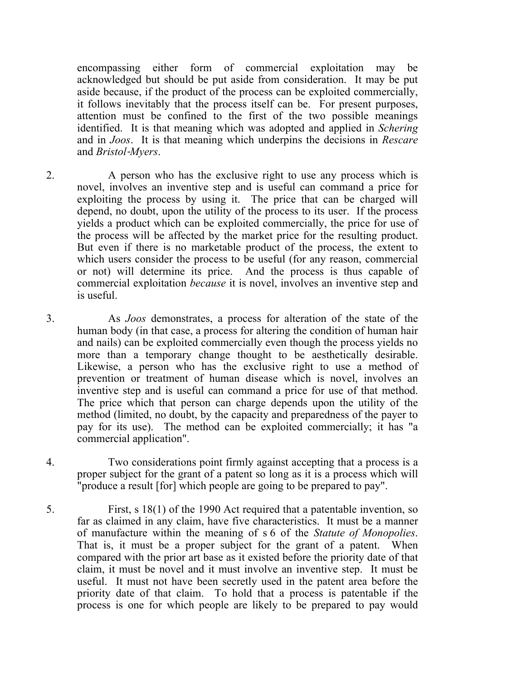encompassing either form of commercial exploitation may be acknowledged but should be put aside from consideration. It may be put aside because, if the product of the process can be exploited commercially, it follows inevitably that the process itself can be. For present purposes, attention must be confined to the first of the two possible meanings identified. It is that meaning which was adopted and applied in *Schering* and in *Joos*. It is that meaning which underpins the decisions in *Rescare* and *Bristol*‑*Myers*.

- 2. A person who has the exclusive right to use any process which is novel, involves an inventive step and is useful can command a price for exploiting the process by using it. The price that can be charged will depend, no doubt, upon the utility of the process to its user. If the process yields a product which can be exploited commercially, the price for use of the process will be affected by the market price for the resulting product. But even if there is no marketable product of the process, the extent to which users consider the process to be useful (for any reason, commercial or not) will determine its price. And the process is thus capable of commercial exploitation *because* it is novel, involves an inventive step and is useful.
- 3. As *Joos* demonstrates, a process for alteration of the state of the human body (in that case, a process for altering the condition of human hair and nails) can be exploited commercially even though the process yields no more than a temporary change thought to be aesthetically desirable. Likewise, a person who has the exclusive right to use a method of prevention or treatment of human disease which is novel, involves an inventive step and is useful can command a price for use of that method. The price which that person can charge depends upon the utility of the method (limited, no doubt, by the capacity and preparedness of the payer to pay for its use). The method can be exploited commercially; it has "a commercial application".
- 4. Two considerations point firmly against accepting that a process is a proper subject for the grant of a patent so long as it is a process which will "produce a result [for] which people are going to be prepared to pay".
- 5. First, s 18(1) of the 1990 Act required that a patentable invention, so far as claimed in any claim, have five characteristics. It must be a manner of manufacture within the meaning of s 6 of the *Statute of Monopolies*. That is, it must be a proper subject for the grant of a patent. When compared with the prior art base as it existed before the priority date of that claim, it must be novel and it must involve an inventive step. It must be useful. It must not have been secretly used in the patent area before the priority date of that claim. To hold that a process is patentable if the process is one for which people are likely to be prepared to pay would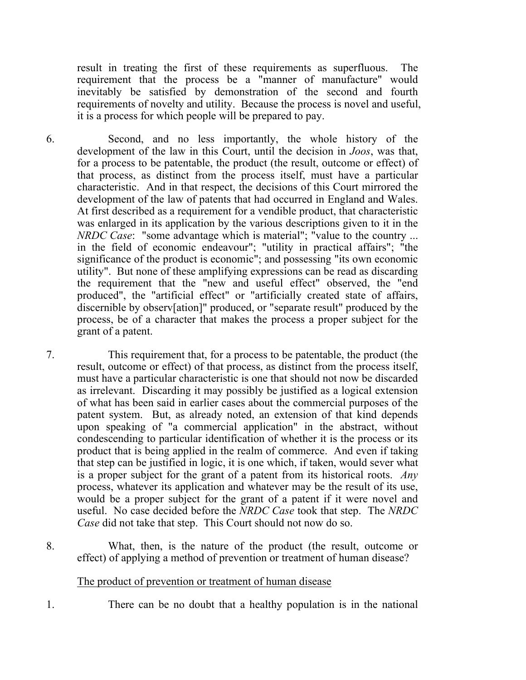result in treating the first of these requirements as superfluous. The requirement that the process be a "manner of manufacture" would inevitably be satisfied by demonstration of the second and fourth requirements of novelty and utility. Because the process is novel and useful, it is a process for which people will be prepared to pay.

6. Second, and no less importantly, the whole history of the development of the law in this Court, until the decision in *Joos*, was that, for a process to be patentable, the product (the result, outcome or effect) of that process, as distinct from the process itself, must have a particular characteristic. And in that respect, the decisions of this Court mirrored the development of the law of patents that had occurred in England and Wales. At first described as a requirement for a vendible product, that characteristic was enlarged in its application by the various descriptions given to it in the *NRDC Case*: "some advantage which is material"; "value to the country ... in the field of economic endeavour"; "utility in practical affairs"; "the significance of the product is economic"; and possessing "its own economic utility". But none of these amplifying expressions can be read as discarding the requirement that the "new and useful effect" observed, the "end produced", the "artificial effect" or "artificially created state of affairs, discernible by observ[ation]" produced, or "separate result" produced by the process, be of a character that makes the process a proper subject for the grant of a patent.

7. This requirement that, for a process to be patentable, the product (the result, outcome or effect) of that process, as distinct from the process itself, must have a particular characteristic is one that should not now be discarded as irrelevant. Discarding it may possibly be justified as a logical extension of what has been said in earlier cases about the commercial purposes of the patent system. But, as already noted, an extension of that kind depends upon speaking of "a commercial application" in the abstract, without condescending to particular identification of whether it is the process or its product that is being applied in the realm of commerce. And even if taking that step can be justified in logic, it is one which, if taken, would sever what is a proper subject for the grant of a patent from its historical roots. *Any* process, whatever its application and whatever may be the result of its use, would be a proper subject for the grant of a patent if it were novel and useful. No case decided before the *NRDC Case* took that step. The *NRDC Case* did not take that step. This Court should not now do so.

8. What, then, is the nature of the product (the result, outcome or effect) of applying a method of prevention or treatment of human disease?

#### The product of prevention or treatment of human disease

1. There can be no doubt that a healthy population is in the national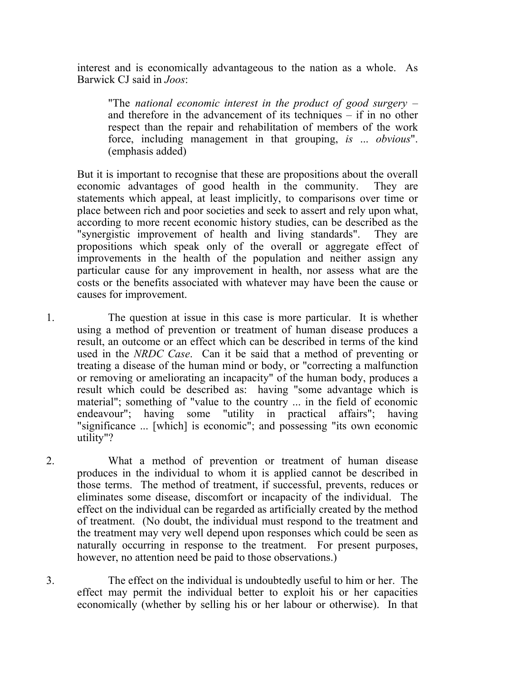interest and is economically advantageous to the nation as a whole. As Barwick CJ said in *Joos*:

"The *national economic interest in the product of good surgery* – and therefore in the advancement of its techniques – if in no other respect than the repair and rehabilitation of members of the work force, including management in that grouping, *is* ... *obvious*". (emphasis added)

But it is important to recognise that these are propositions about the overall economic advantages of good health in the community. They are statements which appeal, at least implicitly, to comparisons over time or place between rich and poor societies and seek to assert and rely upon what, according to more recent economic history studies, can be described as the "synergistic improvement of health and living standards". They are propositions which speak only of the overall or aggregate effect of improvements in the health of the population and neither assign any particular cause for any improvement in health, nor assess what are the costs or the benefits associated with whatever may have been the cause or causes for improvement.

1. The question at issue in this case is more particular. It is whether using a method of prevention or treatment of human disease produces a result, an outcome or an effect which can be described in terms of the kind used in the *NRDC Case*. Can it be said that a method of preventing or treating a disease of the human mind or body, or "correcting a malfunction or removing or ameliorating an incapacity" of the human body, produces a result which could be described as: having "some advantage which is material"; something of "value to the country ... in the field of economic endeavour"; having some "utility in practical affairs"; having "significance ... [which] is economic"; and possessing "its own economic utility"?

2. What a method of prevention or treatment of human disease produces in the individual to whom it is applied cannot be described in those terms. The method of treatment, if successful, prevents, reduces or eliminates some disease, discomfort or incapacity of the individual. The effect on the individual can be regarded as artificially created by the method of treatment. (No doubt, the individual must respond to the treatment and the treatment may very well depend upon responses which could be seen as naturally occurring in response to the treatment. For present purposes, however, no attention need be paid to those observations.)

3. The effect on the individual is undoubtedly useful to him or her. The effect may permit the individual better to exploit his or her capacities economically (whether by selling his or her labour or otherwise). In that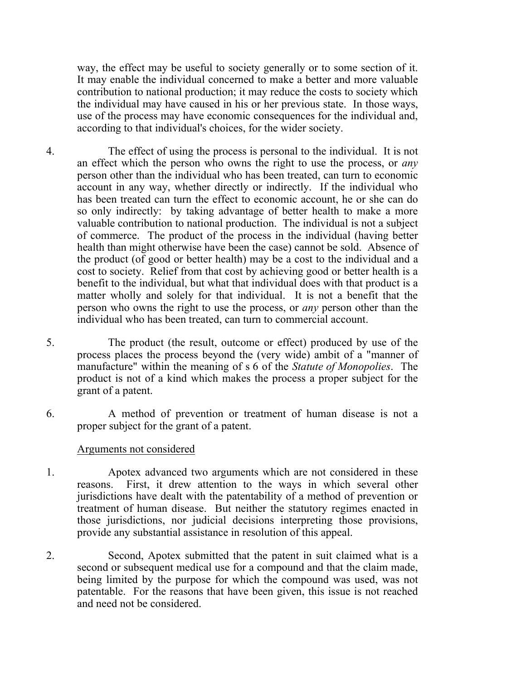way, the effect may be useful to society generally or to some section of it. It may enable the individual concerned to make a better and more valuable contribution to national production; it may reduce the costs to society which the individual may have caused in his or her previous state. In those ways, use of the process may have economic consequences for the individual and, according to that individual's choices, for the wider society.

- 4. The effect of using the process is personal to the individual. It is not an effect which the person who owns the right to use the process, or *any* person other than the individual who has been treated, can turn to economic account in any way, whether directly or indirectly. If the individual who has been treated can turn the effect to economic account, he or she can do so only indirectly: by taking advantage of better health to make a more valuable contribution to national production. The individual is not a subject of commerce. The product of the process in the individual (having better health than might otherwise have been the case) cannot be sold. Absence of the product (of good or better health) may be a cost to the individual and a cost to society. Relief from that cost by achieving good or better health is a benefit to the individual, but what that individual does with that product is a matter wholly and solely for that individual. It is not a benefit that the person who owns the right to use the process, or *any* person other than the individual who has been treated, can turn to commercial account.
- 5. The product (the result, outcome or effect) produced by use of the process places the process beyond the (very wide) ambit of a "manner of manufacture" within the meaning of s 6 of the *Statute of Monopolies*. The product is not of a kind which makes the process a proper subject for the grant of a patent.
- 6. A method of prevention or treatment of human disease is not a proper subject for the grant of a patent.

#### Arguments not considered

- 1. Apotex advanced two arguments which are not considered in these reasons. First, it drew attention to the ways in which several other jurisdictions have dealt with the patentability of a method of prevention or treatment of human disease. But neither the statutory regimes enacted in those jurisdictions, nor judicial decisions interpreting those provisions, provide any substantial assistance in resolution of this appeal.
- 2. Second, Apotex submitted that the patent in suit claimed what is a second or subsequent medical use for a compound and that the claim made, being limited by the purpose for which the compound was used, was not patentable. For the reasons that have been given, this issue is not reached and need not be considered.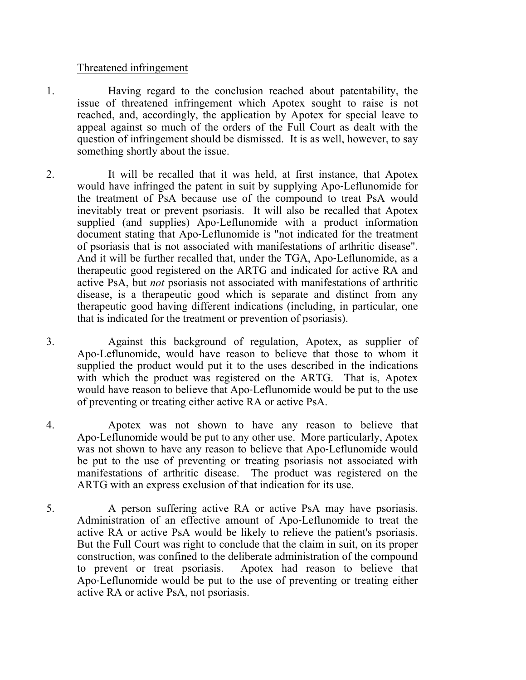#### Threatened infringement

- 1. Having regard to the conclusion reached about patentability, the issue of threatened infringement which Apotex sought to raise is not reached, and, accordingly, the application by Apotex for special leave to appeal against so much of the orders of the Full Court as dealt with the question of infringement should be dismissed. It is as well, however, to say something shortly about the issue.
- 2. It will be recalled that it was held, at first instance, that Apotex would have infringed the patent in suit by supplying Apo‑Leflunomide for the treatment of PsA because use of the compound to treat PsA would inevitably treat or prevent psoriasis. It will also be recalled that Apotex supplied (and supplies) Apo-Leflunomide with a product information document stating that Apo‑Leflunomide is "not indicated for the treatment of psoriasis that is not associated with manifestations of arthritic disease". And it will be further recalled that, under the TGA, Apo-Leflunomide, as a therapeutic good registered on the ARTG and indicated for active RA and active PsA, but *not* psoriasis not associated with manifestations of arthritic disease, is a therapeutic good which is separate and distinct from any therapeutic good having different indications (including, in particular, one that is indicated for the treatment or prevention of psoriasis).
- 3. Against this background of regulation, Apotex, as supplier of Apo‑Leflunomide, would have reason to believe that those to whom it supplied the product would put it to the uses described in the indications with which the product was registered on the ARTG. That is, Apotex would have reason to believe that Apo‑Leflunomide would be put to the use of preventing or treating either active RA or active PsA.
- 4. Apotex was not shown to have any reason to believe that Apo‑Leflunomide would be put to any other use. More particularly, Apotex was not shown to have any reason to believe that Apo‑Leflunomide would be put to the use of preventing or treating psoriasis not associated with manifestations of arthritic disease. The product was registered on the ARTG with an express exclusion of that indication for its use.
- 5. A person suffering active RA or active PsA may have psoriasis. Administration of an effective amount of Apo‑Leflunomide to treat the active RA or active PsA would be likely to relieve the patient's psoriasis. But the Full Court was right to conclude that the claim in suit, on its proper construction, was confined to the deliberate administration of the compound to prevent or treat psoriasis. Apotex had reason to believe that Apo‑Leflunomide would be put to the use of preventing or treating either active RA or active PsA, not psoriasis.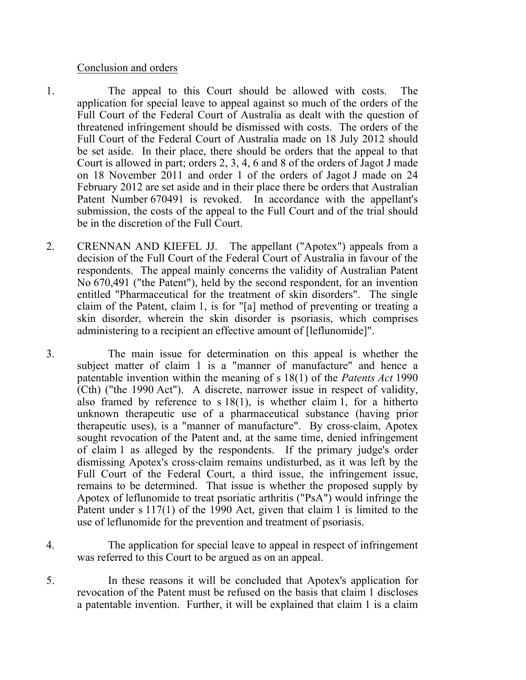#### Conclusion and orders

- 1. The appeal to this Court should be allowed with costs. The application for special leave to appeal against so much of the orders of the Full Court of the Federal Court of Australia as dealt with the question of threatened infringement should be dismissed with costs. The orders of the Full Court of the Federal Court of Australia made on 18 July 2012 should be set aside. In their place, there should be orders that the appeal to that Court is allowed in part; orders 2, 3, 4, 6 and 8 of the orders of Jagot J made on 18 November 2011 and order 1 of the orders of Jagot J made on 24 February 2012 are set aside and in their place there be orders that Australian Patent Number 670491 is revoked. In accordance with the appellant's submission, the costs of the appeal to the Full Court and of the trial should be in the discretion of the Full Court.
- 2. CRENNAN AND KIEFEL JJ. The appellant ("Apotex") appeals from a decision of the Full Court of the Federal Court of Australia in favour of the respondents. The appeal mainly concerns the validity of Australian Patent No 670,491 ("the Patent"), held by the second respondent, for an invention entitled "Pharmaceutical for the treatment of skin disorders". The single claim of the Patent, claim 1, is for "[a] method of preventing or treating a skin disorder, wherein the skin disorder is psoriasis, which comprises administering to a recipient an effective amount of [leflunomide]".
- 3. The main issue for determination on this appeal is whether the subject matter of claim 1 is a "manner of manufacture" and hence a patentable invention within the meaning of s 18(1) of the *Patents Act* 1990 (Cth) ("the 1990 Act"). A discrete, narrower issue in respect of validity, also framed by reference to  $s 18(1)$ , is whether claim 1, for a hitherto unknown therapeutic use of a pharmaceutical substance (having prior therapeutic uses), is a "manner of manufacture". By cross-claim, Apotex sought revocation of the Patent and, at the same time, denied infringement of claim 1 as alleged by the respondents. If the primary judge's order dismissing Apotex's cross‑claim remains undisturbed, as it was left by the Full Court of the Federal Court, a third issue, the infringement issue, remains to be determined. That issue is whether the proposed supply by Apotex of leflunomide to treat psoriatic arthritis ("PsA") would infringe the Patent under s 117(1) of the 1990 Act, given that claim 1 is limited to the use of leflunomide for the prevention and treatment of psoriasis.
- 4. The application for special leave to appeal in respect of infringement was referred to this Court to be argued as on an appeal.
- 5. In these reasons it will be concluded that Apotex's application for revocation of the Patent must be refused on the basis that claim 1 discloses a patentable invention. Further, it will be explained that claim 1 is a claim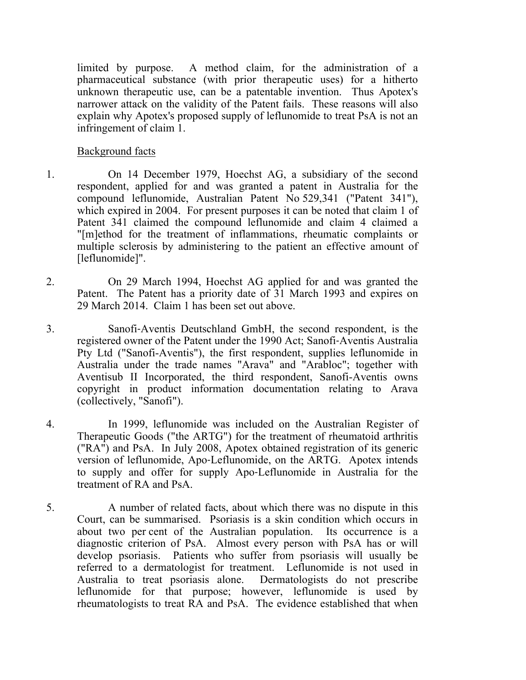limited by purpose. A method claim, for the administration of a pharmaceutical substance (with prior therapeutic uses) for a hitherto unknown therapeutic use, can be a patentable invention. Thus Apotex's narrower attack on the validity of the Patent fails. These reasons will also explain why Apotex's proposed supply of leflunomide to treat PsA is not an infringement of claim 1.

Background facts

- 1. On 14 December 1979, Hoechst AG, a subsidiary of the second respondent, applied for and was granted a patent in Australia for the compound leflunomide, Australian Patent No 529,341 ("Patent 341"), which expired in 2004. For present purposes it can be noted that claim 1 of Patent 341 claimed the compound leflunomide and claim 4 claimed a "[m]ethod for the treatment of inflammations, rheumatic complaints or multiple sclerosis by administering to the patient an effective amount of [leflunomide]".
- 2. On 29 March 1994, Hoechst AG applied for and was granted the Patent. The Patent has a priority date of 31 March 1993 and expires on 29 March 2014. Claim 1 has been set out above.
- 3. Sanofi‑Aventis Deutschland GmbH, the second respondent, is the registered owner of the Patent under the 1990 Act; Sanofi‑Aventis Australia Pty Ltd ("Sanofi-Aventis"), the first respondent, supplies leflunomide in Australia under the trade names "Arava" and "Arabloc"; together with Aventisub II Incorporated, the third respondent, Sanofi-Aventis owns copyright in product information documentation relating to Arava (collectively, "Sanofi").
- 4. In 1999, leflunomide was included on the Australian Register of Therapeutic Goods ("the ARTG") for the treatment of rheumatoid arthritis ("RA") and PsA. In July 2008, Apotex obtained registration of its generic version of leflunomide, Apo‑Leflunomide, on the ARTG. Apotex intends to supply and offer for supply Apo‑Leflunomide in Australia for the treatment of RA and PsA.
- 5. A number of related facts, about which there was no dispute in this Court, can be summarised. Psoriasis is a skin condition which occurs in about two per cent of the Australian population. Its occurrence is a diagnostic criterion of PsA. Almost every person with PsA has or will develop psoriasis. Patients who suffer from psoriasis will usually be referred to a dermatologist for treatment. Leflunomide is not used in Australia to treat psoriasis alone. Dermatologists do not prescribe leflunomide for that purpose; however, leflunomide is used by rheumatologists to treat RA and PsA. The evidence established that when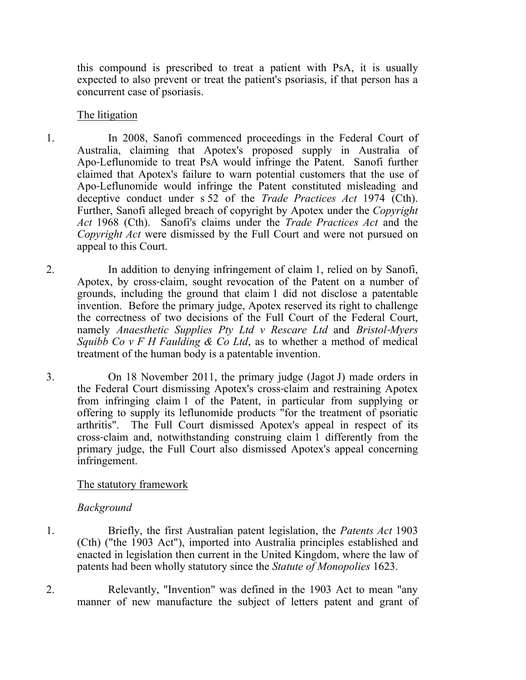this compound is prescribed to treat a patient with PsA, it is usually expected to also prevent or treat the patient's psoriasis, if that person has a concurrent case of psoriasis.

#### The litigation

- 1. In 2008, Sanofi commenced proceedings in the Federal Court of Australia, claiming that Apotex's proposed supply in Australia of Apo‑Leflunomide to treat PsA would infringe the Patent. Sanofi further claimed that Apotex's failure to warn potential customers that the use of Apo‑Leflunomide would infringe the Patent constituted misleading and deceptive conduct under s 52 of the *Trade Practices Act* 1974 (Cth). Further, Sanofi alleged breach of copyright by Apotex under the *Copyright Act* 1968 (Cth). Sanofi's claims under the *Trade Practices Act* and the *Copyright Act* were dismissed by the Full Court and were not pursued on appeal to this Court.
- 2. In addition to denying infringement of claim 1, relied on by Sanofi, Apotex, by cross-claim, sought revocation of the Patent on a number of grounds, including the ground that claim 1 did not disclose a patentable invention. Before the primary judge, Apotex reserved its right to challenge the correctness of two decisions of the Full Court of the Federal Court, namely *Anaesthetic Supplies Pty Ltd v Rescare Ltd* and *Bristol*‑*Myers Squibb Co v F H Faulding & Co Ltd*, as to whether a method of medical treatment of the human body is a patentable invention.
- 3. On 18 November 2011, the primary judge (Jagot J) made orders in the Federal Court dismissing Apotex's cross‑claim and restraining Apotex from infringing claim 1 of the Patent, in particular from supplying or offering to supply its leflunomide products "for the treatment of psoriatic arthritis". The Full Court dismissed Apotex's appeal in respect of its The Full Court dismissed Apotex's appeal in respect of its cross‑claim and, notwithstanding construing claim 1 differently from the primary judge, the Full Court also dismissed Apotex's appeal concerning infringement.

## The statutory framework

## *Background*

- 1. Briefly, the first Australian patent legislation, the *Patents Act* 1903 (Cth) ("the 1903 Act"), imported into Australia principles established and enacted in legislation then current in the United Kingdom, where the law of patents had been wholly statutory since the *Statute of Monopolies* 1623.
- 2. Relevantly, "Invention" was defined in the 1903 Act to mean "any manner of new manufacture the subject of letters patent and grant of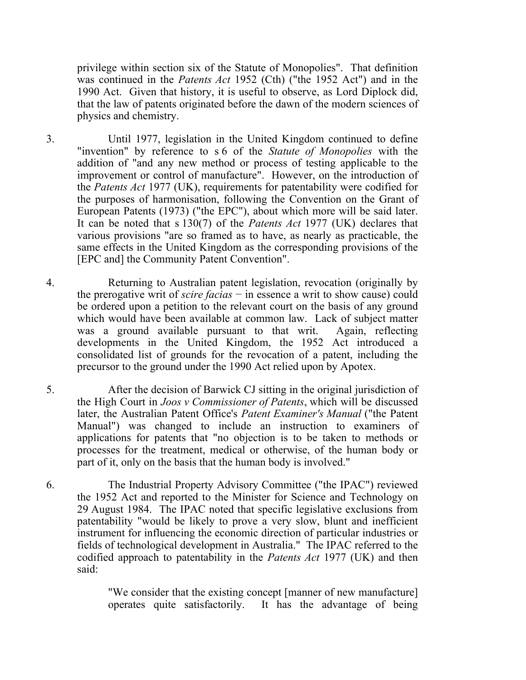privilege within section six of the Statute of Monopolies". That definition was continued in the *Patents Act* 1952 (Cth) ("the 1952 Act") and in the 1990 Act. Given that history, it is useful to observe, as Lord Diplock did, that the law of patents originated before the dawn of the modern sciences of physics and chemistry.

- 3. Until 1977, legislation in the United Kingdom continued to define "invention" by reference to s 6 of the *Statute of Monopolies* with the addition of "and any new method or process of testing applicable to the improvement or control of manufacture". However, on the introduction of the *Patents Act* 1977 (UK), requirements for patentability were codified for the purposes of harmonisation, following the Convention on the Grant of European Patents (1973) ("the EPC"), about which more will be said later. It can be noted that s 130(7) of the *Patents Act* 1977 (UK) declares that various provisions "are so framed as to have, as nearly as practicable, the same effects in the United Kingdom as the corresponding provisions of the [EPC and] the Community Patent Convention".
- 4. Returning to Australian patent legislation, revocation (originally by the prerogative writ of *scire facias* − in essence a writ to show cause) could be ordered upon a petition to the relevant court on the basis of any ground which would have been available at common law. Lack of subject matter was a ground available pursuant to that writ. Again, reflecting developments in the United Kingdom, the 1952 Act introduced a consolidated list of grounds for the revocation of a patent, including the precursor to the ground under the 1990 Act relied upon by Apotex.
- 5. After the decision of Barwick CJ sitting in the original jurisdiction of the High Court in *Joos v Commissioner of Patents*, which will be discussed later, the Australian Patent Office's *Patent Examiner's Manual* ("the Patent Manual") was changed to include an instruction to examiners of applications for patents that "no objection is to be taken to methods or processes for the treatment, medical or otherwise, of the human body or part of it, only on the basis that the human body is involved."
- 6. The Industrial Property Advisory Committee ("the IPAC") reviewed the 1952 Act and reported to the Minister for Science and Technology on 29 August 1984. The IPAC noted that specific legislative exclusions from patentability "would be likely to prove a very slow, blunt and inefficient instrument for influencing the economic direction of particular industries or fields of technological development in Australia." The IPAC referred to the codified approach to patentability in the *Patents Act* 1977 (UK) and then said:

"We consider that the existing concept [manner of new manufacture] operates quite satisfactorily. It has the advantage of being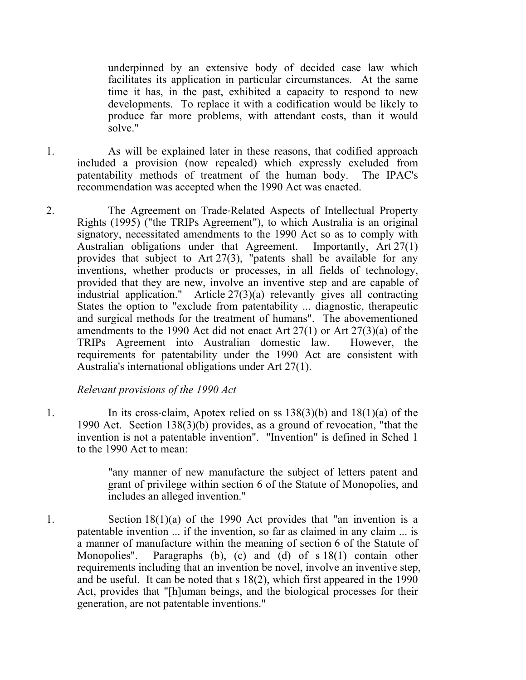underpinned by an extensive body of decided case law which facilitates its application in particular circumstances. At the same time it has, in the past, exhibited a capacity to respond to new developments. To replace it with a codification would be likely to produce far more problems, with attendant costs, than it would solve."

- 1. As will be explained later in these reasons, that codified approach included a provision (now repealed) which expressly excluded from patentability methods of treatment of the human body. The IPAC's recommendation was accepted when the 1990 Act was enacted.
- 2. The Agreement on Trade‑Related Aspects of Intellectual Property Rights (1995) ("the TRIPs Agreement"), to which Australia is an original signatory, necessitated amendments to the 1990 Act so as to comply with Australian obligations under that Agreement. Importantly, Art 27(1) provides that subject to Art 27(3), "patents shall be available for any inventions, whether products or processes, in all fields of technology, provided that they are new, involve an inventive step and are capable of industrial application." Article 27(3)(a) relevantly gives all contracting States the option to "exclude from patentability ... diagnostic, therapeutic and surgical methods for the treatment of humans". The abovementioned amendments to the 1990 Act did not enact Art 27(1) or Art 27(3)(a) of the TRIPs Agreement into Australian domestic law. However, the requirements for patentability under the 1990 Act are consistent with Australia's international obligations under Art 27(1).

*Relevant provisions of the 1990 Act*

1. In its cross‑claim, Apotex relied on ss 138(3)(b) and 18(1)(a) of the 1990 Act. Section 138(3)(b) provides, as a ground of revocation, "that the invention is not a patentable invention". "Invention" is defined in Sched 1 to the 1990 Act to mean:

> "any manner of new manufacture the subject of letters patent and grant of privilege within section 6 of the Statute of Monopolies, and includes an alleged invention."

1. Section 18(1)(a) of the 1990 Act provides that "an invention is a patentable invention ... if the invention, so far as claimed in any claim ... is a manner of manufacture within the meaning of section 6 of the Statute of Monopolies". Paragraphs (b), (c) and (d) of s 18(1) contain other requirements including that an invention be novel, involve an inventive step, and be useful. It can be noted that s 18(2), which first appeared in the 1990 Act, provides that "[h]uman beings, and the biological processes for their generation, are not patentable inventions."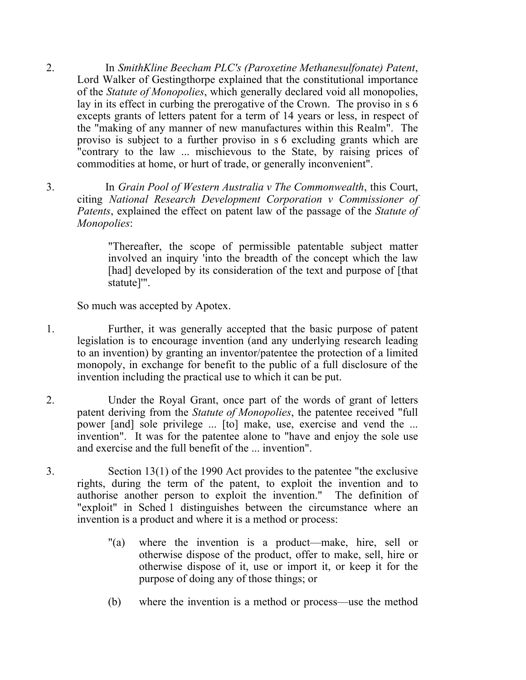- 2. In *SmithKline Beecham PLC's (Paroxetine Methanesulfonate) Patent*, Lord Walker of Gestingthorpe explained that the constitutional importance of the *Statute of Monopolies*, which generally declared void all monopolies, lay in its effect in curbing the prerogative of the Crown. The proviso in s 6 excepts grants of letters patent for a term of 14 years or less, in respect of the "making of any manner of new manufactures within this Realm". The proviso is subject to a further proviso in s 6 excluding grants which are "contrary to the law ... mischievous to the State, by raising prices of commodities at home, or hurt of trade, or generally inconvenient".
- 3. In *Grain Pool of Western Australia v The Commonwealth*, this Court, citing *National Research Development Corporation v Commissioner of Patents*, explained the effect on patent law of the passage of the *Statute of Monopolies*:

"Thereafter, the scope of permissible patentable subject matter involved an inquiry 'into the breadth of the concept which the law [had] developed by its consideration of the text and purpose of [that] statute]'".

So much was accepted by Apotex.

- 1. Further, it was generally accepted that the basic purpose of patent legislation is to encourage invention (and any underlying research leading to an invention) by granting an inventor/patentee the protection of a limited monopoly, in exchange for benefit to the public of a full disclosure of the invention including the practical use to which it can be put.
- 2. Under the Royal Grant, once part of the words of grant of letters patent deriving from the *Statute of Monopolies*, the patentee received "full power [and] sole privilege ... [to] make, use, exercise and vend the ... invention". It was for the patentee alone to "have and enjoy the sole use and exercise and the full benefit of the ... invention".
- 3. Section 13(1) of the 1990 Act provides to the patentee "the exclusive rights, during the term of the patent, to exploit the invention and to authorise another person to exploit the invention." The definition of "exploit" in Sched 1 distinguishes between the circumstance where an invention is a product and where it is a method or process:
	- "(a) where the invention is a product—make, hire, sell or otherwise dispose of the product, offer to make, sell, hire or otherwise dispose of it, use or import it, or keep it for the purpose of doing any of those things; or
	- (b) where the invention is a method or process—use the method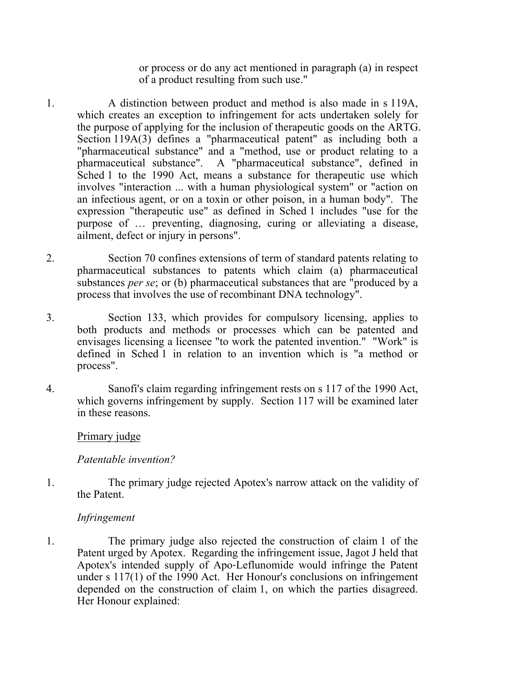or process or do any act mentioned in paragraph (a) in respect of a product resulting from such use."

- 1. A distinction between product and method is also made in s 119A, which creates an exception to infringement for acts undertaken solely for the purpose of applying for the inclusion of therapeutic goods on the ARTG. Section 119A(3) defines a "pharmaceutical patent" as including both a "pharmaceutical substance" and a "method, use or product relating to a pharmaceutical substance". A "pharmaceutical substance", defined in Sched 1 to the 1990 Act, means a substance for therapeutic use which involves "interaction ... with a human physiological system" or "action on an infectious agent, or on a toxin or other poison, in a human body". The expression "therapeutic use" as defined in Sched 1 includes "use for the purpose of … preventing, diagnosing, curing or alleviating a disease, ailment, defect or injury in persons".
- 2. Section 70 confines extensions of term of standard patents relating to pharmaceutical substances to patents which claim (a) pharmaceutical substances *per se*; or (b) pharmaceutical substances that are "produced by a process that involves the use of recombinant DNA technology".
- 3. Section 133, which provides for compulsory licensing, applies to both products and methods or processes which can be patented and envisages licensing a licensee "to work the patented invention." "Work" is defined in Sched 1 in relation to an invention which is "a method or process".
- 4. Sanofi's claim regarding infringement rests on s 117 of the 1990 Act, which governs infringement by supply. Section 117 will be examined later in these reasons.

#### Primary judge

## *Patentable invention?*

1. The primary judge rejected Apotex's narrow attack on the validity of the Patent.

## *Infringement*

1. The primary judge also rejected the construction of claim 1 of the Patent urged by Apotex. Regarding the infringement issue, Jagot J held that Apotex's intended supply of Apo‑Leflunomide would infringe the Patent under s 117(1) of the 1990 Act. Her Honour's conclusions on infringement depended on the construction of claim 1, on which the parties disagreed. Her Honour explained: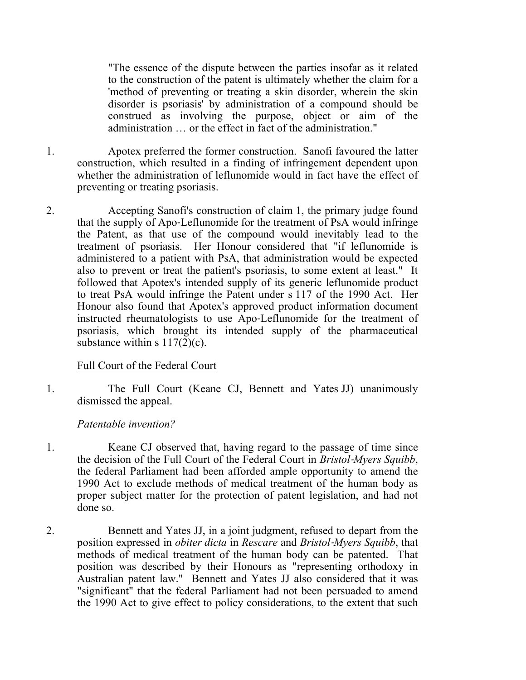"The essence of the dispute between the parties insofar as it related to the construction of the patent is ultimately whether the claim for a 'method of preventing or treating a skin disorder, wherein the skin disorder is psoriasis' by administration of a compound should be construed as involving the purpose, object or aim of the administration … or the effect in fact of the administration."

- 1. Apotex preferred the former construction. Sanofi favoured the latter construction, which resulted in a finding of infringement dependent upon whether the administration of leflunomide would in fact have the effect of preventing or treating psoriasis.
- 2. Accepting Sanofi's construction of claim 1, the primary judge found that the supply of Apo‑Leflunomide for the treatment of PsA would infringe the Patent, as that use of the compound would inevitably lead to the treatment of psoriasis. Her Honour considered that "if leflunomide is administered to a patient with PsA, that administration would be expected also to prevent or treat the patient's psoriasis, to some extent at least." It followed that Apotex's intended supply of its generic leflunomide product to treat PsA would infringe the Patent under s 117 of the 1990 Act. Her Honour also found that Apotex's approved product information document instructed rheumatologists to use Apo‑Leflunomide for the treatment of psoriasis, which brought its intended supply of the pharmaceutical substance within s  $117(2)(c)$ .

## Full Court of the Federal Court

1. The Full Court (Keane CJ, Bennett and Yates JJ) unanimously dismissed the appeal.

# *Patentable invention?*

- 1. Keane CJ observed that, having regard to the passage of time since the decision of the Full Court of the Federal Court in *Bristol*‑*Myers Squibb*, the federal Parliament had been afforded ample opportunity to amend the 1990 Act to exclude methods of medical treatment of the human body as proper subject matter for the protection of patent legislation, and had not done so.
- 2. Bennett and Yates JJ, in a joint judgment, refused to depart from the position expressed in *obiter dicta* in *Rescare* and *Bristol*‑*Myers Squibb*, that methods of medical treatment of the human body can be patented. That position was described by their Honours as "representing orthodoxy in Australian patent law." Bennett and Yates JJ also considered that it was "significant" that the federal Parliament had not been persuaded to amend the 1990 Act to give effect to policy considerations, to the extent that such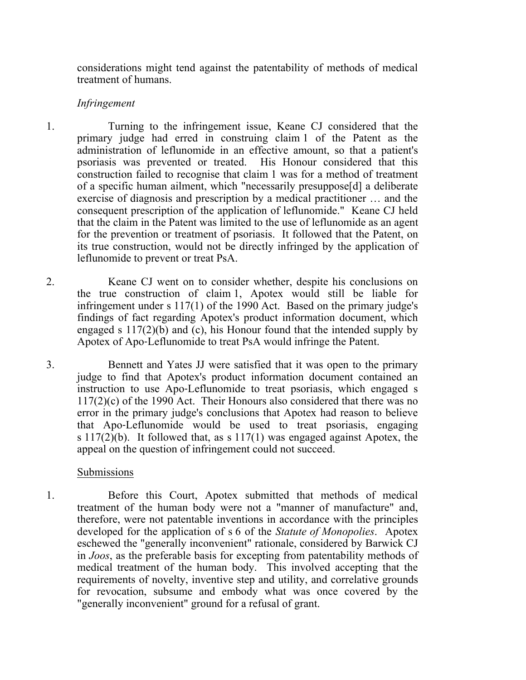considerations might tend against the patentability of methods of medical treatment of humans.

#### *Infringement*

1. Turning to the infringement issue, Keane CJ considered that the primary judge had erred in construing claim 1 of the Patent as the administration of leflunomide in an effective amount, so that a patient's psoriasis was prevented or treated. His Honour considered that this construction failed to recognise that claim 1 was for a method of treatment of a specific human ailment, which "necessarily presuppose[d] a deliberate exercise of diagnosis and prescription by a medical practitioner … and the consequent prescription of the application of leflunomide." Keane CJ held that the claim in the Patent was limited to the use of leflunomide as an agent for the prevention or treatment of psoriasis. It followed that the Patent, on its true construction, would not be directly infringed by the application of leflunomide to prevent or treat PsA.

- 2. Keane CJ went on to consider whether, despite his conclusions on the true construction of claim 1, Apotex would still be liable for infringement under s 117(1) of the 1990 Act. Based on the primary judge's findings of fact regarding Apotex's product information document, which engaged s 117(2)(b) and (c), his Honour found that the intended supply by Apotex of Apo‑Leflunomide to treat PsA would infringe the Patent.
- 3. Bennett and Yates JJ were satisfied that it was open to the primary judge to find that Apotex's product information document contained an instruction to use Apo‑Leflunomide to treat psoriasis, which engaged s 117(2)(c) of the 1990 Act. Their Honours also considered that there was no error in the primary judge's conclusions that Apotex had reason to believe that Apo‑Leflunomide would be used to treat psoriasis, engaging s  $117(2)(b)$ . It followed that, as s  $117(1)$  was engaged against Apotex, the appeal on the question of infringement could not succeed.

## Submissions

1. Before this Court, Apotex submitted that methods of medical treatment of the human body were not a "manner of manufacture" and, therefore, were not patentable inventions in accordance with the principles developed for the application of s 6 of the *Statute of Monopolies*. Apotex eschewed the "generally inconvenient" rationale, considered by Barwick CJ in *Joos*, as the preferable basis for excepting from patentability methods of medical treatment of the human body. This involved accepting that the requirements of novelty, inventive step and utility, and correlative grounds for revocation, subsume and embody what was once covered by the "generally inconvenient" ground for a refusal of grant.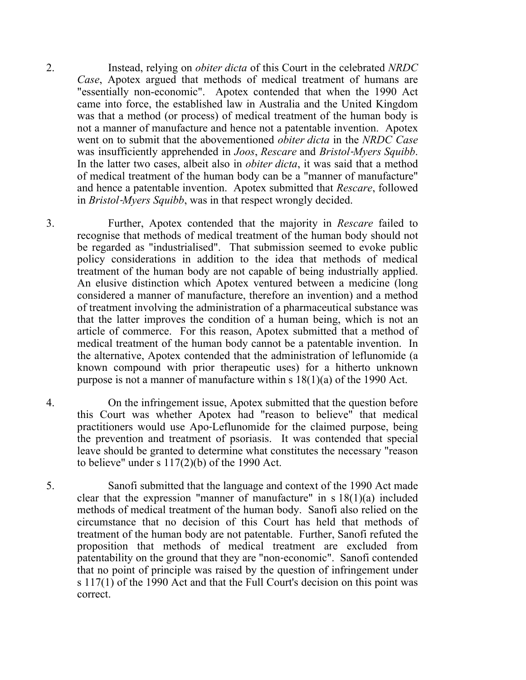2. Instead, relying on *obiter dicta* of this Court in the celebrated *NRDC Case*, Apotex argued that methods of medical treatment of humans are "essentially non-economic". Apotex contended that when the 1990 Act came into force, the established law in Australia and the United Kingdom was that a method (or process) of medical treatment of the human body is not a manner of manufacture and hence not a patentable invention. Apotex went on to submit that the abovementioned *obiter dicta* in the *NRDC Case* was insufficiently apprehended in *Joos*, *Rescare* and *Bristol*‑*Myers Squibb*. In the latter two cases, albeit also in *obiter dicta*, it was said that a method of medical treatment of the human body can be a "manner of manufacture" and hence a patentable invention. Apotex submitted that *Rescare*, followed in *Bristol*‑*Myers Squibb*, was in that respect wrongly decided.

3. Further, Apotex contended that the majority in *Rescare* failed to recognise that methods of medical treatment of the human body should not be regarded as "industrialised". That submission seemed to evoke public policy considerations in addition to the idea that methods of medical treatment of the human body are not capable of being industrially applied. An elusive distinction which Apotex ventured between a medicine (long considered a manner of manufacture, therefore an invention) and a method of treatment involving the administration of a pharmaceutical substance was that the latter improves the condition of a human being, which is not an article of commerce. For this reason, Apotex submitted that a method of medical treatment of the human body cannot be a patentable invention. In the alternative, Apotex contended that the administration of leflunomide (a known compound with prior therapeutic uses) for a hitherto unknown purpose is not a manner of manufacture within s 18(1)(a) of the 1990 Act.

- 4. On the infringement issue, Apotex submitted that the question before this Court was whether Apotex had "reason to believe" that medical practitioners would use Apo‑Leflunomide for the claimed purpose, being the prevention and treatment of psoriasis. It was contended that special leave should be granted to determine what constitutes the necessary "reason to believe" under s  $117(2)(b)$  of the 1990 Act.
- 5. Sanofi submitted that the language and context of the 1990 Act made clear that the expression "manner of manufacture" in s 18(1)(a) included methods of medical treatment of the human body. Sanofi also relied on the circumstance that no decision of this Court has held that methods of treatment of the human body are not patentable. Further, Sanofi refuted the proposition that methods of medical treatment are excluded from patentability on the ground that they are "non‑economic". Sanofi contended that no point of principle was raised by the question of infringement under s 117(1) of the 1990 Act and that the Full Court's decision on this point was correct.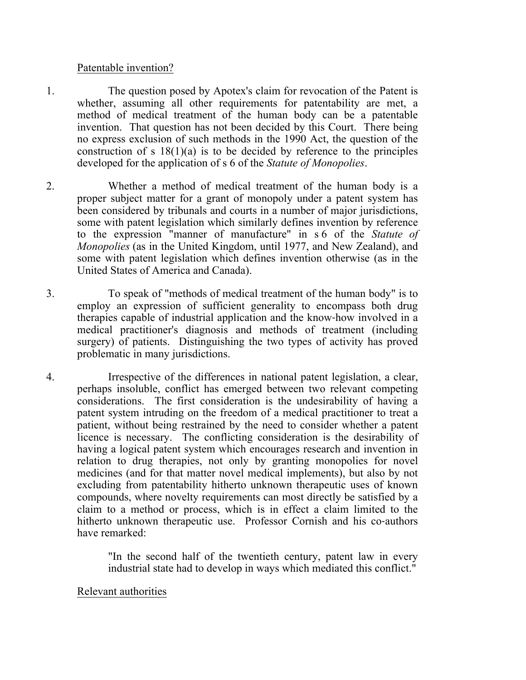#### Patentable invention?

- 1. The question posed by Apotex's claim for revocation of the Patent is whether, assuming all other requirements for patentability are met, a method of medical treatment of the human body can be a patentable invention. That question has not been decided by this Court. There being no express exclusion of such methods in the 1990 Act, the question of the construction of s  $18(1)(a)$  is to be decided by reference to the principles developed for the application of s 6 of the *Statute of Monopolies*.
- 2. Whether a method of medical treatment of the human body is a proper subject matter for a grant of monopoly under a patent system has been considered by tribunals and courts in a number of major jurisdictions, some with patent legislation which similarly defines invention by reference to the expression "manner of manufacture" in s 6 of the *Statute of Monopolies* (as in the United Kingdom, until 1977, and New Zealand), and some with patent legislation which defines invention otherwise (as in the United States of America and Canada).
- 3. To speak of "methods of medical treatment of the human body" is to employ an expression of sufficient generality to encompass both drug therapies capable of industrial application and the know‑how involved in a medical practitioner's diagnosis and methods of treatment (including surgery) of patients. Distinguishing the two types of activity has proved problematic in many jurisdictions.
- 4. Irrespective of the differences in national patent legislation, a clear, perhaps insoluble, conflict has emerged between two relevant competing considerations. The first consideration is the undesirability of having a patent system intruding on the freedom of a medical practitioner to treat a patient, without being restrained by the need to consider whether a patent licence is necessary. The conflicting consideration is the desirability of having a logical patent system which encourages research and invention in relation to drug therapies, not only by granting monopolies for novel medicines (and for that matter novel medical implements), but also by not excluding from patentability hitherto unknown therapeutic uses of known compounds, where novelty requirements can most directly be satisfied by a claim to a method or process, which is in effect a claim limited to the hitherto unknown therapeutic use. Professor Cornish and his co-authors have remarked:

"In the second half of the twentieth century, patent law in every industrial state had to develop in ways which mediated this conflict."

## Relevant authorities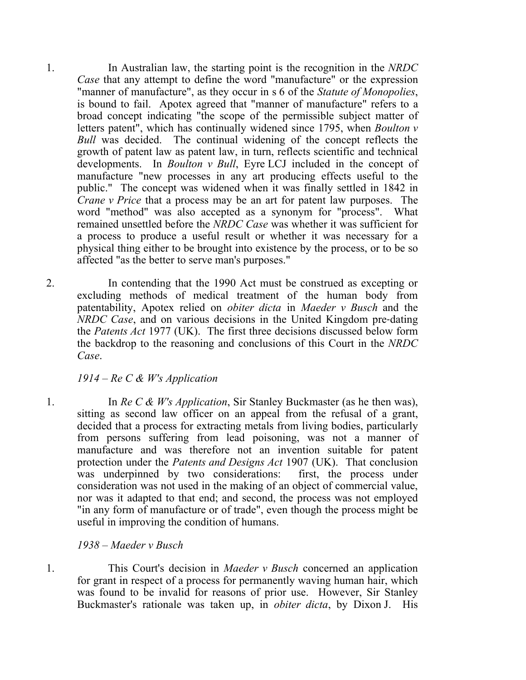1. In Australian law, the starting point is the recognition in the *NRDC Case* that any attempt to define the word "manufacture" or the expression "manner of manufacture", as they occur in s 6 of the *Statute of Monopolies*, is bound to fail. Apotex agreed that "manner of manufacture" refers to a broad concept indicating "the scope of the permissible subject matter of letters patent", which has continually widened since 1795, when *Boulton v Bull* was decided. The continual widening of the concept reflects the growth of patent law as patent law, in turn, reflects scientific and technical developments. In *Boulton v Bull*, Eyre LCJ included in the concept of manufacture "new processes in any art producing effects useful to the public." The concept was widened when it was finally settled in 1842 in *Crane v Price* that a process may be an art for patent law purposes. The word "method" was also accepted as a synonym for "process". What remained unsettled before the *NRDC Case* was whether it was sufficient for a process to produce a useful result or whether it was necessary for a physical thing either to be brought into existence by the process, or to be so affected "as the better to serve man's purposes."

2. In contending that the 1990 Act must be construed as excepting or excluding methods of medical treatment of the human body from patentability, Apotex relied on *obiter dicta* in *Maeder v Busch* and the *NRDC Case*, and on various decisions in the United Kingdom pre-dating the *Patents Act* 1977 (UK). The first three decisions discussed below form the backdrop to the reasoning and conclusions of this Court in the *NRDC Case*.

## *1914 – Re C & W's Application*

1. In *Re C & W's Application*, Sir Stanley Buckmaster (as he then was), sitting as second law officer on an appeal from the refusal of a grant, decided that a process for extracting metals from living bodies, particularly from persons suffering from lead poisoning, was not a manner of manufacture and was therefore not an invention suitable for patent protection under the *Patents and Designs Act* 1907 (UK). That conclusion was underpinned by two considerations: first, the process under consideration was not used in the making of an object of commercial value, nor was it adapted to that end; and second, the process was not employed "in any form of manufacture or of trade", even though the process might be useful in improving the condition of humans.

## *1938 – Maeder v Busch*

1. This Court's decision in *Maeder v Busch* concerned an application for grant in respect of a process for permanently waving human hair, which was found to be invalid for reasons of prior use. However, Sir Stanley Buckmaster's rationale was taken up, in *obiter dicta*, by Dixon J. His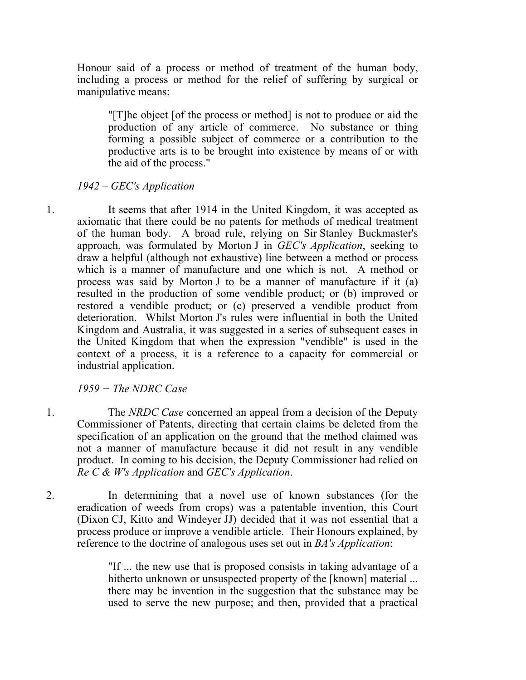Honour said of a process or method of treatment of the human body, including a process or method for the relief of suffering by surgical or manipulative means:

"[T]he object [of the process or method] is not to produce or aid the production of any article of commerce. No substance or thing forming a possible subject of commerce or a contribution to the productive arts is to be brought into existence by means of or with the aid of the process."

### *1942 – GEC's Application*

1. It seems that after 1914 in the United Kingdom, it was accepted as axiomatic that there could be no patents for methods of medical treatment of the human body. A broad rule, relying on Sir Stanley Buckmaster's approach, was formulated by Morton J in *GEC's Application*, seeking to draw a helpful (although not exhaustive) line between a method or process which is a manner of manufacture and one which is not. A method or process was said by Morton J to be a manner of manufacture if it (a) resulted in the production of some vendible product; or (b) improved or restored a vendible product; or (c) preserved a vendible product from deterioration. Whilst Morton J's rules were influential in both the United Kingdom and Australia, it was suggested in a series of subsequent cases in the United Kingdom that when the expression "vendible" is used in the context of a process, it is a reference to a capacity for commercial or industrial application.

*1959 − The NDRC Case*

- 1. The *NRDC Case* concerned an appeal from a decision of the Deputy Commissioner of Patents, directing that certain claims be deleted from the specification of an application on the ground that the method claimed was not a manner of manufacture because it did not result in any vendible product. In coming to his decision, the Deputy Commissioner had relied on *Re C & W's Application* and *GEC's Application*.
- 2. In determining that a novel use of known substances (for the eradication of weeds from crops) was a patentable invention, this Court (Dixon CJ, Kitto and Windeyer JJ) decided that it was not essential that a process produce or improve a vendible article. Their Honours explained, by reference to the doctrine of analogous uses set out in *BA's Application*:

"If ... the new use that is proposed consists in taking advantage of a hitherto unknown or unsuspected property of the [known] material ... there may be invention in the suggestion that the substance may be used to serve the new purpose; and then, provided that a practical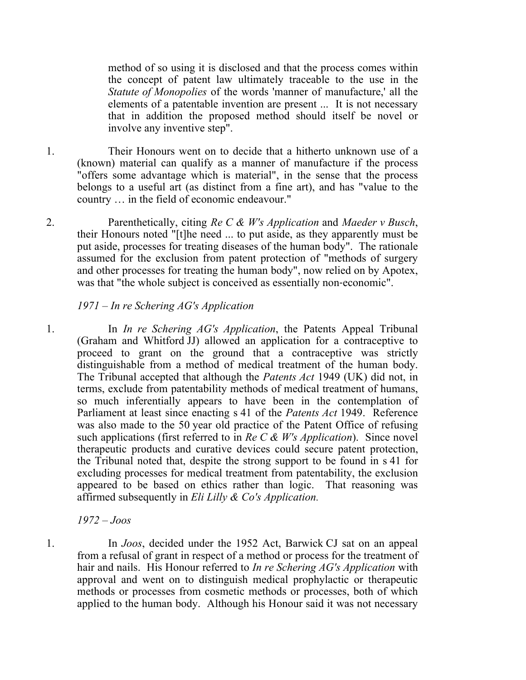method of so using it is disclosed and that the process comes within the concept of patent law ultimately traceable to the use in the *Statute of Monopolies* of the words 'manner of manufacture,' all the elements of a patentable invention are present ... It is not necessary that in addition the proposed method should itself be novel or involve any inventive step".

- 1. Their Honours went on to decide that a hitherto unknown use of a (known) material can qualify as a manner of manufacture if the process "offers some advantage which is material", in the sense that the process belongs to a useful art (as distinct from a fine art), and has "value to the country … in the field of economic endeavour."
- 2. Parenthetically, citing *Re C & W's Application* and *Maeder v Busch*, their Honours noted "[t]he need ... to put aside, as they apparently must be put aside, processes for treating diseases of the human body". The rationale assumed for the exclusion from patent protection of "methods of surgery and other processes for treating the human body", now relied on by Apotex, was that "the whole subject is conceived as essentially non-economic".

### *1971 – In re Schering AG's Application*

1. In *In re Schering AG's Application*, the Patents Appeal Tribunal (Graham and Whitford JJ) allowed an application for a contraceptive to proceed to grant on the ground that a contraceptive was strictly distinguishable from a method of medical treatment of the human body. The Tribunal accepted that although the *Patents Act* 1949 (UK) did not, in terms, exclude from patentability methods of medical treatment of humans, so much inferentially appears to have been in the contemplation of Parliament at least since enacting s 41 of the *Patents Act* 1949. Reference was also made to the 50 year old practice of the Patent Office of refusing such applications (first referred to in *Re C & W's Application*). Since novel therapeutic products and curative devices could secure patent protection, the Tribunal noted that, despite the strong support to be found in s 41 for excluding processes for medical treatment from patentability, the exclusion appeared to be based on ethics rather than logic. That reasoning was affirmed subsequently in *Eli Lilly & Co's Application.*

*1972 – Joos* 

1. In *Joos*, decided under the 1952 Act, Barwick CJ sat on an appeal from a refusal of grant in respect of a method or process for the treatment of hair and nails. His Honour referred to *In re Schering AG's Application* with approval and went on to distinguish medical prophylactic or therapeutic methods or processes from cosmetic methods or processes, both of which applied to the human body. Although his Honour said it was not necessary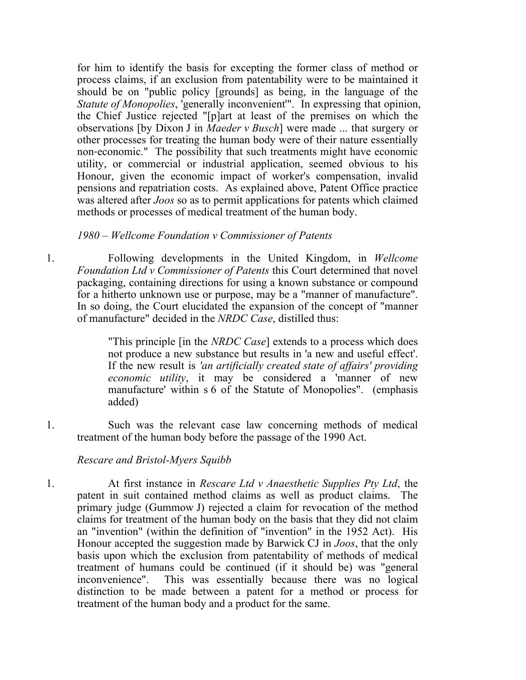for him to identify the basis for excepting the former class of method or process claims, if an exclusion from patentability were to be maintained it should be on "public policy [grounds] as being, in the language of the *Statute of Monopolies*, 'generally inconvenient'". In expressing that opinion, the Chief Justice rejected "[p]art at least of the premises on which the observations [by Dixon J in *Maeder v Busch*] were made ... that surgery or other processes for treating the human body were of their nature essentially non‑economic." The possibility that such treatments might have economic utility, or commercial or industrial application, seemed obvious to his Honour, given the economic impact of worker's compensation, invalid pensions and repatriation costs. As explained above, Patent Office practice was altered after *Joos* so as to permit applications for patents which claimed methods or processes of medical treatment of the human body.

#### *1980 – Wellcome Foundation v Commissioner of Patents*

1. Following developments in the United Kingdom, in *Wellcome Foundation Ltd v Commissioner of Patents* this Court determined that novel packaging, containing directions for using a known substance or compound for a hitherto unknown use or purpose, may be a "manner of manufacture". In so doing, the Court elucidated the expansion of the concept of "manner of manufacture" decided in the *NRDC Case*, distilled thus:

> "This principle [in the *NRDC Case*] extends to a process which does not produce a new substance but results in 'a new and useful effect'. If the new result is *'an artificially created state of affairs' providing economic utility*, it may be considered a 'manner of new manufacture' within s 6 of the Statute of Monopolies". (emphasis added)

1. Such was the relevant case law concerning methods of medical treatment of the human body before the passage of the 1990 Act.

## *Rescare and Bristol-Myers Squibb*

1. At first instance in *Rescare Ltd v Anaesthetic Supplies Pty Ltd*, the patent in suit contained method claims as well as product claims. The primary judge (Gummow J) rejected a claim for revocation of the method claims for treatment of the human body on the basis that they did not claim an "invention" (within the definition of "invention" in the 1952 Act). His Honour accepted the suggestion made by Barwick CJ in *Joos*, that the only basis upon which the exclusion from patentability of methods of medical treatment of humans could be continued (if it should be) was "general inconvenience". This was essentially because there was no logical distinction to be made between a patent for a method or process for treatment of the human body and a product for the same.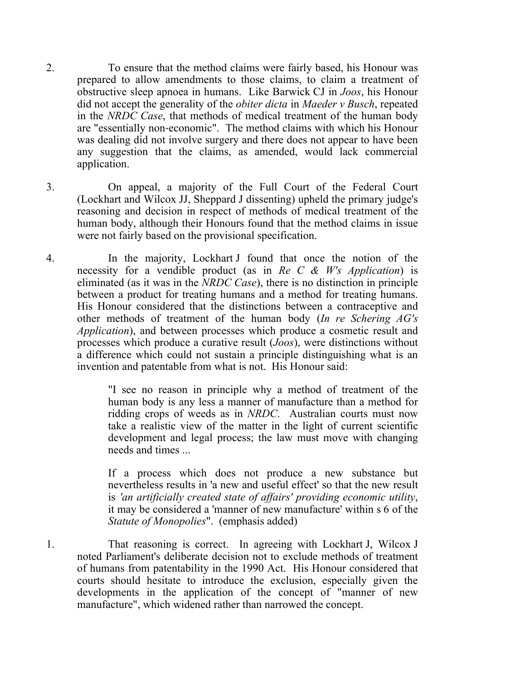- 2. To ensure that the method claims were fairly based, his Honour was prepared to allow amendments to those claims, to claim a treatment of obstructive sleep apnoea in humans. Like Barwick CJ in *Joos*, his Honour did not accept the generality of the *obiter dicta* in *Maeder v Busch*, repeated in the *NRDC Case*, that methods of medical treatment of the human body are "essentially non‑economic". The method claims with which his Honour was dealing did not involve surgery and there does not appear to have been any suggestion that the claims, as amended, would lack commercial application.
- 3. On appeal, a majority of the Full Court of the Federal Court (Lockhart and Wilcox JJ, Sheppard J dissenting) upheld the primary judge's reasoning and decision in respect of methods of medical treatment of the human body, although their Honours found that the method claims in issue were not fairly based on the provisional specification.
- 4. In the majority, Lockhart J found that once the notion of the necessity for a vendible product (as in *Re C & W's Application*) is eliminated (as it was in the *NRDC Case*), there is no distinction in principle between a product for treating humans and a method for treating humans. His Honour considered that the distinctions between a contraceptive and other methods of treatment of the human body (*In re Schering AG's Application*), and between processes which produce a cosmetic result and processes which produce a curative result (*Joos*), were distinctions without a difference which could not sustain a principle distinguishing what is an invention and patentable from what is not. His Honour said:

"I see no reason in principle why a method of treatment of the human body is any less a manner of manufacture than a method for ridding crops of weeds as in *NRDC*. Australian courts must now take a realistic view of the matter in the light of current scientific development and legal process; the law must move with changing needs and times ...

If a process which does not produce a new substance but nevertheless results in 'a new and useful effect' so that the new result is *'an artificially created state of affairs' providing economic utility*, it may be considered a 'manner of new manufacture' within s 6 of the *Statute of Monopolies*". (emphasis added)

1. That reasoning is correct. In agreeing with Lockhart J, Wilcox J noted Parliament's deliberate decision not to exclude methods of treatment of humans from patentability in the 1990 Act. His Honour considered that courts should hesitate to introduce the exclusion, especially given the developments in the application of the concept of "manner of new manufacture", which widened rather than narrowed the concept.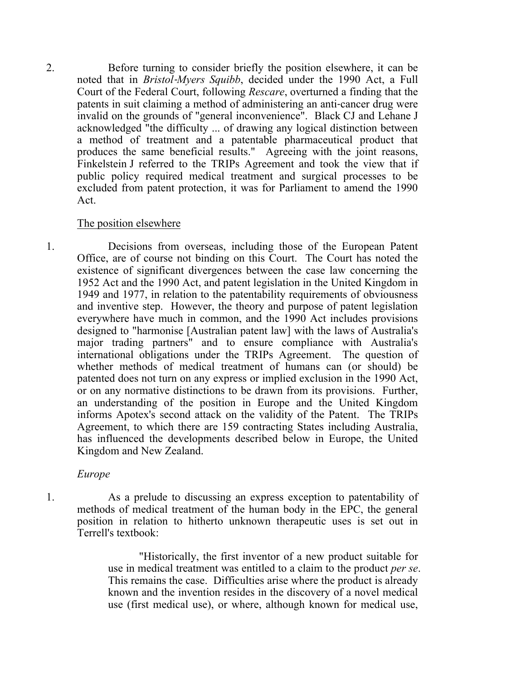2. Before turning to consider briefly the position elsewhere, it can be noted that in *Bristol*‑*Myers Squibb*, decided under the 1990 Act, a Full Court of the Federal Court, following *Rescare*, overturned a finding that the patents in suit claiming a method of administering an anti-cancer drug were invalid on the grounds of "general inconvenience". Black CJ and Lehane J acknowledged "the difficulty ... of drawing any logical distinction between a method of treatment and a patentable pharmaceutical product that produces the same beneficial results." Agreeing with the joint reasons, Finkelstein J referred to the TRIPs Agreement and took the view that if public policy required medical treatment and surgical processes to be excluded from patent protection, it was for Parliament to amend the 1990 Act.

#### The position elsewhere

1. Decisions from overseas, including those of the European Patent Office, are of course not binding on this Court. The Court has noted the existence of significant divergences between the case law concerning the 1952 Act and the 1990 Act, and patent legislation in the United Kingdom in 1949 and 1977, in relation to the patentability requirements of obviousness and inventive step. However, the theory and purpose of patent legislation everywhere have much in common, and the 1990 Act includes provisions designed to "harmonise [Australian patent law] with the laws of Australia's major trading partners" and to ensure compliance with Australia's international obligations under the TRIPs Agreement. The question of whether methods of medical treatment of humans can (or should) be patented does not turn on any express or implied exclusion in the 1990 Act, or on any normative distinctions to be drawn from its provisions. Further, an understanding of the position in Europe and the United Kingdom informs Apotex's second attack on the validity of the Patent. The TRIPs Agreement, to which there are 159 contracting States including Australia, has influenced the developments described below in Europe, the United Kingdom and New Zealand.

#### *Europe*

1. As a prelude to discussing an express exception to patentability of methods of medical treatment of the human body in the EPC, the general position in relation to hitherto unknown therapeutic uses is set out in Terrell's textbook:

> "Historically, the first inventor of a new product suitable for use in medical treatment was entitled to a claim to the product *per se*. This remains the case. Difficulties arise where the product is already known and the invention resides in the discovery of a novel medical use (first medical use), or where, although known for medical use,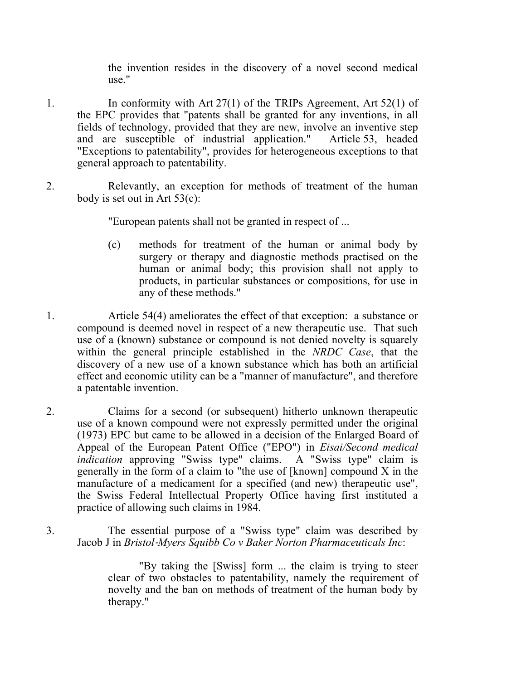the invention resides in the discovery of a novel second medical use."

- 1. In conformity with Art 27(1) of the TRIPs Agreement, Art 52(1) of the EPC provides that "patents shall be granted for any inventions, in all fields of technology, provided that they are new, involve an inventive step and are susceptible of industrial application." Article 53, headed "Exceptions to patentability", provides for heterogeneous exceptions to that general approach to patentability.
- 2. Relevantly, an exception for methods of treatment of the human body is set out in Art 53(c):

"European patents shall not be granted in respect of ...

- (c) methods for treatment of the human or animal body by surgery or therapy and diagnostic methods practised on the human or animal body; this provision shall not apply to products, in particular substances or compositions, for use in any of these methods."
- 1. Article 54(4) ameliorates the effect of that exception: a substance or compound is deemed novel in respect of a new therapeutic use. That such use of a (known) substance or compound is not denied novelty is squarely within the general principle established in the *NRDC Case*, that the discovery of a new use of a known substance which has both an artificial effect and economic utility can be a "manner of manufacture", and therefore a patentable invention.
- 2. Claims for a second (or subsequent) hitherto unknown therapeutic use of a known compound were not expressly permitted under the original (1973) EPC but came to be allowed in a decision of the Enlarged Board of Appeal of the European Patent Office ("EPO") in *Eisai/Second medical indication* approving "Swiss type" claims. A "Swiss type" claim is generally in the form of a claim to "the use of [known] compound X in the manufacture of a medicament for a specified (and new) therapeutic use", the Swiss Federal Intellectual Property Office having first instituted a practice of allowing such claims in 1984.
- 3. The essential purpose of a "Swiss type" claim was described by Jacob J in *Bristol*‑*Myers Squibb Co v Baker Norton Pharmaceuticals Inc*:

"By taking the [Swiss] form ... the claim is trying to steer clear of two obstacles to patentability, namely the requirement of novelty and the ban on methods of treatment of the human body by therapy."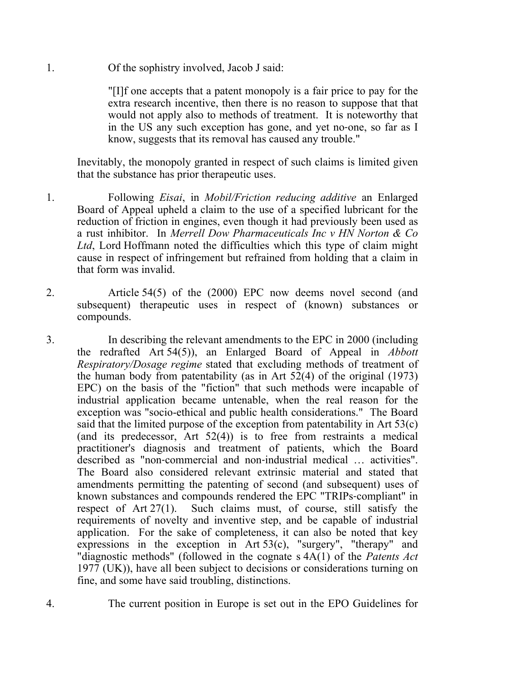1. Of the sophistry involved, Jacob J said:

"[I]f one accepts that a patent monopoly is a fair price to pay for the extra research incentive, then there is no reason to suppose that that would not apply also to methods of treatment. It is noteworthy that in the US any such exception has gone, and yet no‑one, so far as I know, suggests that its removal has caused any trouble."

Inevitably, the monopoly granted in respect of such claims is limited given that the substance has prior therapeutic uses.

- 1. Following *Eisai*, in *Mobil/Friction reducing additive* an Enlarged Board of Appeal upheld a claim to the use of a specified lubricant for the reduction of friction in engines, even though it had previously been used as a rust inhibitor. In *Merrell Dow Pharmaceuticals Inc v HN Norton & Co Ltd*, Lord Hoffmann noted the difficulties which this type of claim might cause in respect of infringement but refrained from holding that a claim in that form was invalid.
- 2. Article 54(5) of the (2000) EPC now deems novel second (and subsequent) therapeutic uses in respect of (known) substances or compounds.
- 3. In describing the relevant amendments to the EPC in 2000 (including the redrafted Art 54(5)), an Enlarged Board of Appeal in *Abbott Respiratory/Dosage regime* stated that excluding methods of treatment of the human body from patentability (as in Art  $52(4)$  of the original (1973) EPC) on the basis of the "fiction" that such methods were incapable of industrial application became untenable, when the real reason for the exception was "socio-ethical and public health considerations." The Board said that the limited purpose of the exception from patentability in Art 53(c) (and its predecessor, Art  $52(4)$ ) is to free from restraints a medical practitioner's diagnosis and treatment of patients, which the Board described as "non‑commercial and non‑industrial medical … activities". The Board also considered relevant extrinsic material and stated that amendments permitting the patenting of second (and subsequent) uses of known substances and compounds rendered the EPC "TRIPs‑compliant" in respect of Art 27(1). Such claims must, of course, still satisfy the requirements of novelty and inventive step, and be capable of industrial application. For the sake of completeness, it can also be noted that key expressions in the exception in Art 53(c), "surgery", "therapy" and "diagnostic methods" (followed in the cognate s 4A(1) of the *Patents Act*  1977 (UK)), have all been subject to decisions or considerations turning on fine, and some have said troubling, distinctions.
- 4. The current position in Europe is set out in the EPO Guidelines for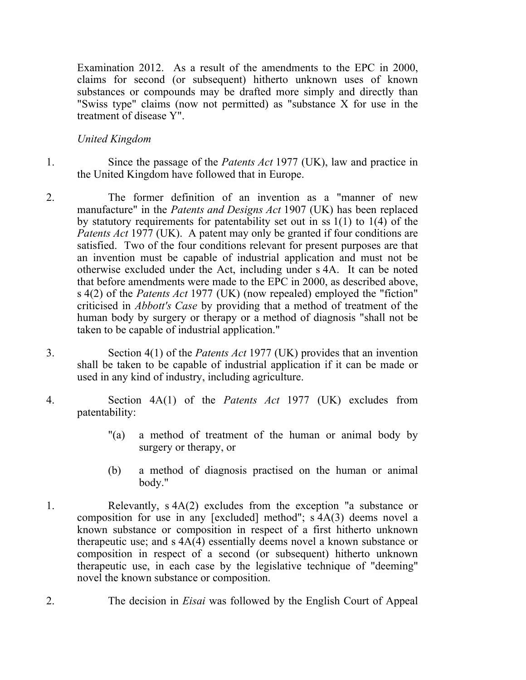Examination 2012. As a result of the amendments to the EPC in 2000, claims for second (or subsequent) hitherto unknown uses of known substances or compounds may be drafted more simply and directly than "Swiss type" claims (now not permitted) as "substance X for use in the treatment of disease Y".

## *United Kingdom*

- 1. Since the passage of the *Patents Act* 1977 (UK), law and practice in the United Kingdom have followed that in Europe.
- 2. The former definition of an invention as a "manner of new manufacture" in the *Patents and Designs Act* 1907 (UK) has been replaced by statutory requirements for patentability set out in ss 1(1) to 1(4) of the *Patents Act* 1977 (UK). A patent may only be granted if four conditions are satisfied. Two of the four conditions relevant for present purposes are that an invention must be capable of industrial application and must not be otherwise excluded under the Act, including under s 4A. It can be noted that before amendments were made to the EPC in 2000, as described above, s 4(2) of the *Patents Act* 1977 (UK) (now repealed) employed the "fiction" criticised in *Abbott's Case* by providing that a method of treatment of the human body by surgery or therapy or a method of diagnosis "shall not be taken to be capable of industrial application."
- 3. Section 4(1) of the *Patents Act* 1977 (UK) provides that an invention shall be taken to be capable of industrial application if it can be made or used in any kind of industry, including agriculture.
- 4. Section 4A(1) of the *Patents Act* 1977 (UK) excludes from patentability:
	- "(a) a method of treatment of the human or animal body by surgery or therapy, or
	- (b) a method of diagnosis practised on the human or animal body."
- 1. Relevantly, s 4A(2) excludes from the exception "a substance or composition for use in any [excluded] method"; s 4A(3) deems novel a known substance or composition in respect of a first hitherto unknown therapeutic use; and s 4A(4) essentially deems novel a known substance or composition in respect of a second (or subsequent) hitherto unknown therapeutic use, in each case by the legislative technique of "deeming" novel the known substance or composition.
- 2. The decision in *Eisai* was followed by the English Court of Appeal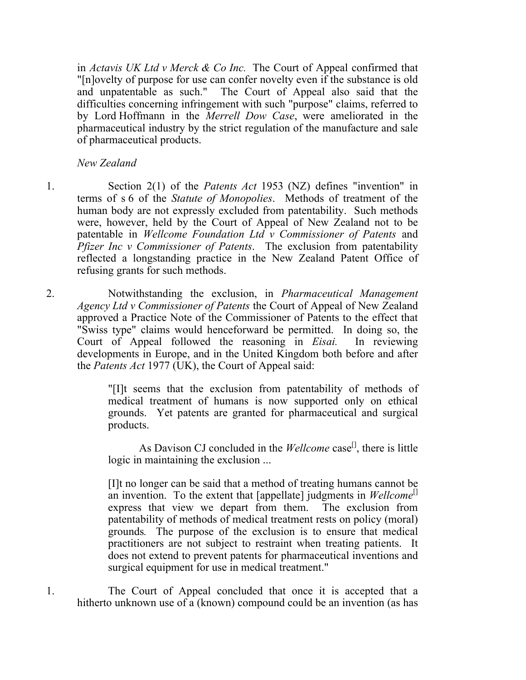in *Actavis UK Ltd v Merck & Co Inc.* The Court of Appeal confirmed that "[n]ovelty of purpose for use can confer novelty even if the substance is old and unpatentable as such." The Court of Appeal also said that the difficulties concerning infringement with such "purpose" claims, referred to by Lord Hoffmann in the *Merrell Dow Case*, were ameliorated in the pharmaceutical industry by the strict regulation of the manufacture and sale of pharmaceutical products.

*New Zealand*

- 1. Section 2(1) of the *Patents Act* 1953 (NZ) defines "invention" in terms of s 6 of the *Statute of Monopolies*. Methods of treatment of the human body are not expressly excluded from patentability. Such methods were, however, held by the Court of Appeal of New Zealand not to be patentable in *Wellcome Foundation Ltd v Commissioner of Patents* and *Pfizer Inc v Commissioner of Patents*. The exclusion from patentability reflected a longstanding practice in the New Zealand Patent Office of refusing grants for such methods.
- 2. Notwithstanding the exclusion, in *Pharmaceutical Management Agency Ltd v Commissioner of Patents* the Court of Appeal of New Zealand approved a Practice Note of the Commissioner of Patents to the effect that "Swiss type" claims would henceforward be permitted. In doing so, the Court of Appeal followed the reasoning in *Eisai.* In reviewing developments in Europe, and in the United Kingdom both before and after the *Patents Act* 1977 (UK), the Court of Appeal said:

"[I]t seems that the exclusion from patentability of methods of medical treatment of humans is now supported only on ethical grounds. Yet patents are granted for pharmaceutical and surgical products.

As Davison CJ concluded in the *Wellcome* case<sup>[1]</sup>, there is little logic in maintaining the exclusion ...

[I]t no longer can be said that a method of treating humans cannot be an invention. To the extent that  $[appellate]$  judgments in *Wellcome*<sup>[1]</sup> express that view we depart from them. The exclusion from patentability of methods of medical treatment rests on policy (moral) grounds*.* The purpose of the exclusion is to ensure that medical practitioners are not subject to restraint when treating patients. It does not extend to prevent patents for pharmaceutical inventions and surgical equipment for use in medical treatment."

1. The Court of Appeal concluded that once it is accepted that a hitherto unknown use of a (known) compound could be an invention (as has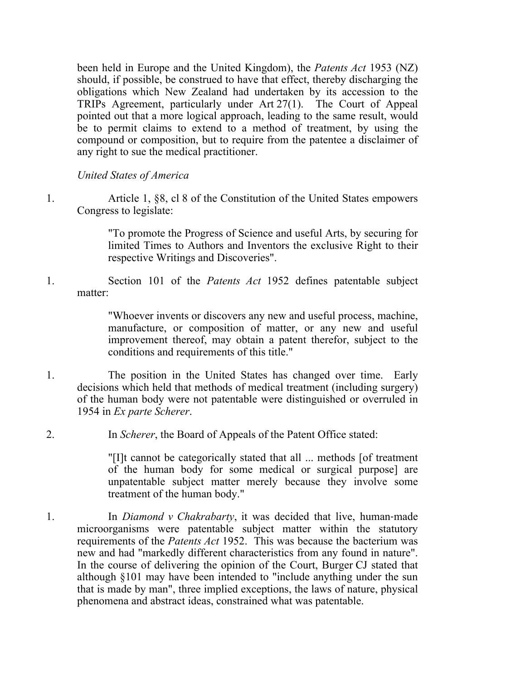been held in Europe and the United Kingdom), the *Patents Act* 1953 (NZ) should, if possible, be construed to have that effect, thereby discharging the obligations which New Zealand had undertaken by its accession to the TRIPs Agreement, particularly under Art 27(1). The Court of Appeal pointed out that a more logical approach, leading to the same result, would be to permit claims to extend to a method of treatment, by using the compound or composition, but to require from the patentee a disclaimer of any right to sue the medical practitioner.

*United States of America*

1. Article 1, §8, cl 8 of the Constitution of the United States empowers Congress to legislate:

> "To promote the Progress of Science and useful Arts, by securing for limited Times to Authors and Inventors the exclusive Right to their respective Writings and Discoveries".

1. Section 101 of the *Patents Act* 1952 defines patentable subject matter:

> "Whoever invents or discovers any new and useful process, machine, manufacture, or composition of matter, or any new and useful improvement thereof, may obtain a patent therefor, subject to the conditions and requirements of this title."

- 1. The position in the United States has changed over time. Early decisions which held that methods of medical treatment (including surgery) of the human body were not patentable were distinguished or overruled in 1954 in *Ex parte Scherer*.
- 2. In *Scherer*, the Board of Appeals of the Patent Office stated:

"[I]t cannot be categorically stated that all ... methods [of treatment of the human body for some medical or surgical purpose] are unpatentable subject matter merely because they involve some treatment of the human body."

1. In *Diamond v Chakrabarty*, it was decided that live, human-made microorganisms were patentable subject matter within the statutory requirements of the *Patents Act* 1952. This was because the bacterium was new and had "markedly different characteristics from any found in nature". In the course of delivering the opinion of the Court, Burger CJ stated that although §101 may have been intended to "include anything under the sun that is made by man", three implied exceptions, the laws of nature, physical phenomena and abstract ideas, constrained what was patentable.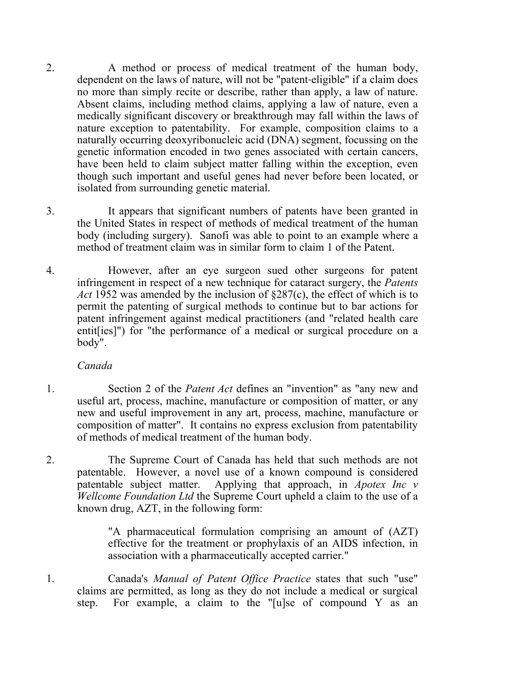- 2. A method or process of medical treatment of the human body, dependent on the laws of nature, will not be "patent‑eligible" if a claim does no more than simply recite or describe, rather than apply, a law of nature. Absent claims, including method claims, applying a law of nature, even a medically significant discovery or breakthrough may fall within the laws of nature exception to patentability. For example, composition claims to a naturally occurring deoxyribonucleic acid (DNA) segment, focussing on the genetic information encoded in two genes associated with certain cancers, have been held to claim subject matter falling within the exception, even though such important and useful genes had never before been located, or isolated from surrounding genetic material.
- 3. It appears that significant numbers of patents have been granted in the United States in respect of methods of medical treatment of the human body (including surgery). Sanofi was able to point to an example where a method of treatment claim was in similar form to claim 1 of the Patent.
- 4. However, after an eye surgeon sued other surgeons for patent infringement in respect of a new technique for cataract surgery, the *Patents Act* 1952 was amended by the inclusion of §287(c), the effect of which is to permit the patenting of surgical methods to continue but to bar actions for patent infringement against medical practitioners (and "related health care entit [ies]") for "the performance of a medical or surgical procedure on a body".

## *Canada*

- 1. Section 2 of the *Patent Act* defines an "invention" as "any new and useful art, process, machine, manufacture or composition of matter, or any new and useful improvement in any art, process, machine, manufacture or composition of matter". It contains no express exclusion from patentability of methods of medical treatment of the human body.
- 2. The Supreme Court of Canada has held that such methods are not patentable. However, a novel use of a known compound is considered patentable subject matter. Applying that approach, in *Apotex Inc v Wellcome Foundation Ltd* the Supreme Court upheld a claim to the use of a known drug, AZT, in the following form:

"A pharmaceutical formulation comprising an amount of (AZT) effective for the treatment or prophylaxis of an AIDS infection, in association with a pharmaceutically accepted carrier."

1. Canada's *Manual of Patent Office Practice* states that such "use" claims are permitted, as long as they do not include a medical or surgical step. For example, a claim to the "[u]se of compound Y as an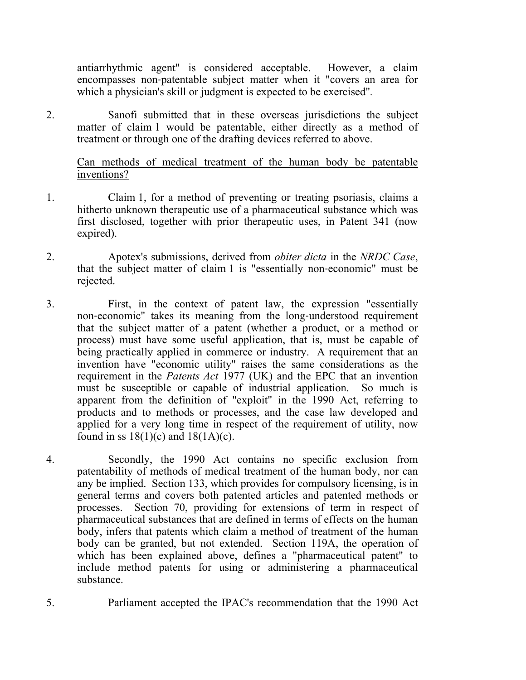antiarrhythmic agent" is considered acceptable. However, a claim encompasses non‑patentable subject matter when it "covers an area for which a physician's skill or judgment is expected to be exercised"*.*

2. Sanofi submitted that in these overseas jurisdictions the subject matter of claim 1 would be patentable, either directly as a method of treatment or through one of the drafting devices referred to above.

Can methods of medical treatment of the human body be patentable inventions?

- 1. Claim 1, for a method of preventing or treating psoriasis, claims a hitherto unknown therapeutic use of a pharmaceutical substance which was first disclosed, together with prior therapeutic uses, in Patent 341 (now expired).
- 2. Apotex's submissions, derived from *obiter dicta* in the *NRDC Case*, that the subject matter of claim 1 is "essentially non‑economic" must be rejected.
- 3. First, in the context of patent law, the expression "essentially non–economic" takes its meaning from the long-understood requirement that the subject matter of a patent (whether a product, or a method or process) must have some useful application, that is, must be capable of being practically applied in commerce or industry. A requirement that an invention have "economic utility" raises the same considerations as the requirement in the *Patents Act* 1977 (UK) and the EPC that an invention must be susceptible or capable of industrial application. So much is apparent from the definition of "exploit" in the 1990 Act, referring to products and to methods or processes, and the case law developed and applied for a very long time in respect of the requirement of utility, now found in ss  $18(1)(c)$  and  $18(1A)(c)$ .
- 4. Secondly, the 1990 Act contains no specific exclusion from patentability of methods of medical treatment of the human body, nor can any be implied. Section 133, which provides for compulsory licensing, is in general terms and covers both patented articles and patented methods or processes. Section 70, providing for extensions of term in respect of pharmaceutical substances that are defined in terms of effects on the human body, infers that patents which claim a method of treatment of the human body can be granted, but not extended. Section 119A, the operation of which has been explained above, defines a "pharmaceutical patent" to include method patents for using or administering a pharmaceutical substance.
- 5. Parliament accepted the IPAC's recommendation that the 1990 Act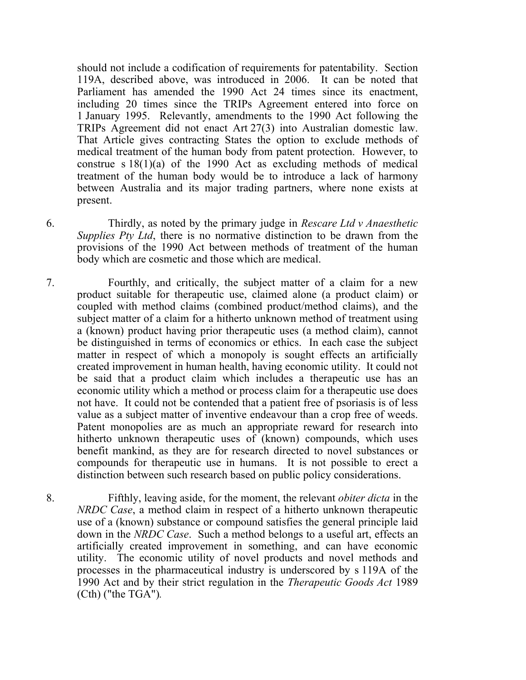should not include a codification of requirements for patentability. Section 119A, described above, was introduced in 2006. It can be noted that Parliament has amended the 1990 Act 24 times since its enactment, including 20 times since the TRIPs Agreement entered into force on 1 January 1995. Relevantly, amendments to the 1990 Act following the TRIPs Agreement did not enact Art 27(3) into Australian domestic law. That Article gives contracting States the option to exclude methods of medical treatment of the human body from patent protection. However, to construe s 18(1)(a) of the 1990 Act as excluding methods of medical treatment of the human body would be to introduce a lack of harmony between Australia and its major trading partners, where none exists at present.

- 6. Thirdly, as noted by the primary judge in *Rescare Ltd v Anaesthetic Supplies Pty Ltd*, there is no normative distinction to be drawn from the provisions of the 1990 Act between methods of treatment of the human body which are cosmetic and those which are medical.
- 7. Fourthly, and critically, the subject matter of a claim for a new product suitable for therapeutic use, claimed alone (a product claim) or coupled with method claims (combined product/method claims), and the subject matter of a claim for a hitherto unknown method of treatment using a (known) product having prior therapeutic uses (a method claim), cannot be distinguished in terms of economics or ethics. In each case the subject matter in respect of which a monopoly is sought effects an artificially created improvement in human health, having economic utility. It could not be said that a product claim which includes a therapeutic use has an economic utility which a method or process claim for a therapeutic use does not have. It could not be contended that a patient free of psoriasis is of less value as a subject matter of inventive endeavour than a crop free of weeds. Patent monopolies are as much an appropriate reward for research into hitherto unknown therapeutic uses of (known) compounds, which uses benefit mankind, as they are for research directed to novel substances or compounds for therapeutic use in humans. It is not possible to erect a distinction between such research based on public policy considerations.
- 8. Fifthly, leaving aside, for the moment, the relevant *obiter dicta* in the *NRDC Case*, a method claim in respect of a hitherto unknown therapeutic use of a (known) substance or compound satisfies the general principle laid down in the *NRDC Case*. Such a method belongs to a useful art, effects an artificially created improvement in something, and can have economic utility. The economic utility of novel products and novel methods and processes in the pharmaceutical industry is underscored by s 119A of the 1990 Act and by their strict regulation in the *Therapeutic Goods Act* 1989 (Cth) ("the TGA")*.*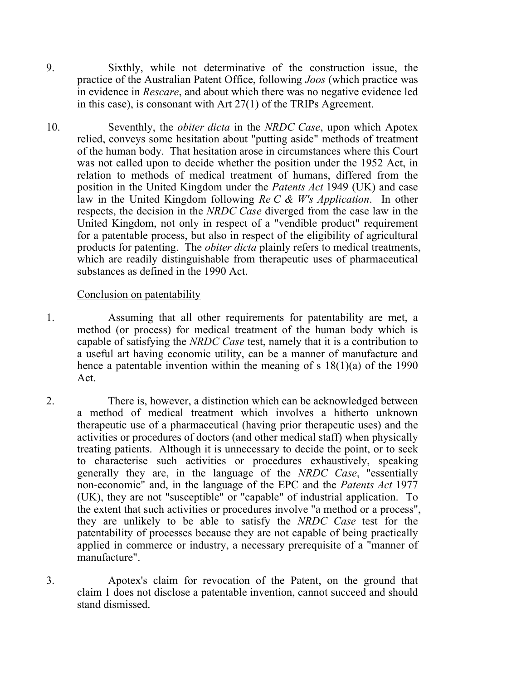- 9. Sixthly, while not determinative of the construction issue, the practice of the Australian Patent Office, following *Joos* (which practice was in evidence in *Rescare*, and about which there was no negative evidence led in this case), is consonant with Art 27(1) of the TRIPs Agreement.
- 10. Seventhly, the *obiter dicta* in the *NRDC Case*, upon which Apotex relied, conveys some hesitation about "putting aside" methods of treatment of the human body. That hesitation arose in circumstances where this Court was not called upon to decide whether the position under the 1952 Act, in relation to methods of medical treatment of humans, differed from the position in the United Kingdom under the *Patents Act* 1949 (UK) and case law in the United Kingdom following *Re C & W's Application*. In other respects, the decision in the *NRDC Case* diverged from the case law in the United Kingdom, not only in respect of a "vendible product" requirement for a patentable process, but also in respect of the eligibility of agricultural products for patenting. The *obiter dicta* plainly refers to medical treatments, which are readily distinguishable from therapeutic uses of pharmaceutical substances as defined in the 1990 Act.

## Conclusion on patentability

- 1. Assuming that all other requirements for patentability are met, a method (or process) for medical treatment of the human body which is capable of satisfying the *NRDC Case* test, namely that it is a contribution to a useful art having economic utility, can be a manner of manufacture and hence a patentable invention within the meaning of s 18(1)(a) of the 1990 Act.
- 2. There is, however, a distinction which can be acknowledged between a method of medical treatment which involves a hitherto unknown therapeutic use of a pharmaceutical (having prior therapeutic uses) and the activities or procedures of doctors (and other medical staff) when physically treating patients. Although it is unnecessary to decide the point, or to seek to characterise such activities or procedures exhaustively, speaking generally they are, in the language of the *NRDC Case*, "essentially non‑economic" and, in the language of the EPC and the *Patents Act* 1977 (UK), they are not "susceptible" or "capable" of industrial application. To the extent that such activities or procedures involve "a method or a process", they are unlikely to be able to satisfy the *NRDC Case* test for the patentability of processes because they are not capable of being practically applied in commerce or industry, a necessary prerequisite of a "manner of manufacture".
- 3. Apotex's claim for revocation of the Patent, on the ground that claim 1 does not disclose a patentable invention, cannot succeed and should stand dismissed.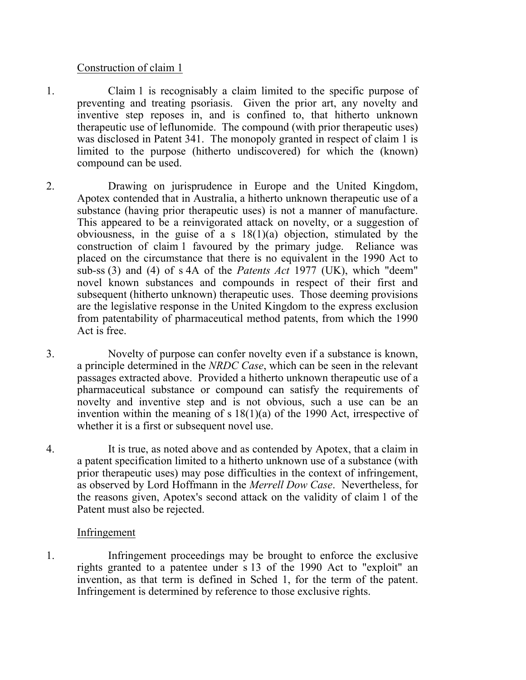## Construction of claim 1

- 1. Claim 1 is recognisably a claim limited to the specific purpose of preventing and treating psoriasis. Given the prior art, any novelty and inventive step reposes in, and is confined to, that hitherto unknown therapeutic use of leflunomide. The compound (with prior therapeutic uses) was disclosed in Patent 341. The monopoly granted in respect of claim 1 is limited to the purpose (hitherto undiscovered) for which the (known) compound can be used.
- 2. Drawing on jurisprudence in Europe and the United Kingdom, Apotex contended that in Australia, a hitherto unknown therapeutic use of a substance (having prior therapeutic uses) is not a manner of manufacture. This appeared to be a reinvigorated attack on novelty, or a suggestion of obviousness, in the guise of a s  $18(1)(a)$  objection, stimulated by the construction of claim 1 favoured by the primary judge. Reliance was placed on the circumstance that there is no equivalent in the 1990 Act to sub-ss (3) and (4) of s 4A of the *Patents Act* 1977 (UK), which "deem" novel known substances and compounds in respect of their first and subsequent (hitherto unknown) therapeutic uses. Those deeming provisions are the legislative response in the United Kingdom to the express exclusion from patentability of pharmaceutical method patents, from which the 1990 Act is free.
- 3. Novelty of purpose can confer novelty even if a substance is known, a principle determined in the *NRDC Case*, which can be seen in the relevant passages extracted above. Provided a hitherto unknown therapeutic use of a pharmaceutical substance or compound can satisfy the requirements of novelty and inventive step and is not obvious, such a use can be an invention within the meaning of s 18(1)(a) of the 1990 Act, irrespective of whether it is a first or subsequent novel use.
- 4. It is true, as noted above and as contended by Apotex, that a claim in a patent specification limited to a hitherto unknown use of a substance (with prior therapeutic uses) may pose difficulties in the context of infringement, as observed by Lord Hoffmann in the *Merrell Dow Case*. Nevertheless, for the reasons given, Apotex's second attack on the validity of claim 1 of the Patent must also be rejected.

## Infringement

1. Infringement proceedings may be brought to enforce the exclusive rights granted to a patentee under s 13 of the 1990 Act to "exploit" an invention, as that term is defined in Sched 1, for the term of the patent. Infringement is determined by reference to those exclusive rights.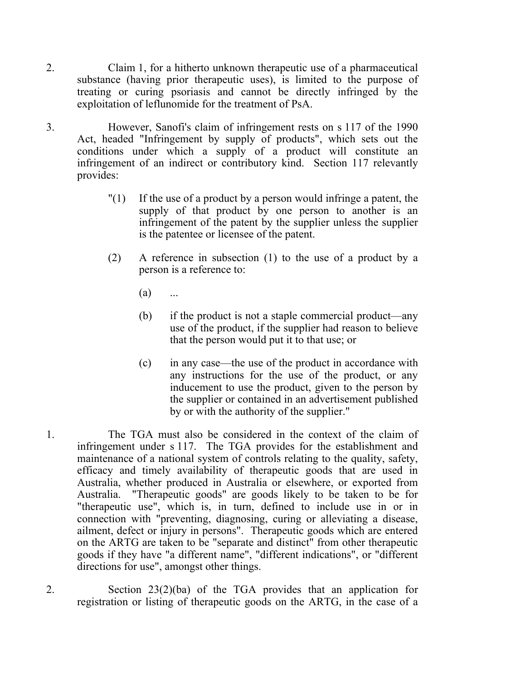- 2. Claim 1, for a hitherto unknown therapeutic use of a pharmaceutical substance (having prior therapeutic uses), is limited to the purpose of treating or curing psoriasis and cannot be directly infringed by the exploitation of leflunomide for the treatment of PsA.
- 3. However, Sanofi's claim of infringement rests on s 117 of the 1990 Act, headed "Infringement by supply of products", which sets out the conditions under which a supply of a product will constitute an infringement of an indirect or contributory kind. Section 117 relevantly provides:
	- $\binom{1}{1}$  If the use of a product by a person would infringe a patent, the supply of that product by one person to another is an infringement of the patent by the supplier unless the supplier is the patentee or licensee of the patent.
	- (2) A reference in subsection (1) to the use of a product by a person is a reference to:
		- $(a)$  ...
		- (b) if the product is not a staple commercial product—any use of the product, if the supplier had reason to believe that the person would put it to that use; or
		- (c) in any case—the use of the product in accordance with any instructions for the use of the product, or any inducement to use the product, given to the person by the supplier or contained in an advertisement published by or with the authority of the supplier."
- 1. The TGA must also be considered in the context of the claim of infringement under s 117. The TGA provides for the establishment and maintenance of a national system of controls relating to the quality, safety, efficacy and timely availability of therapeutic goods that are used in Australia, whether produced in Australia or elsewhere, or exported from Australia. "Therapeutic goods" are goods likely to be taken to be for "therapeutic use", which is, in turn, defined to include use in or in connection with "preventing, diagnosing, curing or alleviating a disease, ailment, defect or injury in persons". Therapeutic goods which are entered on the ARTG are taken to be "separate and distinct" from other therapeutic goods if they have "a different name", "different indications", or "different directions for use", amongst other things.
- 2. Section 23(2)(ba) of the TGA provides that an application for registration or listing of therapeutic goods on the ARTG, in the case of a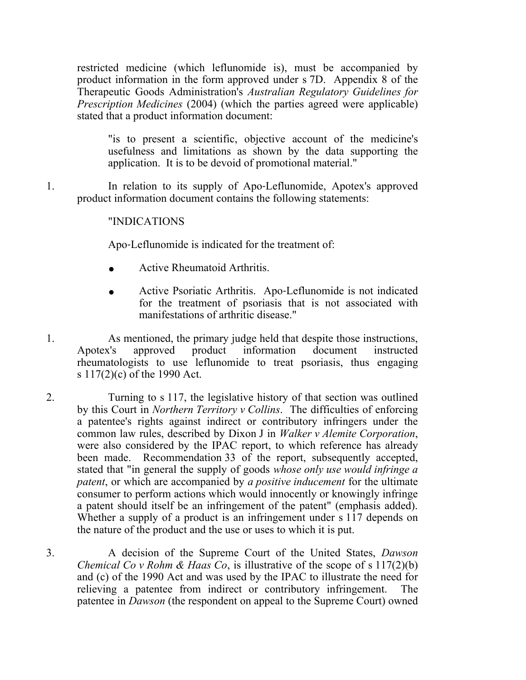restricted medicine (which leflunomide is), must be accompanied by product information in the form approved under s 7D. Appendix 8 of the Therapeutic Goods Administration's *Australian Regulatory Guidelines for Prescription Medicines* (2004) (which the parties agreed were applicable) stated that a product information document:

"is to present a scientific, objective account of the medicine's usefulness and limitations as shown by the data supporting the application. It is to be devoid of promotional material."

1. In relation to its supply of Apo-Leflunomide, Apotex's approved product information document contains the following statements:

# "INDICATIONS

Apo‑Leflunomide is indicated for the treatment of:

- **.** Active Rheumatoid Arthritis.
- **.** Active Psoriatic Arthritis. Apo‑Leflunomide is not indicated for the treatment of psoriasis that is not associated with manifestations of arthritic disease."
- 1. As mentioned, the primary judge held that despite those instructions, Apotex's approved product information document instructed rheumatologists to use leflunomide to treat psoriasis, thus engaging s 117(2)(c) of the 1990 Act.
- 2. Turning to s 117, the legislative history of that section was outlined by this Court in *Northern Territory v Collins*. The difficulties of enforcing a patentee's rights against indirect or contributory infringers under the common law rules, described by Dixon J in *Walker v Alemite Corporation*, were also considered by the IPAC report, to which reference has already been made. Recommendation 33 of the report, subsequently accepted, stated that "in general the supply of goods *whose only use would infringe a patent*, or which are accompanied by *a positive inducement* for the ultimate consumer to perform actions which would innocently or knowingly infringe a patent should itself be an infringement of the patent" (emphasis added). Whether a supply of a product is an infringement under s 117 depends on the nature of the product and the use or uses to which it is put.

3. A decision of the Supreme Court of the United States, *Dawson Chemical Co v Rohm & Haas Co*, is illustrative of the scope of s 117(2)(b) and (c) of the 1990 Act and was used by the IPAC to illustrate the need for relieving a patentee from indirect or contributory infringement. The patentee in *Dawson* (the respondent on appeal to the Supreme Court) owned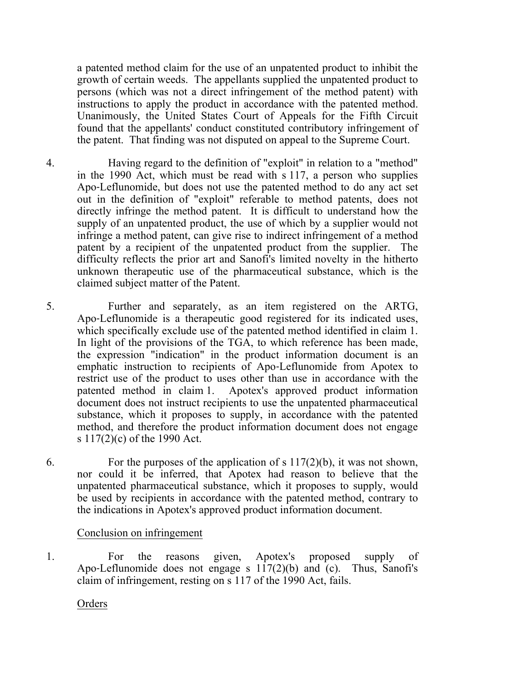a patented method claim for the use of an unpatented product to inhibit the growth of certain weeds. The appellants supplied the unpatented product to persons (which was not a direct infringement of the method patent) with instructions to apply the product in accordance with the patented method. Unanimously, the United States Court of Appeals for the Fifth Circuit found that the appellants' conduct constituted contributory infringement of the patent. That finding was not disputed on appeal to the Supreme Court.

- 4. Having regard to the definition of "exploit" in relation to a "method" in the 1990 Act, which must be read with s 117, a person who supplies Apo‑Leflunomide, but does not use the patented method to do any act set out in the definition of "exploit" referable to method patents, does not directly infringe the method patent. It is difficult to understand how the supply of an unpatented product, the use of which by a supplier would not infringe a method patent, can give rise to indirect infringement of a method patent by a recipient of the unpatented product from the supplier. The difficulty reflects the prior art and Sanofi's limited novelty in the hitherto unknown therapeutic use of the pharmaceutical substance, which is the claimed subject matter of the Patent.
- 5. Further and separately, as an item registered on the ARTG, Apo‑Leflunomide is a therapeutic good registered for its indicated uses, which specifically exclude use of the patented method identified in claim 1. In light of the provisions of the TGA, to which reference has been made, the expression "indication" in the product information document is an emphatic instruction to recipients of Apo‑Leflunomide from Apotex to restrict use of the product to uses other than use in accordance with the patented method in claim 1. Apotex's approved product information document does not instruct recipients to use the unpatented pharmaceutical substance, which it proposes to supply, in accordance with the patented method, and therefore the product information document does not engage s 117(2)(c) of the 1990 Act.
- 6. For the purposes of the application of s  $117(2)(b)$ , it was not shown, nor could it be inferred, that Apotex had reason to believe that the unpatented pharmaceutical substance, which it proposes to supply, would be used by recipients in accordance with the patented method, contrary to the indications in Apotex's approved product information document.

## Conclusion on infringement

1. For the reasons given, Apotex's proposed supply of Apo-Leflunomide does not engage s  $117(2)(b)$  and (c). Thus, Sanofi's claim of infringement, resting on s 117 of the 1990 Act, fails.

Orders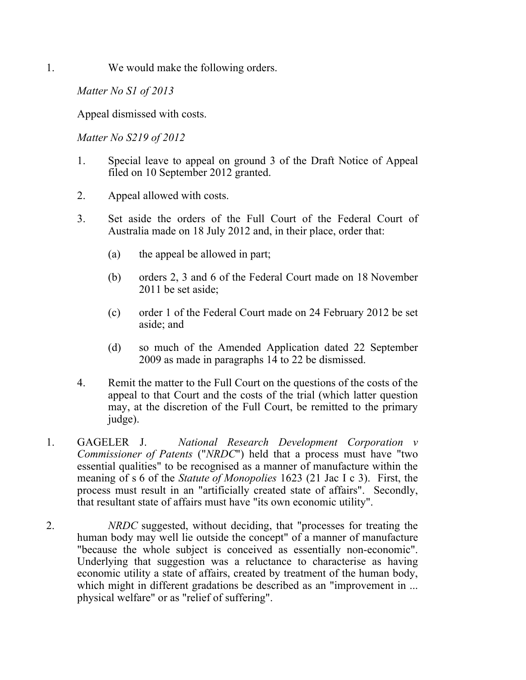1. We would make the following orders.

*Matter No S1 of 2013*

Appeal dismissed with costs.

*Matter No S219 of 2012*

- 1. Special leave to appeal on ground 3 of the Draft Notice of Appeal filed on 10 September 2012 granted.
- 2. Appeal allowed with costs.
- 3. Set aside the orders of the Full Court of the Federal Court of Australia made on 18 July 2012 and, in their place, order that:
	- (a) the appeal be allowed in part;
	- (b) orders 2, 3 and 6 of the Federal Court made on 18 November 2011 be set aside;
	- (c) order 1 of the Federal Court made on 24 February 2012 be set aside; and
	- (d) so much of the Amended Application dated 22 September 2009 as made in paragraphs 14 to 22 be dismissed.
- 4. Remit the matter to the Full Court on the questions of the costs of the appeal to that Court and the costs of the trial (which latter question may, at the discretion of the Full Court, be remitted to the primary judge).
- 1. GAGELER J. *National Research Development Corporation v Commissioner of Patents* ("*NRDC*") held that a process must have "two essential qualities" to be recognised as a manner of manufacture within the meaning of s 6 of the *Statute of Monopolies* 1623 (21 Jac I c 3). First, the process must result in an "artificially created state of affairs". Secondly, that resultant state of affairs must have "its own economic utility".
- 2. *NRDC* suggested, without deciding, that "processes for treating the human body may well lie outside the concept" of a manner of manufacture "because the whole subject is conceived as essentially non-economic". Underlying that suggestion was a reluctance to characterise as having economic utility a state of affairs, created by treatment of the human body, which might in different gradations be described as an "improvement in ... physical welfare" or as "relief of suffering".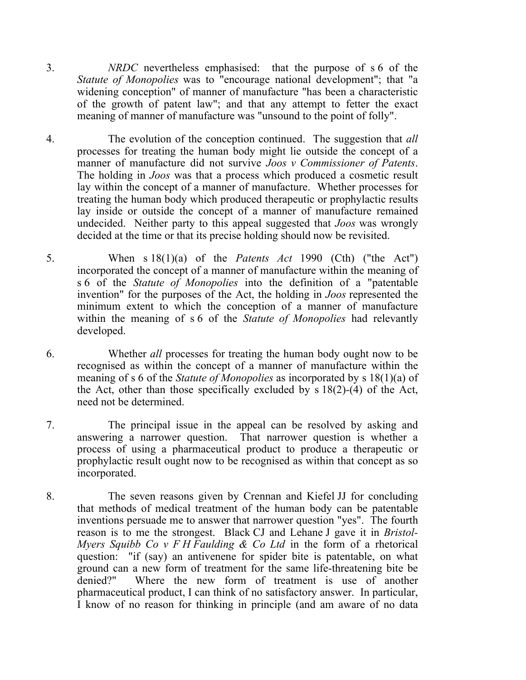- 3. *NRDC* nevertheless emphasised: that the purpose of s 6 of the *Statute of Monopolies* was to "encourage national development"; that "a widening conception" of manner of manufacture "has been a characteristic of the growth of patent law"; and that any attempt to fetter the exact meaning of manner of manufacture was "unsound to the point of folly".
- 4. The evolution of the conception continued. The suggestion that *all* processes for treating the human body might lie outside the concept of a manner of manufacture did not survive *Joos v Commissioner of Patents*. The holding in *Joos* was that a process which produced a cosmetic result lay within the concept of a manner of manufacture. Whether processes for treating the human body which produced therapeutic or prophylactic results lay inside or outside the concept of a manner of manufacture remained undecided. Neither party to this appeal suggested that *Joos* was wrongly decided at the time or that its precise holding should now be revisited.
- 5. When s 18(1)(a) of the *Patents Act* 1990 (Cth) ("the Act") incorporated the concept of a manner of manufacture within the meaning of s 6 of the *Statute of Monopolies* into the definition of a "patentable invention" for the purposes of the Act, the holding in *Joos* represented the minimum extent to which the conception of a manner of manufacture within the meaning of s 6 of the *Statute of Monopolies* had relevantly developed.
- 6. Whether *all* processes for treating the human body ought now to be recognised as within the concept of a manner of manufacture within the meaning of s 6 of the *Statute of Monopolies* as incorporated by s 18(1)(a) of the Act, other than those specifically excluded by s 18(2)-(4) of the Act, need not be determined.
- 7. The principal issue in the appeal can be resolved by asking and answering a narrower question. That narrower question is whether a process of using a pharmaceutical product to produce a therapeutic or prophylactic result ought now to be recognised as within that concept as so incorporated.
- 8. The seven reasons given by Crennan and Kiefel JJ for concluding that methods of medical treatment of the human body can be patentable inventions persuade me to answer that narrower question "yes". The fourth reason is to me the strongest. Black CJ and Lehane J gave it in *Bristol-Myers Squibb Co v F H Faulding & Co Ltd* in the form of a rhetorical question: "if (say) an antivenene for spider bite is patentable, on what ground can a new form of treatment for the same life-threatening bite be denied?" Where the new form of treatment is use of another pharmaceutical product, I can think of no satisfactory answer. In particular, I know of no reason for thinking in principle (and am aware of no data